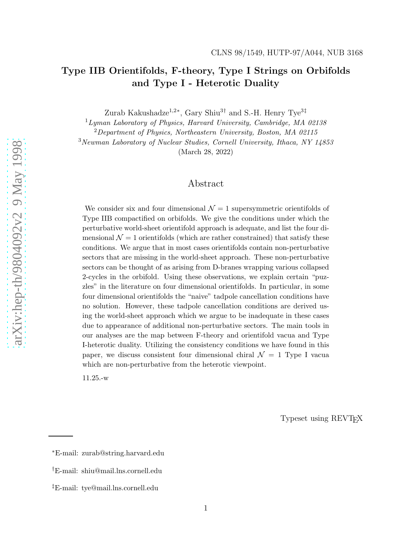# Type IIB Orientifolds, F-theory, Type I Strings on Orbifold s and Type I - Heterotic Duality

Zurab Kakushadze<sup>1,2\*</sup>, Gary Shiu<sup>3†</sup> and S.-H. Henry Tye<sup>3‡</sup>

 $1$ Lyman Laboratory of Physics, Harvard University, Cambridge, MA 02138

 $2$ Department of Physics, Northeastern University, Boston, MA 02115

<sup>3</sup>Newman Laboratory of Nuclear Studies, Cornell University, Ithaca, NY 14853

(March 28, 2022)

# Abstract

We consider six and four dimensional  $\mathcal{N}=1$  supersymmetric orientifolds of Type IIB compactified on orbifolds. We give the conditions under which the perturbative world-sheet orientifold approach is adequate, and list the four dimensional  $\mathcal{N} = 1$  orientifolds (which are rather constrained) that satisfy these conditions. We argue that in most cases orientifolds contain non-perturbative sectors that are missing in the world-sheet approach. These non-perturbative sectors can be thought of as arising from D-branes wrapping various collapsed 2-cycles in the orbifold. Using these observations, we explain certain "puzzles" in the literature on four dimensional orientifolds. In particular, in some four dimensional orientifolds the "naive" tadpole cancellation conditions have no solution. However, these tadpole cancellation conditions are derived using the world-sheet approach which we argue to be inadequate in these cases due to appearance of additional non-perturbative sectors. The main tools in our analyses are the map between F-theory and orientifold vacua and Type I-heterotic duality. Utilizing the consistency conditions we have found in this paper, we discuss consistent four dimensional chiral  $\mathcal{N} = 1$  Type I vacua which are non-perturbative from the heterotic viewpoint.

11.25.-w

Typeset using REVT<sub>EX</sub>

<sup>∗</sup>E-mail: zurab@string.harvard.edu

<sup>†</sup>E-mail: shiu@mail.lns.cornell.edu

<sup>‡</sup>E-mail: tye@mail.lns.cornell.edu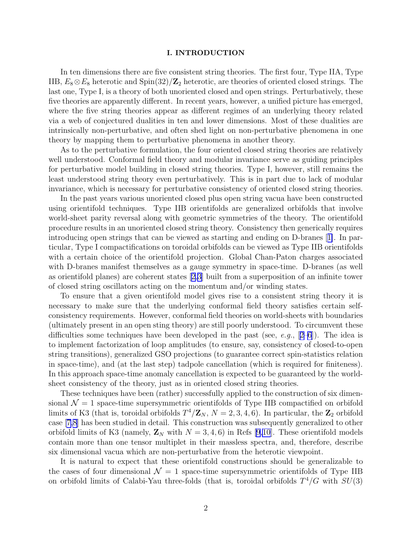#### I. INTRODUCTION

In ten dimensions there are five consistent string theories. The first four, Type IIA, Type IIB,  $E_8 \otimes E_8$  heterotic and  $Spin(32)/\mathbb{Z}_2$  heterotic, are theories of oriented closed strings. The last one, Type I, is a theory of both unoriented closed and open strings. Perturbatively, these five theories are apparently different. In recent years, however, a unified picture has emerged, where the five string theories appear as different regimes of an underlying theory related via a web of conjectured dualities in ten and lower dimensions. Most of these dualities are intrinsically non-perturbative, and often shed light on non-perturbative phenomena in one theory by mapping them to perturbative phenomena in another theory.

As to the perturbative formulation, the four oriented closed string theories are relatively well understood. Conformal field theory and modular invariance serve as guiding principles for perturbative model building in closed string theories. Type I, however, still remains the least understood string theory even perturbatively. This is in part due to lack of modular invariance, which is necessary for perturbative consistency of oriented closed string theories.

In the past years various unoriented closed plus open string vacua have been constructed using orientifold techniques. Type IIB orientifolds are generalized orbifolds that involve world-sheet parity reversal along with geometric symmetries of the theory. The orientifold procedure results in an unoriented closed string theory. Consistency then generically requires introducing open strings that can be viewed as starting and ending on D-branes[[1\]](#page-60-0). In particular, Type I compactifications on toroidal orbifolds can be viewed as Type IIB orientifolds with a certain choice of the orientifold projection. Global Chan-Paton charges associated with D-branes manifest themselves as a gauge symmetry in space-time. D-branes (as well as orientifold planes) are coherent states[[2,3\]](#page-60-0) built from a superposition of an infinite tower of closed string oscillators acting on the momentum and/or winding states.

To ensure that a given orientifold model gives rise to a consistent string theory it is necessary to make sure that the underlying conformal field theory satisfies certain selfconsistency requirements. However, conformal field theories on world-sheets with boundaries (ultimately present in an open sting theory) are still poorly understood. To circumvent these difficultiessome techniques have been developed in the past (see, e.g.,  $[2-6]$ ). The idea is to implement factorization of loop amplitudes (to ensure, say, consistency of closed-to-open string transitions), generalized GSO projections (to guarantee correct spin-statistics relation in space-time), and (at the last step) tadpole cancellation (which is required for finiteness). In this approach space-time anomaly cancellation is expected to be guaranteed by the worldsheet consistency of the theory, just as in oriented closed string theories.

These techniques have been (rather) successfully applied to the construction of six dimensional  $\mathcal{N} = 1$  space-time supersymmetric orientifolds of Type IIB compactified on orbifold limits of K3 (that is, toroidal orbifolds  $T^4/\mathbb{Z}_N$ ,  $N = 2, 3, 4, 6$ ). In particular, the  $\mathbb{Z}_2$  orbifold case [\[7,8](#page-60-0)] has been studied in detail. This construction was subsequently generalized to other orbifold limits of K3 (namely,  $\mathbf{Z}_N$  with  $N = 3, 4, 6$ ) in Refs [\[9,10](#page-60-0)]. These orientifold models contain more than one tensor multiplet in their massless spectra, and, therefore, describe six dimensional vacua which are non-perturbative from the heterotic viewpoint.

It is natural to expect that these orientifold constructions should be generalizable to the cases of four dimensional  $\mathcal{N} = 1$  space-time supersymmetric orientifolds of Type IIB on orbifold limits of Calabi-Yau three-folds (that is, toroidal orbifolds  $T^4/G$  with  $SU(3)$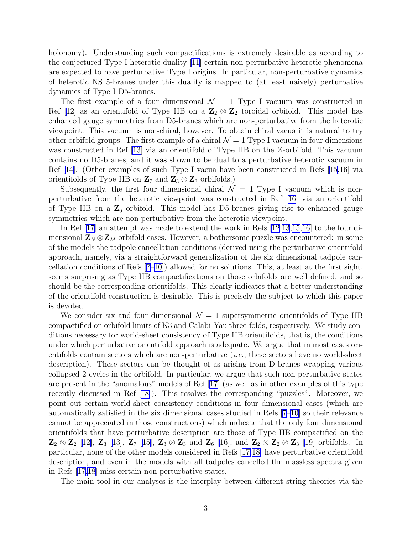holonomy). Understanding such compactifications is extremely desirable as according to the conjectured Type I-heterotic duality [\[11](#page-60-0)] certain non-perturbative heterotic phenomena are expected to have perturbative Type I origins. In particular, non-perturbative dynamics of heterotic NS 5-branes under this duality is mapped to (at least naively) perturbative dynamics of Type I D5-branes.

The first example of a four dimensional  $\mathcal{N} = 1$  Type I vacuum was constructed in Ref [\[12](#page-60-0)] as an orientifold of Type IIB on a  $\mathbb{Z}_2 \otimes \mathbb{Z}_2$  toroidal orbifold. This model has enhanced gauge symmetries from D5-branes which are non-perturbative from the heterotic viewpoint. This vacuum is non-chiral, however. To obtain chiral vacua it is natural to try other orbifold groups. The first example of a chiral  $\mathcal{N} = 1$  Type I vacuum in four dimensions wasconstructed in Ref [[13\]](#page-60-0) via an orientifold of Type IIB on the Z-orbifold. This vacuum contains no D5-branes, and it was shown to be dual to a perturbative heterotic vacuum in Ref [\[14\]](#page-60-0). (Other examples of such Type I vacua have been constructed in Refs[[15](#page-60-0),[16](#page-60-0)] via orientifolds of Type IIB on  $\mathbb{Z}_7$  and  $\mathbb{Z}_3 \otimes \mathbb{Z}_3$  orbifolds.)

Subsequently, the first four dimensional chiral  $\mathcal{N} = 1$  Type I vacuum which is nonperturbative from the heterotic viewpoint was constructed in Ref [\[16](#page-60-0)] via an orientifold of Type IIB on a  $\mathbb{Z}_6$  orbifold. This model has D5-branes giving rise to enhanced gauge symmetries which are non-perturbative from the heterotic viewpoint.

In Ref [\[17\]](#page-60-0) an attempt was made to extend the work in Refs [\[12,13,15,16\]](#page-60-0) to the four dimensional  $\mathbf{Z}_N \otimes \mathbf{Z}_M$  orbifold cases. However, a bothersome puzzle was encountered: in some of the models the tadpole cancellation conditions (derived using the perturbative orientifold approach, namely, via a straightforward generalization of the six dimensional tadpole cancellation conditions of Refs[[7–10](#page-60-0)]) allowed for no solutions. This, at least at the first sight, seems surprising as Type IIB compactifications on those orbifolds are well defined, and so should be the corresponding orientifolds. This clearly indicates that a better understanding of the orientifold construction is desirable. This is precisely the subject to which this paper is devoted.

We consider six and four dimensional  $\mathcal{N} = 1$  supersymmetric orientifolds of Type IIB compactified on orbifold limits of K3 and Calabi-Yau three-folds, respectively. We study conditions necessary for world-sheet consistency of Type IIB orientifolds, that is, the conditions under which perturbative orientifold approach is adequate. We argue that in most cases orientifolds contain sectors which are non-perturbative (i.e., these sectors have no world-sheet description). These sectors can be thought of as arising from D-branes wrapping various collapsed 2-cycles in the orbifold. In particular, we argue that such non-perturbative states are present in the "anomalous" models of Ref [\[17\]](#page-60-0) (as well as in other examples of this type recently discussed in Ref [\[18](#page-60-0)]). This resolves the corresponding "puzzles". Moreover, we point out certain world-sheet consistency conditions in four dimensional cases (which are automatically satisfied in the six dimensional cases studied in Refs [\[7](#page-60-0)–[10\]](#page-60-0) so their relevance cannot be appreciated in those constructions) which indicate that the only four dimensional orientifolds that have perturbative description are those of Type IIB compactified on the  $\mathbb{Z}_2 \otimes \mathbb{Z}_2$  [\[12\]](#page-60-0),  $\mathbb{Z}_3$  [[13](#page-60-0)],  $\mathbb{Z}_7$  [[15\]](#page-60-0),  $\mathbb{Z}_3 \otimes \mathbb{Z}_3$  and  $\mathbb{Z}_6$  [\[16\]](#page-60-0), and  $\mathbb{Z}_2 \otimes \mathbb{Z}_2 \otimes \mathbb{Z}_3$  [\[19\]](#page-60-0) orbifolds. In particular, none of the other models considered in Refs[[17,18\]](#page-60-0) have perturbative orientifold description, and even in the models with all tadpoles cancelled the massless spectra given in Refs[[17,18\]](#page-60-0) miss certain non-perturbative states.

The main tool in our analyses is the interplay between different string theories via the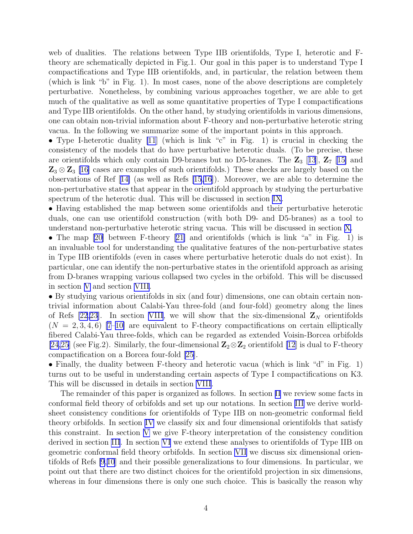web of dualities. The relations between Type IIB orientifolds, Type I, heterotic and Ftheory are schematically depicted in Fig.1. Our goal in this paper is to understand Type I compactifications and Type IIB orientifolds, and, in particular, the relation between them (which is link "b" in Fig. 1). In most cases, none of the above descriptions are completely perturbative. Nonetheless, by combining various approaches together, we are able to get much of the qualitative as well as some quantitative properties of Type I compactifications and Type IIB orientifolds. On the other hand, by studying orientifolds in various dimensions, one can obtain non-trivial information about F-theory and non-perturbative heterotic string vacua. In the following we summarize some of the important points in this approach.

• Type I-heterotic duality [\[11](#page-60-0)] (which is link "c" in Fig. 1) is crucial in checking the consistency of the models that do have perturbative heterotic duals. (To be precise, these are orientifolds which only contain D9-branes but no D5-branes. The  $\mathbb{Z}_3$  [[13](#page-60-0)],  $\mathbb{Z}_7$  [\[15\]](#page-60-0) and  $\mathbb{Z}_3 \otimes \mathbb{Z}_3$  [\[16\]](#page-60-0) cases are examples of such orientifolds.) These checks are largely based on the observations of Ref[[14\]](#page-60-0) (as well as Refs [\[15,16](#page-60-0)]). Moreover, we are able to determine the non-perturbative states that appear in the orientifold approach by studying the perturbative spectrum of the heterotic dual. This will be discussed in section [IX](#page-41-0).

• Having established the map between some orientifolds and their perturbative heterotic duals, one can use orientifold construction (with both D9- and D5-branes) as a tool to understand non-perturbative heterotic string vacua. This will be discussed in section [X.](#page-43-0)

• The map [\[20\]](#page-60-0)between F-theory [[21\]](#page-60-0) and orientifolds (which is link "a" in Fig. 1) is an invaluable tool for understanding the qualitative features of the non-perturbative states in Type IIB orientifolds (even in cases where perturbative heterotic duals do not exist). In particular, one can identify the non-perturbative states in the orientifold approach as arising from D-branes wrapping various collapsed two cycles in the orbifold. This will be discussed in section [V](#page-14-0) and section [VIII](#page-29-0).

• By studying various orientifolds in six (and four) dimensions, one can obtain certain nontrivial information about Calabi-Yau three-fold (and four-fold) geometry along the lines of Refs [\[22,23](#page-60-0)]. In section [VIII](#page-29-0), we will show that the six-dimensional  $\mathbf{Z}_N$  orientifolds  $(N = 2, 3, 4, 6)$  [\[7](#page-60-0)-[10\]](#page-60-0) are equivalent to F-theory compactifications on certain elliptically fibered Calabi-Yau three-folds, which can be regarded as extended Voisin-Borcea orbifolds [\[24,25\]](#page-60-0) (see Fig.2). Similarly, the four-dimensional  $\mathbb{Z}_2 \otimes \mathbb{Z}_2$  orientifold [\[12](#page-60-0)] is dual to F-theory compactification on a Borcea four-fold [\[25](#page-60-0)].

• Finally, the duality between F-theory and heterotic vacua (which is link "d" in Fig. 1) turns out to be useful in understanding certain aspects of Type I compactifications on K3. This will be discussed in details in section [VIII](#page-29-0).

The remainder of this paper is organized as follows. In section [II](#page-4-0) we review some facts in conformal field theory of orbifolds and set up our notations. In section [III](#page-8-0) we derive worldsheet consistency conditions for orientifolds of Type IIB on non-geometric conformal field theory orbifolds. In section [IV](#page-11-0) we classify six and four dimensional orientifolds that satisfy this constraint. In section [V](#page-14-0) we give F-theory interpretation of the consistency condition derived in section [III](#page-8-0). In section [VI](#page-19-0) we extend these analyses to orientifolds of Type IIB on geometric conformal field theory orbifolds. In section [VII](#page-22-0) we discuss six dimensional orientifolds of Refs [\[9](#page-60-0),[10](#page-60-0)] and their possible generalizations to four dimensions. In particular, we point out that there are two distinct choices for the orientifold projection in six dimensions, whereas in four dimensions there is only one such choice. This is basically the reason why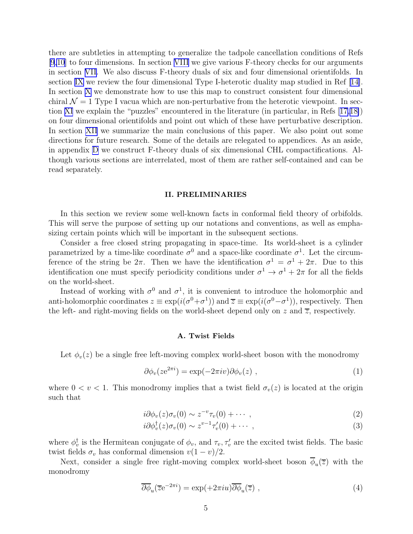<span id="page-4-0"></span>there are subtleties in attempting to generalize the tadpole cancellation conditions of Refs [\[9,10](#page-60-0)] to four dimensions. In section [VIII](#page-29-0) we give various F-theory checks for our arguments in section [VII](#page-22-0). We also discuss F-theory duals of six and four dimensional orientifolds. In section [IX](#page-41-0) we review the four dimensional Type I-heterotic duality map studied in Ref [\[14\]](#page-60-0). In section [X](#page-43-0) we demonstrate how to use this map to construct consistent four dimensional chiral  $\mathcal{N} = 1$  Type I vacua which are non-perturbative from the heterotic viewpoint. In section [XI](#page-44-0) we explain the "puzzles" encountered in the literature (in particular, in Refs[[17,18\]](#page-60-0)) on four dimensional orientifolds and point out which of these have perturbative description. In section [XII](#page-48-0) we summarize the main conclusions of this paper. We also point out some directions for future research. Some of the details are relegated to appendices. As an aside, in appendix [D](#page-53-0) we construct F-theory duals of six dimensional CHL compactifications. Although various sections are interrelated, most of them are rather self-contained and can be read separately.

#### II. PRELIMINARIES

In this section we review some well-known facts in conformal field theory of orbifolds. This will serve the purpose of setting up our notations and conventions, as well as emphasizing certain points which will be important in the subsequent sections.

Consider a free closed string propagating in space-time. Its world-sheet is a cylinder parametrized by a time-like coordinate  $\sigma^0$  and a space-like coordinate  $\sigma^1$ . Let the circumference of the string be  $2\pi$ . Then we have the identification  $\sigma^1 = \sigma^1 + 2\pi$ . Due to this identification one must specify periodicity conditions under  $\sigma^1 \to \sigma^1 + 2\pi$  for all the fields on the world-sheet.

Instead of working with  $\sigma^0$  and  $\sigma^1$ , it is convenient to introduce the holomorphic and anti-holomorphic coordinates  $z \equiv \exp(i(\sigma^0 + \sigma^1))$  and  $\overline{z} \equiv \exp(i(\sigma^0 - \sigma^1))$ , respectively. Then the left- and right-moving fields on the world-sheet depend only on z and  $\overline{z}$ , respectively.

#### A. Twist Fields

Let  $\phi_v(z)$  be a single free left-moving complex world-sheet boson with the monodromy

$$
\partial \phi_v(ze^{2\pi i}) = \exp(-2\pi iv)\partial \phi_v(z) , \qquad (1)
$$

where  $0 < v < 1$ . This monodromy implies that a twist field  $\sigma_v(z)$  is located at the origin such that

$$
i\partial\phi_v(z)\sigma_v(0) \sim z^{-v}\tau_v(0) + \cdots , \qquad (2)
$$

$$
i\partial \phi_v^{\dagger}(z)\sigma_v(0) \sim z^{v-1}\tau'_v(0) + \cdots , \qquad (3)
$$

where  $\phi_v^{\dagger}$  is the Hermitean conjugate of  $\phi_v$ , and  $\tau_v, \tau_v'$  are the excited twist fields. The basic twist fields  $\sigma_v$  has conformal dimension  $v(1-v)/2$ .

Next, consider a single free right-moving complex world-sheet boson  $\phi_u(\overline{z})$  with the monodromy

$$
\overline{\partial \phi}_u(\overline{z}e^{-2\pi i}) = \exp(+2\pi i u)\overline{\partial \phi}_u(\overline{z}) , \qquad (4)
$$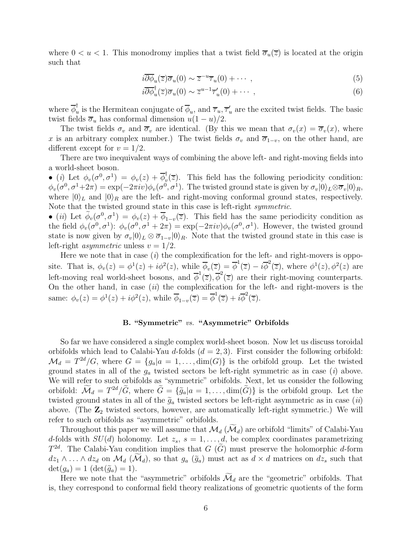where  $0 < u < 1$ . This monodromy implies that a twist field  $\overline{\sigma}_u(\overline{z})$  is located at the origin such that

$$
i\overline{\partial}\phi_u(\overline{z})\overline{\sigma}_u(0) \sim \overline{z}^{-u}\overline{\tau}_u(0) + \cdots , \qquad (5)
$$

$$
i\overline{\partial \phi}_u^{\dagger}(\overline{z})\overline{\sigma}_u(0) \sim \overline{z}^{u-1}\overline{\tau}_u'(0) + \cdots , \qquad (6)
$$

where  $\overline{\phi}_{u}^{\dagger}$  $\bar{u}_u$  is the Hermitean conjugate of  $\bar{\phi}_u$ , and  $\bar{\tau}_u, \bar{\tau}'_u$  are the excited twist fields. The basic twist fields  $\overline{\sigma}_u$  has conformal dimension  $u(1-u)/2$ .

The twist fields  $\sigma_v$  and  $\overline{\sigma}_v$  are identical. (By this we mean that  $\sigma_v(x) = \overline{\sigma}_v(x)$ , where x is an arbitrary complex number.) The twist fields  $\sigma_v$  and  $\overline{\sigma}_{1-v}$ , on the other hand, are different except for  $v = 1/2$ .

There are two inequivalent ways of combining the above left- and right-moving fields into a world-sheet boson.

• (*i*) Let  $\phi_v(\sigma^0, \sigma^1) = \phi_v(z) + \overline{\phi}_v^{\dagger}$  $v_v^{\dagger}(\overline{z})$ . This field has the following periodicity condition:  $\phi_v(\sigma^0, \sigma^1 + 2\pi) = \exp(-2\pi i v) \phi_v(\sigma^0, \sigma^1)$ . The twisted ground state is given by  $\sigma_v(0)_L \otimes \overline{\sigma}_v(0)_R$ , where  $|0\rangle_L$  and  $|0\rangle_R$  are the left- and right-moving conformal ground states, respectively. Note that the twisted ground state in this case is left-right symmetric.

• (*ii*) Let  $\phi_v(\sigma^0, \sigma^1) = \phi_v(z) + \overline{\phi}_{1-v}(\overline{z})$ . This field has the same periodicity condition as the field  $\phi_v(\sigma^0, \sigma^1)$ :  $\phi_v(\sigma^0, \sigma^1 + 2\pi) = \exp(-2\pi i v) \phi_v(\sigma^0, \sigma^1)$ . However, the twisted ground state is now given by  $\sigma_v|0\rangle_L \otimes \overline{\sigma}_{1-v}|0\rangle_R$ . Note that the twisted ground state in this case is left-right *asymmetric* unless  $v = 1/2$ .

Here we note that in case  $(i)$  the complexification for the left- and right-movers is opposite. That is,  $\phi_v(z) = \phi^1(z) + i\phi^2(z)$ , while  $\overline{\phi}_v(\overline{z}) = \overline{\phi}^1(\overline{z}) - i\overline{\phi}^2(\overline{z})$ , where  $\phi^1(z), \phi^2(z)$  are left-moving real world-sheet bosons, and  $\overline{\phi}^1(\overline{z}), \overline{\phi}^2(\overline{z})$  are their right-moving counterparts. On the other hand, in case  $(ii)$  the complexification for the left- and right-movers is the same:  $\phi_v(z) = \phi^1(z) + i\phi^2(z)$ , while  $\overline{\phi}_{1-v}(\overline{z}) = \overline{\phi}^1(\overline{z}) + i\overline{\phi}^2(\overline{z})$ .

### B. "Symmetric" vs. "Asymmetric" Orbifolds

So far we have considered a single complex world-sheet boson. Now let us discuss toroidal orbifolds which lead to Calabi-Yau d-folds  $(d = 2, 3)$ . First consider the following orbifold:  $\mathcal{M}_d = T^{2d}/G$ , where  $G = \{g_a | a = 1, \ldots, \dim(G)\}\$ is the orbifold group. Let the twisted ground states in all of the  $g_a$  twisted sectors be left-right symmetric as in case (i) above. We will refer to such orbifolds as "symmetric" orbifolds. Next, let us consider the following orbifold:  $\mathcal{M}_d = T^{2d}/\tilde{G}$ , where  $\tilde{G} = {\tilde{g}_a | a = 1, ..., dim(\tilde{G})}$  is the orbifold group. Let the twisted ground states in all of the  $\tilde{g}_a$  twisted sectors be left-right asymmetric as in case (ii) above. (The  $\mathbb{Z}_2$  twisted sectors, however, are automatically left-right symmetric.) We will refer to such orbifolds as "asymmetric" orbifolds.

Throughout this paper we will assume that  $\mathcal{M}_d$  ( $\widetilde{\mathcal{M}}_d$ ) are orbifold "limits" of Calabi-Yau d-folds with  $SU(d)$  holonomy. Let  $z_s$ ,  $s = 1, \ldots, d$ , be complex coordinates parametrizing  $T^{2d}$ . The Calabi-Yau condition implies that  $G(G)$  must preserve the holomorphic d-form  $dz_1 \wedge \ldots \wedge dz_d$  on  $\mathcal{M}_d$   $(\mathcal{M}_d)$ , so that  $g_a$   $(\widetilde{g}_a)$  must act as  $d \times d$  matrices on  $dz_s$  such that  $\det(g_a) = 1 \; (\det(\tilde{g}_a) = 1).$ 

Here we note that the "asymmetric" orbifolds  $\widetilde{\mathcal{M}}_d$  are the "geometric" orbifolds. That is, they correspond to conformal field theory realizations of geometric quotients of the form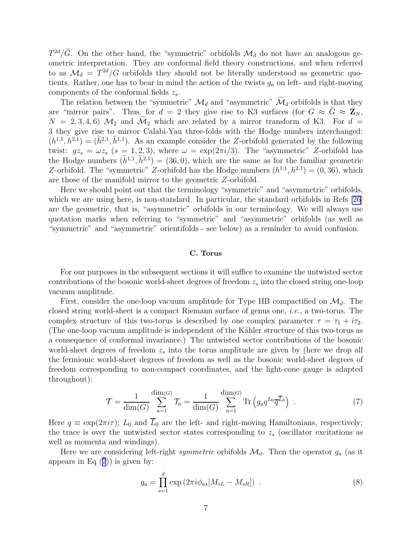<span id="page-6-0"></span> $T^{2d}/\tilde{G}$ . On the other hand, the "symmetric" orbifolds  $\mathcal{M}_d$  do not have an analogous geometric interpretation. They are conformal field theory constructions, and when referred to as  $\mathcal{M}_d = T^{2d}/G$  orbifolds they should not be literally understood as geometric quotients. Rather, one has to bear in mind the action of the twists  $g_a$  on left- and right-moving components of the conformal fields  $z_s$ .

The relation between the "symmetric"  $\mathcal{M}_d$  and "asymmetric"  $\widetilde{\mathcal{M}}_d$  orbifolds is that they are "mirror pairs". Thus, for  $d = 2$  they give rise to K3 surfaces (for  $G \approx \tilde{G} \approx \mathbf{Z}_N$ ,  $N = 2, 3, 4, 6$   $\mathcal{M}_2$  and  $\widetilde{\mathcal{M}}_2$  which are related by a mirror transform of K3. For  $d =$ 3 they give rise to mirror Calabi-Yau three-folds with the Hodge numbers interchanged:  $(h^{1,1}, h^{2,1}) = (h^{2,1}, h^{1,1})$ . As an example consider the Z-orbifold generated by the following twist:  $gz_s = \omega z_s$  ( $s = 1, 2, 3$ ), where  $\omega = \exp(2\pi i/3)$ . The "asymmetric" Z-orbifold has the Hodge numbers  $(\tilde{h}^{1,1}, \tilde{h}^{2,1}) = (36, 0)$ , which are the same as for the familiar geometric Z-orbifold. The "symmetric" Z-orbifold has the Hodge numbers  $(h^{1,1}, h^{2,1}) = (0, 36)$ , which are those of the manifold mirror to the geometric Z-orbifold.

Here we should point out that the terminology "symmetric" and "asymmetric" orbifolds, which we are using here, is non-standard. In particular, the standard orbifolds in Refs [\[26](#page-60-0)] are the geometric, that is, "asymmetric" orbifolds in our terminology. We will always use quotation marks when referring to "symmetric" and "asymmetric" orbifolds (as well as "symmetric" and "asymmetric" orientifolds - see below) as a reminder to avoid confusion.

#### C. Torus

For our purposes in the subsequent sections it will suffice to examine the untwisted sector contributions of the bosonic world-sheet degrees of freedom  $z<sub>s</sub>$  into the closed string one-loop vacuum amplitude.

First, consider the one-loop vacuum amplitude for Type IIB compactified on  $\mathcal{M}_d$ . The closed string world-sheet is a compact Riemann surface of genus one, i.e., a two-torus. The complex structure of this two-torus is described by one complex parameter  $\tau = \tau_1 + i\tau_2$ . (The one-loop vacuum amplitude is independent of the Kähler structure of this two-torus as a consequence of conformal invariance.) The untwisted sector contributions of the bosonic world-sheet degrees of freedom  $z<sub>s</sub>$  into the torus amplitude are given by (here we drop all the fermionic world-sheet degrees of freedom as well as the bosonic world-sheet degrees of freedom corresponding to non-compact coordinates, and the light-cone gauge is adapted throughout):

$$
\mathcal{T} = \frac{1}{\dim(G)} \sum_{a=1}^{\dim(G)} \mathcal{T}_a = \frac{1}{\dim(G)} \sum_{a=1}^{\dim(G)} \text{Tr}\left(g_a q^{L_0} \overline{q}^{\overline{L}_0}\right) \tag{7}
$$

Here  $q \equiv \exp(2\pi i \tau)$ ;  $L_0$  and  $\overline{L}_0$  are the left- and right-moving Hamiltonians, respectively; the trace is over the untwisted sector states corresponding to  $z<sub>s</sub>$  (oscillator excitations as well as momenta and windings).

Here we are considering left-right *symmetric* orbifolds  $\mathcal{M}_d$ . Then the operator  $g_a$  (as it appears in Eq  $(7)$  is given by:

$$
g_a = \prod_{s=1}^d \exp(2\pi i \phi_{as} [M_{sL} - M_{sR}]) \tag{8}
$$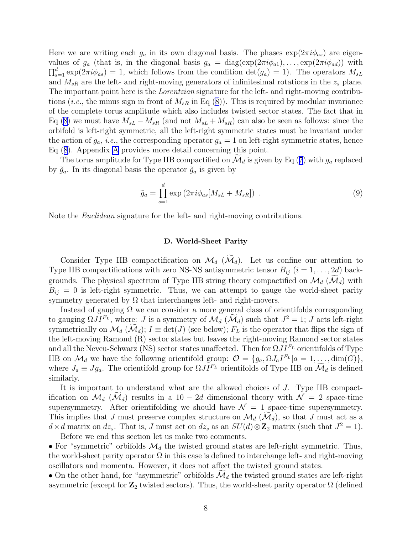<span id="page-7-0"></span>Here we are writing each  $g_a$  in its own diagonal basis. The phases  $\exp(2\pi i \phi_{as})$  are eigenvalues of  $g_a$  (that is, in the diagonal basis  $g_a = \text{diag}(\exp(2\pi i \phi_{a1}), \dots, \exp(2\pi i \phi_{ad}))$  with  $\prod_{s=1}^d \exp(2\pi i \phi_{as}) = 1$ , which follows from the condition  $\det(g_a) = 1$ ). The operators  $M_{sL}$ and  $M_{sR}$  are the left- and right-moving generators of infinitesimal rotations in the  $z_s$  plane. The important point here is the *Lorentzian* signature for the left- and right-moving contributions (*i.e.*, the minus sign in front of  $M_{sR}$  in Eq [\(8](#page-6-0))). This is required by modular invariance of the complete torus amplitude which also includes twisted sector states. The fact that in Eq [\(8](#page-6-0)) we must have  $M_{sL} - M_{sR}$  (and not  $M_{sL} + M_{sR}$ ) can also be seen as follows: since the orbifold is left-right symmetric, all the left-right symmetric states must be invariant under the action of  $g_a$ , *i.e.*, the corresponding operator  $g_a = 1$  on left-right symmetric states, hence Eq([8](#page-6-0)). Appendix [A](#page-50-0) provides more detail concerning this point.

Thetorus amplitude for Type IIB compactified on  $\mathcal{M}_d$  is given by Eq ([7](#page-6-0)) with  $g_a$  replaced by  $\tilde{g}_a$ . In its diagonal basis the operator  $\tilde{g}_a$  is given by

$$
\tilde{g}_a = \prod_{s=1}^d \exp\left(2\pi i \phi_{as}[M_{sL} + M_{sR}]\right) \tag{9}
$$

Note the Euclidean signature for the left- and right-moving contributions.

### D. World-Sheet Parity

Consider Type IIB compactification on  $\mathcal{M}_d$  ( $\widetilde{\mathcal{M}}_d$ ). Let us confine our attention to Type IIB compactifications with zero NS-NS antisymmetric tensor  $B_{ij}$   $(i = 1, \ldots, 2d)$  backgrounds. The physical spectrum of Type IIB string theory compactified on  $\mathcal{M}_d$   $(\mathcal{M}_d)$  with  $B_{ij} = 0$  is left-right symmetric. Thus, we can attempt to gauge the world-sheet parity symmetry generated by  $\Omega$  that interchanges left- and right-movers.

Instead of gauging  $\Omega$  we can consider a more general class of orientifolds corresponding to gauging  $\Omega J I^{F_L}$ , where: J is a symmetry of  $\mathcal{M}_d$  ( $\mathcal{M}_d$ ) such that  $J^2 = 1$ ; J acts left-right symmetrically on  $\mathcal{M}_d(\mathcal{M}_d); I \equiv \det(J)$  (see below);  $F_L$  is the operator that flips the sign of the left-moving Ramond (R) sector states but leaves the right-moving Ramond sector states and all the Neveu-Schwarz (NS) sector states unaffected. Then for  $\Omega J I^{F_L}$  orientifolds of Type IIB on  $\mathcal{M}_d$  we have the following orientifold group:  $\mathcal{O} = \{g_a, \Omega J_a I^{F_L} | a = 1, \dots, \dim(G) \},$ where  $J_a \equiv Jg_a$ . The orientifold group for  $\Omega J I^{F_L}$  orientifolds of Type IIB on  $\widetilde{\mathcal{M}}_d$  is defined similarly.

It is important to understand what are the allowed choices of J. Type IIB compactification on  $\mathcal{M}_d$  ( $\mathcal{M}_d$ ) results in a 10 – 2d dimensional theory with  $\mathcal{N} = 2$  space-time supersymmetry. After orientifolding we should have  $\mathcal{N} = 1$  space-time supersymmetry. This implies that J must preserve complex structure on  $\mathcal{M}_d$  ( $\mathcal{M}_d$ ), so that J must act as a  $d \times d$  matrix on  $dz_s$ . That is, J must act on  $dz_s$  as an  $SU(d) \otimes \mathbb{Z}_2$  matrix (such that  $J^2 = 1$ ). Before we end this section let us make two comments.

• For "symmetric" orbifolds  $\mathcal{M}_d$  the twisted ground states are left-right symmetric. Thus, the world-sheet parity operator  $\Omega$  in this case is defined to interchange left- and right-moving oscillators and momenta. However, it does not affect the twisted ground states.

• On the other hand, for "asymmetric" orbifolds  $\mathcal{M}_d$  the twisted ground states are left-right asymmetric (except for  $\mathbb{Z}_2$  twisted sectors). Thus, the world-sheet parity operator  $\Omega$  (defined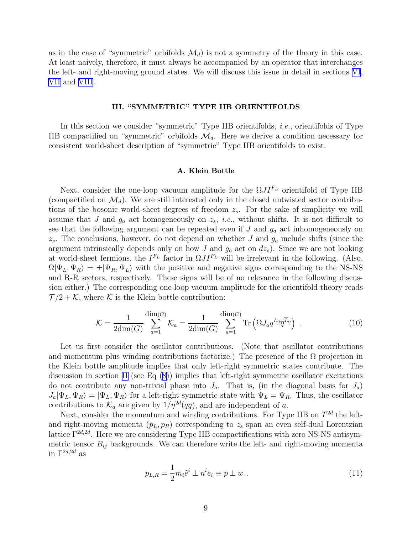<span id="page-8-0"></span>as in the case of "symmetric" orbifolds  $\mathcal{M}_d$ ) is not a symmetry of the theory in this case. At least naively, therefore, it must always be accompanied by an operator that interchanges the left- and right-moving ground states. We will discuss this issue in detail in sections [VI,](#page-19-0) [VII](#page-22-0) and [VIII](#page-29-0).

### III. "SYMMETRIC" TYPE IIB ORIENTIFOLDS

In this section we consider "symmetric" Type IIB orientifolds, i.e., orientifolds of Type IIB compactified on "symmetric" orbifolds  $\mathcal{M}_d$ . Here we derive a condition necessary for consistent world-sheet description of "symmetric" Type IIB orientifolds to exist.

### A. Klein Bottle

Next, consider the one-loop vacuum amplitude for the  $\Omega J I^{F_L}$  orientifold of Type IIB (compactified on  $\mathcal{M}_d$ ). We are still interested only in the closed untwisted sector contributions of the bosonic world-sheet degrees of freedom  $z_s$ . For the sake of simplicity we will assume that J and  $g_a$  act homogeneously on  $z_s$ , *i.e.*, without shifts. It is not difficult to see that the following argument can be repeated even if  $J$  and  $g_a$  act inhomogeneously on  $z_s$ . The conclusions, however, do not depend on whether J and  $g_a$  include shifts (since the argument intrinsically depends only on how J and  $g_a$  act on  $dz_s$ ). Since we are not looking at world-sheet fermions, the  $I^{F_L}$  factor in  $\Omega J I^{F_L}$  will be irrelevant in the following. (Also,  $\Omega|\Psi_L, \Psi_R\rangle = \pm |\Psi_R, \Psi_L\rangle$  with the positive and negative signs corresponding to the NS-NS and R-R sectors, respectively. These signs will be of no relevance in the following discussion either.) The corresponding one-loop vacuum amplitude for the orientifold theory reads  $\mathcal{T}/2 + \mathcal{K}$ , where  $\mathcal K$  is the Klein bottle contribution:

$$
\mathcal{K} = \frac{1}{2\dim(G)} \sum_{a=1}^{\dim(G)} \mathcal{K}_a = \frac{1}{2\dim(G)} \sum_{a=1}^{\dim(G)} \text{Tr}\left(\Omega J_a q^{L_0} \overline{q}^{\overline{L}_0}\right) \tag{10}
$$

Let us first consider the oscillator contributions. (Note that oscillator contributions and momentum plus winding contributions factorize.) The presence of the  $\Omega$  projection in the Klein bottle amplitude implies that only left-right symmetric states contribute. The discussion in section [II](#page-4-0) (see Eq([8\)](#page-6-0)) implies that left-right symmetric oscillator excitations do not contribute any non-trivial phase into  $J_a$ . That is, (in the diagonal basis for  $J_a$ )  $J_a|\Psi_L, \Psi_R\rangle = |\Psi_L, \Psi_R\rangle$  for a left-right symmetric state with  $\Psi_L = \Psi_R$ . Thus, the oscillator contributions to  $\mathcal{K}_a$  are given by  $1/\eta^{2d}(q\overline{q})$ , and are independent of a.

Next, consider the momentum and winding contributions. For Type IIB on  $T^{2d}$  the leftand right-moving momenta  $(p_L, p_R)$  corresponding to  $z_s$  span an even self-dual Lorentzian lattice  $\Gamma^{2d,2d}$ . Here we are considering Type IIB compactifications with zero NS-NS antisymmetric tensor  $B_{ij}$  backgrounds. We can therefore write the left- and right-moving momenta in  $\Gamma^{2d,2d}$  as

$$
p_{L,R} = \frac{1}{2} m_i \tilde{e}^i \pm n^i e_i \equiv p \pm w \tag{11}
$$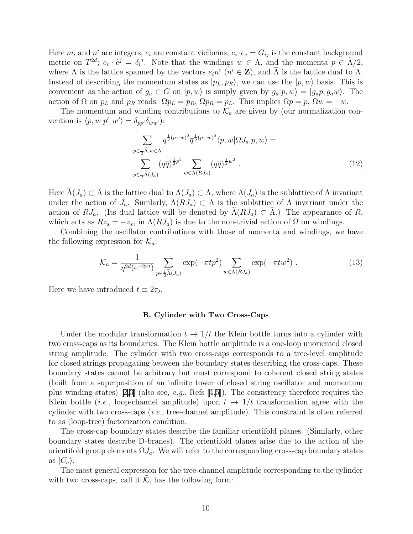<span id="page-9-0"></span>Here  $m_i$  and  $n^i$  are integers;  $e_i$  are constant vielbeins;  $e_i \cdot e_j = G_{ij}$  is the constant background metric on  $T^{2d}$ ;  $e_i \cdot \tilde{e}^j = \delta_i^j$ . Note that the windings  $w \in \Lambda$ , and the momenta  $p \in \tilde{\Lambda}/2$ , where  $\Lambda$  is the lattice spanned by the vectors  $e_i n^i$   $(n^i \in \mathbf{Z})$ , and  $\Lambda$  is the lattice dual to  $\Lambda$ . Instead of describing the momentum states as  $|p_L, p_R\rangle$ , we can use the  $|p, w\rangle$  basis. This is convenient as the action of  $g_a \in G$  on  $|p, w\rangle$  is simply given by  $g_a|p, w\rangle = |g_a p, g_a w\rangle$ . The action of  $\Omega$  on  $p_L$  and  $p_R$  reads:  $\Omega p_L = p_R$ ,  $\Omega p_R = p_L$ . This implies  $\Omega p = p$ ,  $\Omega w = -w$ .

The momentum and winding contributions to  $\mathcal{K}_a$  are given by (our normalization convention is  $\langle p, w | p', w' \rangle = \delta_{pp'} \delta_{ww'}$ ):

$$
\sum_{p\in\frac{1}{2}\widetilde{\Lambda},w\in\Lambda} q^{\frac{1}{2}(p+w)^2} \overline{q}^{\frac{1}{2}(p-w)^2} \langle p,w|\Omega J_a|p,w\rangle =
$$
\n
$$
\sum_{p\in\frac{1}{2}\widetilde{\Lambda}(J_a)} (q\overline{q})^{\frac{1}{2}p^2} \sum_{w\in\Lambda(RJ_a)} (q\overline{q})^{\frac{1}{2}w^2}.
$$
\n(12)

Here  $\tilde{\Lambda}(J_a) \subset \tilde{\Lambda}$  is the lattice dual to  $\Lambda(J_a) \subset \Lambda$ , where  $\Lambda(J_a)$  is the sublattice of  $\Lambda$  invariant under the action of  $J_a$ . Similarly,  $\Lambda(RJ_a) \subset \Lambda$  is the sublattice of  $\Lambda$  invariant under the action of  $RJ_a$ . (Its dual lattice will be denoted by  $\Lambda(RJ_a) \subset \Lambda$ .) The appearance of R, which acts as  $Rz_s = -z_s$ , in  $\Lambda(RJ_a)$  is due to the non-trivial action of  $\Omega$  on windings.

Combining the oscillator contributions with those of momenta and windings, we have the following expression for  $\mathcal{K}_a$ :

$$
\mathcal{K}_a = \frac{1}{\eta^{2d}(\mathbf{e}^{-2\pi t})} \sum_{p \in \frac{1}{2}\widetilde{\Lambda}(J_a)} \exp(-\pi t p^2) \sum_{w \in \Lambda(RJ_a)} \exp(-\pi t w^2) . \tag{13}
$$

Here we have introduced  $t \equiv 2\tau_2$ .

### B. Cylinder with Two Cross-Caps

Under the modular transformation  $t \to 1/t$  the Klein bottle turns into a cylinder with two cross-caps as its boundaries. The Klein bottle amplitude is a one-loop unoriented closed string amplitude. The cylinder with two cross-caps corresponds to a tree-level amplitude for closed strings propagating between the boundary states describing the cross-caps. These boundary states cannot be arbitrary but must correspond to coherent closed string states (built from a superposition of an infinite tower of closed string oscillator and momentum pluswinding states) [[2,3\]](#page-60-0) (also see, e.g., Refs [[4](#page-60-0),[5\]](#page-60-0)). The consistency therefore requires the Klein bottle (*i.e.*, loop-channel amplitude) upon  $t \to 1/t$  transformation agree with the cylinder with two cross-caps  $(i.e.,$  tree-channel amplitude). This constraint is often referred to as (loop-tree) factorization condition.

The cross-cap boundary states describe the familiar orientifold planes. (Similarly, other boundary states describe D-branes). The orientifold planes arise due to the action of the orientifold group elements  $\Omega J_a$ . We will refer to the corresponding cross-cap boundary states as  $|C_a\rangle$ .

The most general expression for the tree-channel amplitude corresponding to the cylinder with two cross-caps, call it  $\hat{K}$ , has the following form: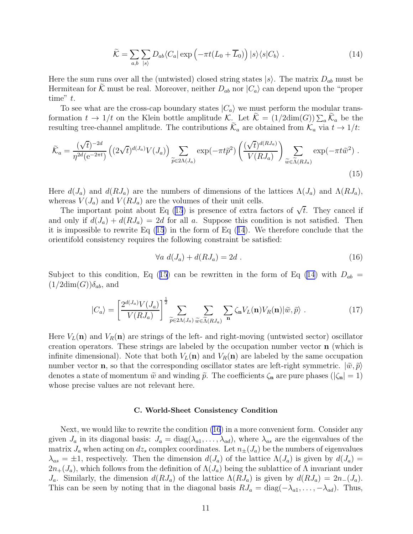$$
\widetilde{\mathcal{K}} = \sum_{a,b} \sum_{|s\rangle} D_{ab} \langle C_a | \exp\left(-\pi t (L_0 + \overline{L}_0)\right) |s\rangle \langle s | C_b \rangle \tag{14}
$$

<span id="page-10-0"></span>Here the sum runs over all the (untwisted) closed string states  $|s\rangle$ . The matrix  $D_{ab}$  must be Hermitean for  $\hat{K}$  must be real. Moreover, neither  $D_{ab}$  nor  $|C_a\rangle$  can depend upon the "proper time" t.

To see what are the cross-cap boundary states  $|C_a\rangle$  we must perform the modular transformation  $t \to 1/t$  on the Klein bottle amplitude  $\mathcal{K}$ . Let  $\widetilde{\mathcal{K}} = (1/2\dim(G)) \sum_a \widetilde{\mathcal{K}}_a$  be the resulting tree-channel amplitude. The contributions  $\mathcal{K}_a$  are obtained from  $\mathcal{K}_a$  via  $t \to 1/t$ :

$$
\widetilde{\mathcal{K}}_a = \frac{(\sqrt{t})^{-2d}}{\eta^{2d}(e^{-2\pi t})} \left( (2\sqrt{t})^{d(J_a)} V(J_a) \right) \sum_{\widetilde{p} \in 2\Lambda(J_a)} \exp(-\pi t \widetilde{p}^2) \left( \frac{(\sqrt{t})^{d(RJ_a)}}{V(RJ_a)} \right) \sum_{\widetilde{w} \in \widetilde{\Lambda}(RJ_a)} \exp(-\pi t \widetilde{w}^2) . \tag{15}
$$

Here  $d(J_a)$  and  $d(RJ_a)$  are the numbers of dimensions of the lattices  $\Lambda(J_a)$  and  $\Lambda(RJ_a)$ , whereas  $V(J_a)$  and  $V(RJ_a)$  are the volumes of their unit cells.

The important point about Eq (15) is presence of extra factors of  $\sqrt{t}$ . They cancel if and only if  $d(J_a) + d(RJ_a) = 2d$  for all a. Suppose this condition is not satisfied. Then it is impossible to rewrite Eq  $(15)$  in the form of Eq  $(14)$ . We therefore conclude that the orientifold consistency requires the following constraint be satisfied:

$$
\forall a \ d(J_a) + d(RJ_a) = 2d \ . \tag{16}
$$

Subject to this condition, Eq (15) can be rewritten in the form of Eq (14) with  $D_{ab}$  =  $(1/2\dim(G))\delta_{ab}$ , and

$$
|C_a\rangle = \left[\frac{2^{d(J_a)}V(J_a)}{V(RJ_a)}\right]^{\frac{1}{2}} \sum_{\widetilde{p}\in 2\Lambda(J_a)} \sum_{\widetilde{w}\in \widetilde{\Lambda}(RJ_a)} \sum_{\mathbf{n}} \zeta_{\mathbf{n}} V_L(\mathbf{n}) V_R(\mathbf{n}) |\widetilde{w}, \widetilde{p}\rangle. \tag{17}
$$

Here  $V_L(\mathbf{n})$  and  $V_R(\mathbf{n})$  are strings of the left- and right-moving (untwisted sector) oscillator creation operators. These strings are labeled by the occupation number vector n (which is infinite dimensional). Note that both  $V_L(\mathbf{n})$  and  $V_R(\mathbf{n})$  are labeled by the same occupation number vector **n**, so that the corresponding oscillator states are left-right symmetric.  $|\tilde{w}, \tilde{p}\rangle$ denotes a state of momentum  $\tilde{w}$  and winding  $\tilde{p}$ . The coefficients  $\zeta_n$  are pure phases  $(|\zeta_n| = 1)$ whose precise values are not relevant here.

#### C. World-Sheet Consistency Condition

Next, we would like to rewrite the condition (16) in a more convenient form. Consider any given  $J_a$  in its diagonal basis:  $J_a = \text{diag}(\lambda_{a1}, \dots, \lambda_{ad})$ , where  $\lambda_{as}$  are the eigenvalues of the matrix  $J_a$  when acting on  $dz_s$  complex coordinates. Let  $n_{\pm}(J_a)$  be the numbers of eigenvalues  $\lambda_{as} = \pm 1$ , respectively. Then the dimension  $d(J_a)$  of the lattice  $\Lambda(J_a)$  is given by  $d(J_a) =$  $2n_{+}(J_a)$ , which follows from the definition of  $\Lambda(J_a)$  being the sublattice of  $\Lambda$  invariant under  $J_a$ . Similarly, the dimension  $d(RJ_a)$  of the lattice  $\Lambda(RJ_a)$  is given by  $d(RJ_a) = 2n_-(J_a)$ . This can be seen by noting that in the diagonal basis  $RJ_a = \text{diag}(-\lambda_{a1}, \dots, -\lambda_{ad})$ . Thus,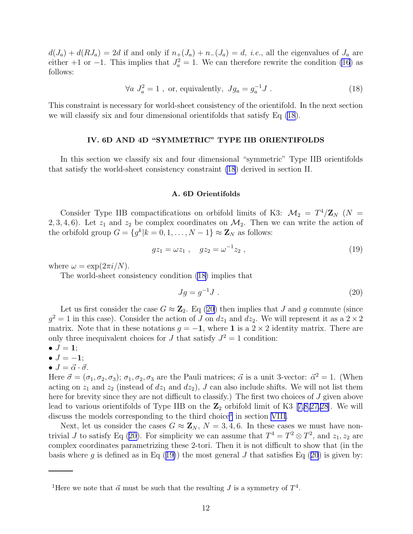<span id="page-11-0"></span> $d(J_a) + d(RJ_a) = 2d$  if and only if  $n_+(J_a) + n_-(J_a) = d$ , *i.e.*, all the eigenvalues of  $J_a$  are either +1 or −1. This implies that  $J_a^2 = 1$ . We can therefore rewrite the condition [\(16](#page-10-0)) as follows:

$$
\forall a \; J_a^2 = 1 \; , \text{ or, equivalently, } Jg_a = g_a^{-1}J \; . \tag{18}
$$

This constraint is necessary for world-sheet consistency of the orientifold. In the next section we will classify six and four dimensional orientifolds that satisfy Eq (18).

### IV. 6D AND 4D "SYMMETRIC" TYPE IIB ORIENTIFOLDS

In this section we classify six and four dimensional "symmetric" Type IIB orientifolds that satisfy the world-sheet consistency constraint (18) derived in section II.

#### A. 6D Orientifolds

Consider Type IIB compactifications on orbifold limits of K3:  $\mathcal{M}_2 = T^4/\mathbf{Z}_N$  (N = 2, 3, 4, 6). Let  $z_1$  and  $z_2$  be complex coordinates on  $\mathcal{M}_2$ . Then we can write the action of the orbifold group  $G = \{g^k | k = 0, 1, ..., N - 1\} \approx \mathbf{Z}_N$  as follows:

$$
gz_1 = \omega z_1 \ , \quad gz_2 = \omega^{-1} z_2 \ , \tag{19}
$$

where  $\omega = \exp(2\pi i/N)$ .

The world-sheet consistency condition (18) implies that

$$
Jg = g^{-1}J \tag{20}
$$

Let us first consider the case  $G \approx \mathbb{Z}_2$ . Eq (20) then implies that J and g commute (since  $g^2 = 1$  in this case). Consider the action of J on  $dz_1$  and  $dz_2$ . We will represent it as a  $2 \times 2$ matrix. Note that in these notations  $g = -1$ , where 1 is a 2 × 2 identity matrix. There are only three inequivalent choices for J that satisfy  $J^2 = 1$  condition:

- $J = 1$ ;
- $J = -1$ ;
- $J = \vec{\alpha} \cdot \vec{\sigma}$ .

Here  $\vec{\sigma} = (\sigma_1, \sigma_2, \sigma_3)$ ;  $\sigma_1, \sigma_2, \sigma_3$  are the Pauli matrices;  $\vec{\alpha}$  is a unit 3-vector:  $\vec{\alpha}^2 = 1$ . (When acting on  $z_1$  and  $z_2$  (instead of  $dz_1$  and  $dz_2$ ), J can also include shifts. We will not list them here for brevity since they are not difficult to classify.) The first two choices of J given above leadto various orientifolds of Type IIB on the  $\mathbb{Z}_2$  orbifold limit of K3 [[7,8,27,28\]](#page-60-0). We will discuss the models corresponding to the third choice<sup>1</sup> in section [VIII](#page-29-0).

Next, let us consider the cases  $G \approx \mathbb{Z}_N$ ,  $N = 3, 4, 6$ . In these cases we must have nontrivial J to satisfy Eq (20). For simplicity we can assume that  $T^4 = T^2 \otimes T^2$ , and  $z_1, z_2$  are complex coordinates parametrizing these 2-tori. Then it is not difficult to show that (in the basis where g is defined as in Eq (19)) the most general J that satisfies Eq (20) is given by:

<sup>&</sup>lt;sup>1</sup>Here we note that  $\vec{\alpha}$  must be such that the resulting J is a symmetry of  $T^4$ .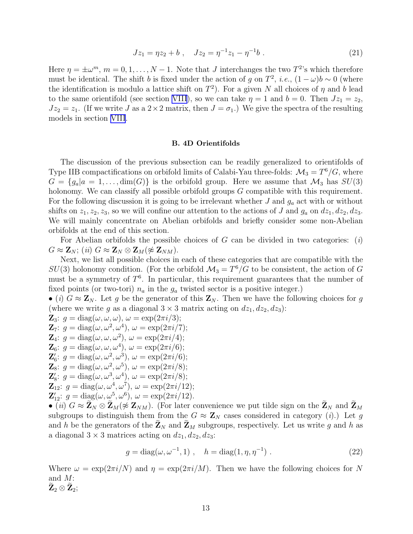$$
Jz_1 = \eta z_2 + b , \quad Jz_2 = \eta^{-1} z_1 - \eta^{-1} b . \tag{21}
$$

<span id="page-12-0"></span>Here  $\eta = \pm \omega^m$ ,  $m = 0, 1, ..., N - 1$ . Note that J interchanges the two  $T^2$ 's which therefore must be identical. The shift b is fixed under the action of g on  $T^2$ , *i.e.*,  $(1 - \omega)b \sim 0$  (where the identification is modulo a lattice shift on  $T^2$ ). For a given N all choices of  $\eta$  and b lead to the same orientifold (see section [VIII](#page-29-0)), so we can take  $\eta = 1$  and  $b = 0$ . Then  $Jz_1 = z_2$ ,  $Jz_2 = z_1$ . (If we write J as a  $2 \times 2$  matrix, then  $J = \sigma_1$ .) We give the spectra of the resulting models in section [VIII](#page-29-0).

#### B. 4D Orientifolds

The discussion of the previous subsection can be readily generalized to orientifolds of Type IIB compactifications on orbifold limits of Calabi-Yau three-folds:  $\mathcal{M}_3 = T^6/G$ , where  $G = \{g_a | a = 1, \ldots, \dim(G)\}\$ is the orbifold group. Here we assume that  $\mathcal{M}_3$  has  $SU(3)$ holonomy. We can classify all possible orbifold groups G compatible with this requirement. For the following discussion it is going to be irrelevant whether  $J$  and  $g_a$  act with or without shifts on  $z_1, z_2, z_3$ , so we will confine our attention to the actions of J and  $g_a$  on  $dz_1, dz_2, dz_3$ . We will mainly concentrate on Abelian orbifolds and briefly consider some non-Abelian orbifolds at the end of this section.

For Abelian orbifolds the possible choices of  $G$  can be divided in two categories: (i)  $G \approx \mathbf{Z}_N$ ; (ii)  $G \approx \mathbf{Z}_N \otimes \mathbf{Z}_M (\not\approx \mathbf{Z}_{NM})$ .

Next, we list all possible choices in each of these categories that are compatible with the  $SU(3)$  holonomy condition. (For the orbifold  $\mathcal{M}_3 = T^6/G$  to be consistent, the action of G must be a symmetry of  $T^6$ . In particular, this requirement guarantees that the number of fixed points (or two-tori)  $n_a$  in the  $g_a$  twisted sector is a positive integer.)

• (i)  $G \approx \mathbf{Z}_N$ . Let g be the generator of this  $\mathbf{Z}_N$ . Then we have the following choices for g (where we write g as a diagonal  $3 \times 3$  matrix acting on  $dz_1, dz_2, dz_3$ ):

Z<sub>3</sub>: 
$$
g = \text{diag}(\omega, \omega, \omega), \omega = \exp(2\pi i/3);
$$
  
\nZ<sub>7</sub>:  $g = \text{diag}(\omega, \omega^2, \omega^4), \omega = \exp(2\pi i/7);$   
\nZ<sub>4</sub>:  $g = \text{diag}(\omega, \omega, \omega^2), \omega = \exp(2\pi i/4);$   
\nZ<sub>6</sub>:  $g = \text{diag}(\omega, \omega, \omega^4), \omega = \exp(2\pi i/6);$   
\nZ'<sub>6</sub>:  $g = \text{diag}(\omega, \omega^2, \omega^3), \omega = \exp(2\pi i/6);$   
\nZ<sub>8</sub>:  $g = \text{diag}(\omega, \omega^2, \omega^5), \omega = \exp(2\pi i/8);$   
\nZ'<sub>8</sub>:  $g = \text{diag}(\omega, \omega^3, \omega^4), \omega = \exp(2\pi i/8);$   
\nZ<sub>12</sub>:  $g = \text{diag}(\omega, \omega^4, \omega^7), \omega = \exp(2\pi i/12);$   
\nZ'<sub>12</sub>:  $g = \text{diag}(\omega, \omega^5, \omega^6), \omega = \exp(2\pi i/12).$ 

• (*ii*)  $G \approx \mathbf{Z}_N \otimes \mathbf{Z}_M (\not\approx \mathbf{Z}_{NM})$ . (For later convenience we put tilde sign on the  $\mathbf{Z}_N$  and  $\mathbf{Z}_M$ subgroups to distinguish them from the  $G \approx \mathbb{Z}_N$  cases considered in category (*i*).) Let g and h be the generators of the  $\mathbf{Z}_N$  and  $\mathbf{Z}_M$  subgroups, respectively. Let us write g and h as a diagonal  $3 \times 3$  matrices acting on  $dz_1, dz_2, dz_3$ :

$$
g = diag(\omega, \omega^{-1}, 1) , \quad h = diag(1, \eta, \eta^{-1}) . \tag{22}
$$

Where  $\omega = \exp(2\pi i/N)$  and  $\eta = \exp(2\pi i/M)$ . Then we have the following choices for N and M:  ${\bf Z}_2\otimes {\bf Z}_2;$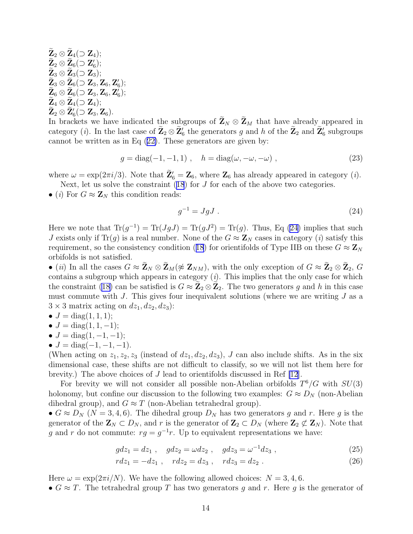$\mathbf{Z}_2 \otimes \mathbf{Z}_4 (\supset \mathbf{Z}_4);$  $\widetilde{\mathbf{Z}}_{2}\otimes\widetilde{\mathbf{Z}}_{6}(\supset{\mathbf{Z}_{6}^{\prime}});$  $\mathbf{Z}_3 \otimes \mathbf{Z}_3 (\supset \mathbf{Z}_3);$  $\widetilde{\mathbf{Z}}_3 \otimes \widetilde{\mathbf{Z}}_6 (\supset \mathbf{Z}_3,\mathbf{Z}_6,\mathbf{Z}_6');$  $\widetilde{\mathbf{Z}}_6 \otimes \widetilde{\mathbf{Z}}_6 (\supset \mathbf{Z}_3,\mathbf{Z}_6,\mathbf{Z}_6');$  $\mathbf{Z}_4 \otimes \mathbf{Z}_4 (\supset \mathbf{Z}_4);$  $\mathbf{Z}_2\otimes \mathbf{Z}_6' (\supset \mathbf{Z}_3, \mathbf{Z}_6).$ 

In brackets we have indicated the subgroups of  $\mathbf{Z}_N \otimes \mathbf{Z}_M$  that have already appeared in category (*i*). In the last case of  $\mathbb{Z}_2 \otimes \mathbb{Z}'_6$  the generators g and h of the  $\mathbb{Z}_2$  and  $\mathbb{Z}'_6$  subgroups cannotbe written as in Eq  $(22)$  $(22)$ . These generators are given by:

$$
g = diag(-1, -1, 1) , \quad h = diag(\omega, -\omega, -\omega) , \qquad (23)
$$

where  $\omega = \exp(2\pi i/3)$ . Note that  $\mathbf{Z}'_6 = \mathbf{Z}_6$ , where  $\mathbf{Z}_6$  has already appeared in category (*i*). Next,let us solve the constraint  $(18)$  $(18)$  $(18)$  for J for each of the above two categories.

• (*i*) For  $G \approx \mathbf{Z}_N$  this condition reads:

$$
g^{-1} = JgJ \tag{24}
$$

Here we note that  $\text{Tr}(g^{-1}) = \text{Tr}(JgJ) = \text{Tr}(gJ^2) = \text{Tr}(g)$ . Thus, Eq (24) implies that such J exists only if  $\text{Tr}(g)$  is a real number. None of the  $G \approx \mathbf{Z}_N$  cases in category (i) satisfy this requirement,so the consistency condition ([18](#page-11-0)) for orientifolds of Type IIB on these  $G \approx \mathbf{Z}_N$ orbifolds is not satisfied.

• (*ii*) In all the cases  $G \approx \mathbf{Z}_N \otimes \mathbf{Z}_M (\not\approx \mathbf{Z}_{NM})$ , with the only exception of  $G \approx \mathbf{Z}_2 \otimes \mathbf{Z}_2$ ,  $G$ contains a subgroup which appears in category  $(i)$ . This implies that the only case for which the constraint [\(18\)](#page-11-0) can be satisfied is  $G \approx \mathbb{Z}_2 \otimes \mathbb{Z}_2$ . The two generators g and h in this case must commute with  $J$ . This gives four inequivalent solutions (where we are writing  $J$  as a  $3 \times 3$  matrix acting on  $dz_1, dz_2, dz_3$ :

- $J = diag(1, 1, 1);$
- $J = diag(1, 1, -1);$
- $J = diag(1, -1, -1);$
- $J = \text{diag}(-1, -1, -1)$ .

(When acting on  $z_1, z_2, z_3$  (instead of  $dz_1, dz_2, dz_3$ ), J can also include shifts. As in the six dimensional case, these shifts are not difficult to classify, so we will not list them here for brevity.) The above choices of J lead to orientifolds discussed in Ref [\[12\]](#page-60-0).

For brevity we will not consider all possible non-Abelian orbifolds  $T^6/G$  with  $SU(3)$ holonomy, but confine our discussion to the following two examples:  $G \approx D_N$  (non-Abelian dihedral group), and  $G \approx T$  (non-Abelian tetrahedral group).

•  $G \approx D_N$  ( $N = 3, 4, 6$ ). The dihedral group  $D_N$  has two generators g and r. Here g is the generator of the  $\mathbf{Z}_N \subset D_N$ , and r is the generator of  $\mathbf{Z}_2 \subset D_N$  (where  $\mathbf{Z}_2 \not\subset \mathbf{Z}_N$ ). Note that g and r do not commute:  $rg = g^{-1}r$ . Up to equivalent representations we have:

$$
gdz_1 = dz_1 , \quad gdz_2 = \omega dz_2 , \quad gdz_3 = \omega^{-1} dz_3 , \qquad (25)
$$

$$
rdz_1 = -dz_1 , \quad rdz_2 = dz_3 , \quad rdz_3 = dz_2 . \tag{26}
$$

Here  $\omega = \exp(2\pi i/N)$ . We have the following allowed choices:  $N = 3, 4, 6$ .

•  $G \approx T$ . The tetrahedral group T has two generators g and r. Here g is the generator of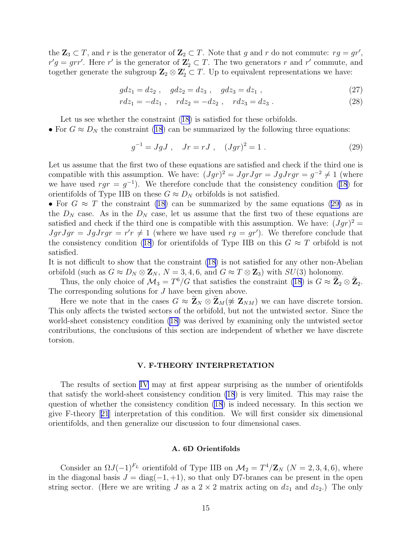<span id="page-14-0"></span>the  $\mathbb{Z}_3 \subset T$ , and r is the generator of  $\mathbb{Z}_2 \subset T$ . Note that g and r do not commute:  $rg = gr'$ ,  $r'g = grr'$ . Here r' is the generator of  $\mathbb{Z}_2' \subset T$ . The two generators r and r' commute, and together generate the subgroup  $\mathbb{Z}_2 \otimes \mathbb{Z}'_2 \subset T$ . Up to equivalent representations we have:

$$
gdz_1 = dz_2 , \quad gdz_2 = dz_3 , \quad gdz_3 = dz_1 , \tag{27}
$$

$$
rdz_1 = -dz_1 , \quad rdz_2 = -dz_2 , \quad rdz_3 = dz_3 . \tag{28}
$$

Let us see whether the constraint  $(18)$  is satisfied for these orbifolds.

• For  $G \approx D_N$  the constraint [\(18](#page-11-0)) can be summarized by the following three equations:

$$
g^{-1} = JgJ \ , \quad Jr = rJ \ , \quad (Jgr)^2 = 1 \ . \tag{29}
$$

Let us assume that the first two of these equations are satisfied and check if the third one is compatible with this assumption. We have:  $(Jgr)^2 = JgrJgr = JgJrgr = g^{-2} \neq 1$  (where we have used  $rgr = g^{-1}$ ). We therefore conclude that the consistency condition [\(18\)](#page-11-0) for orientifolds of Type IIB on these  $G \approx D_N$  orbifolds is not satisfied.

• For  $G \approx T$  the constraint [\(18\)](#page-11-0) can be summarized by the same equations (29) as in the  $D<sub>N</sub>$  case. As in the  $D<sub>N</sub>$  case, let us assume that the first two of these equations are satisfied and check if the third one is compatible with this assumption. We have:  $(Jgr)^2 =$  $JgrJgr = JgJrgr = r'r \neq 1$  (where we have used  $rg = gr'$ ). We therefore conclude that theconsistency condition ([18](#page-11-0)) for orientifolds of Type IIB on this  $G \approx T$  orbifold is not satisfied.

It is not difficult to show that the constraint [\(18\)](#page-11-0) is not satisfied for any other non-Abelian orbifold (such as  $G \approx D_N \otimes \mathbb{Z}_N$ ,  $N = 3, 4, 6$ , and  $G \approx T \otimes \mathbb{Z}_3$ ) with  $SU(3)$  holonomy.

Thus, the only choice of  $\mathcal{M}_3 = T^6/G$  that satisfies the constraint [\(18](#page-11-0)) is  $G \approx \mathbb{Z}_2 \otimes \mathbb{Z}_2$ . The corresponding solutions for  $J$  have been given above.

Here we note that in the cases  $G \approx \mathbf{Z}_N \otimes \mathbf{Z}_M (\not\approx \mathbf{Z}_{NM})$  we can have discrete torsion. This only affects the twisted sectors of the orbifold, but not the untwisted sector. Since the world-sheet consistency condition([18\)](#page-11-0) was derived by examining only the untwisted sector contributions, the conclusions of this section are independent of whether we have discrete torsion.

### V. F-THEORY INTERPRETATION

The results of section [IV](#page-11-0) may at first appear surprising as the number of orientifolds that satisfy the world-sheet consistency condition [\(18](#page-11-0)) is very limited. This may raise the question of whether the consistency condition [\(18](#page-11-0)) is indeed necessary. In this section we give F-theory[[21](#page-60-0)] interpretation of this condition. We will first consider six dimensional orientifolds, and then generalize our discussion to four dimensional cases.

### A. 6D Orientifolds

Consider an  $\Omega J(-1)^{F_L}$  orientifold of Type IIB on  $\mathcal{M}_2 = T^4/\mathbb{Z}_N$  ( $N = 2, 3, 4, 6$ ), where in the diagonal basis  $J = diag(-1, +1)$ , so that only D7-branes can be present in the open string sector. (Here we are writing J as a  $2 \times 2$  matrix acting on  $dz_1$  and  $dz_2$ .) The only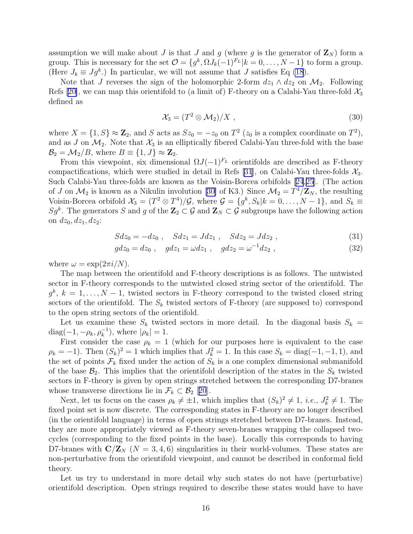assumption we will make about J is that J and g (where g is the generator of  $\mathbf{Z}_N$ ) form a group. This is necessary for the set  $\mathcal{O} = \{g^k, \Omega J_k(-1)^{F_L} | k = 0, \ldots, N-1\}$  to form a group. (Here  $J_k \equiv Jg^k$ .) In particular, we will not assume that J satisfies Eq [\(18](#page-11-0)).

Note that J reverses the sign of the holomorphic 2-form  $dz_1 \wedge dz_2$  on  $\mathcal{M}_2$ . Following Refs[[20\]](#page-60-0), we can map this orientifold to (a limit of) F-theory on a Calabi-Yau three-fold  $\mathcal{X}_3$ defined as

$$
\mathcal{X}_3 = (T^2 \otimes \mathcal{M}_2)/X \tag{30}
$$

where  $X = \{1, S\} \approx \mathbb{Z}_2$ , and S acts as  $Sz_0 = -z_0$  on  $T^2$  ( $z_0$  is a complex coordinate on  $T^2$ ), and as J on  $\mathcal{M}_2$ . Note that  $\mathcal{X}_3$  is an elliptically fibered Calabi-Yau three-fold with the base  $\mathcal{B}_2 = \mathcal{M}_2/B$ , where  $B \equiv \{1, J\} \approx \mathbf{Z}_2$ .

From this viewpoint, six dimensional  $\Omega J(-1)^{F_L}$  orientifolds are described as F-theory compactifications, which were studied in detail in Refs [\[31](#page-60-0)], on Calabi-Yau three-folds  $\mathcal{X}_3$ . Such Calabi-Yau three-folds are known as the Voisin-Borcea orbifolds[[24](#page-60-0),[25](#page-60-0)]. (The action ofJ on  $\mathcal{M}_2$  is known as a Nikulin involution [[30\]](#page-60-0) of K3.) Since  $\mathcal{M}_2 = T^4/\mathbf{Z}_N$ , the resulting Voisin-Borcea orbifold  $\mathcal{X}_3 = (T^2 \otimes T^4)/\mathcal{G}$ , where  $\mathcal{G} = \{g^k, S_k | k = 0, ..., N - 1\}$ , and  $S_k \equiv$  $Sg^k$ . The generators S and g of the  $\mathbb{Z}_2 \subset \mathcal{G}$  and  $\mathbb{Z}_N \subset \mathcal{G}$  subgroups have the following action on  $dz_0$ ,  $dz_1$ ,  $dz_2$ :

$$
Sdz_0 = -dz_0 , \quad Sdz_1 = Jdz_1 , \quad Sdz_2 = Jdz_2 , \qquad (31)
$$

$$
gdz_0 = dz_0 , \quad gdz_1 = \omega dz_1 , \quad gdz_2 = \omega^{-1} dz_2 , \qquad (32)
$$

where  $\omega = \exp(2\pi i/N)$ .

The map between the orientifold and F-theory descriptions is as follows. The untwisted sector in F-theory corresponds to the untwisted closed string sector of the orientifold. The  $g^k$ ,  $k = 1, ..., N - 1$ , twisted sectors in F-theory correspond to the twisted closed string sectors of the orientifold. The  $S_k$  twisted sectors of F-theory (are supposed to) correspond to the open string sectors of the orientifold.

Let us examine these  $S_k$  twisted sectors in more detail. In the diagonal basis  $S_k =$ diag( $-1, -\rho_k, \rho_k^{-1}$ ), where  $|\rho_k| = 1$ .

First consider the case  $\rho_k = 1$  (which for our purposes here is equivalent to the case  $\rho_k = -1$ ). Then  $(S_k)^2 = 1$  which implies that  $J_k^2 = 1$ . In this case  $S_k = \text{diag}(-1, -1, 1)$ , and the set of points  $\mathcal{F}_k$  fixed under the action of  $S_k$  is a one complex dimensional submanifold of the base  $\mathcal{B}_2$ . This implies that the orientifold description of the states in the  $S_k$  twisted sectors in F-theory is given by open strings stretched between the corresponding D7-branes whose transverse directions lie in  $\mathcal{F}_k \subset \mathcal{B}_2$  [[20](#page-60-0)].

Next, let us focus on the cases  $\rho_k \neq \pm 1$ , which implies that  $(S_k)^2 \neq 1$ , *i.e.*,  $J_k^2 \neq 1$ . The fixed point set is now discrete. The corresponding states in F-theory are no longer described (in the orientifold language) in terms of open strings stretched between D7-branes. Instead, they are more appropriately viewed as F-theory seven-branes wrapping the collapsed twocycles (corresponding to the fixed points in the base). Locally this corresponds to having D7-branes with  $C/Z_N$  ( $N = 3, 4, 6$ ) singularities in their world-volumes. These states are non-perturbative from the orientifold viewpoint, and cannot be described in conformal field theory.

Let us try to understand in more detail why such states do not have (perturbative) orientifold description. Open strings required to describe these states would have to have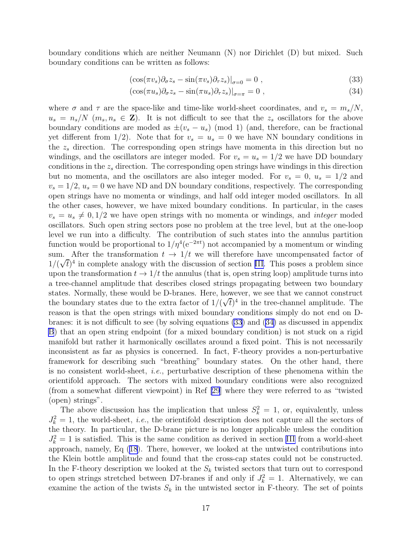boundary conditions which are neither Neumann (N) nor Dirichlet (D) but mixed. Such boundary conditions can be written as follows:

$$
\left(\cos(\pi v_s)\partial_\sigma z_s - \sin(\pi v_s)\partial_\tau z_s\right)|_{\sigma=0} = 0 \tag{33}
$$

$$
\left(\cos(\pi u_s)\partial_\sigma z_s - \sin(\pi u_s)\partial_\tau z_s\right)|_{\sigma=\pi} = 0 \;, \tag{34}
$$

where  $\sigma$  and  $\tau$  are the space-like and time-like world-sheet coordinates, and  $v_s = m_s/N$ ,  $u_s = n_s/N$   $(m_s, n_s \in \mathbb{Z})$ . It is not difficult to see that the  $z_s$  oscillators for the above boundary conditions are moded as  $\pm (v_s - u_s)$  (mod 1) (and, therefore, can be fractional yet different from 1/2). Note that for  $v_s = u_s = 0$  we have NN boundary conditions in the  $z<sub>s</sub>$  direction. The corresponding open strings have momenta in this direction but no windings, and the oscillators are integer moded. For  $v_s = u_s = 1/2$  we have DD boundary conditions in the  $z<sub>s</sub>$  direction. The corresponding open strings have windings in this direction but no momenta, and the oscillators are also integer moded. For  $v_s = 0$ ,  $u_s = 1/2$  and  $v_s = 1/2$ ,  $u_s = 0$  we have ND and DN boundary conditions, respectively. The corresponding open strings have no momenta or windings, and half odd integer moded oscillators. In all the other cases, however, we have mixed boundary conditions. In particular, in the cases  $v_s = u_s \neq 0, 1/2$  we have open strings with no momenta or windings, and *integer* moded oscillators. Such open string sectors pose no problem at the tree level, but at the one-loop level we run into a difficulty. The contribution of such states into the annulus partition function would be proportional to  $1/\eta^4(e^{-2\pi t})$  not accompanied by a momentum or winding sum. After the transformation  $t \to 1/t$  we will therefore have uncompensated factor of  $1/(\sqrt{t})^4$  in complete analogy with the discussion of section [III.](#page-8-0) This poses a problem since upon the transformation  $t \to 1/t$  the annulus (that is, open string loop) amplitude turns into a tree-channel amplitude that describes closed strings propagating between two boundary states. Normally, these would be D-branes. Here, however, we see that we cannot construct the boundary states due to the extra factor of  $1/(\sqrt{t})^4$  in the tree-channel amplitude. The reason is that the open strings with mixed boundary conditions simply do not end on Dbranes: it is not difficult to see (by solving equations (33) and (34) as discussed in appendix [B](#page-51-0)) that an open string endpoint (for a mixed boundary condition) is not stuck on a rigid manifold but rather it harmonically oscillates around a fixed point. This is not necessarily inconsistent as far as physics is concerned. In fact, F-theory provides a non-perturbative framework for describing such "breathing" boundary states. On the other hand, there is no consistent world-sheet, *i.e.*, perturbative description of these phenomena within the orientifold approach. The sectors with mixed boundary conditions were also recognized (from a somewhat different viewpoint) in Ref [\[29](#page-60-0)] where they were referred to as "twisted (open) strings".

The above discussion has the implication that unless  $S_k^2 = 1$ , or, equivalently, unless  $J_k^2 = 1$ , the world-sheet, *i.e.*, the orientifold description does not capture all the sectors of the theory. In particular, the D-brane picture is no longer applicable unless the condition  $J_k^2 = 1$  is satisfied. This is the same condition as derived in section [III](#page-8-0) from a world-sheet approach, namely, Eq [\(18\)](#page-11-0). There, however, we looked at the untwisted contributions into the Klein bottle amplitude and found that the cross-cap states could not be constructed. In the F-theory description we looked at the  $S_k$  twisted sectors that turn out to correspond to open strings stretched between D7-branes if and only if  $J_k^2 = 1$ . Alternatively, we can examine the action of the twists  $S_k$  in the untwisted sector in F-theory. The set of points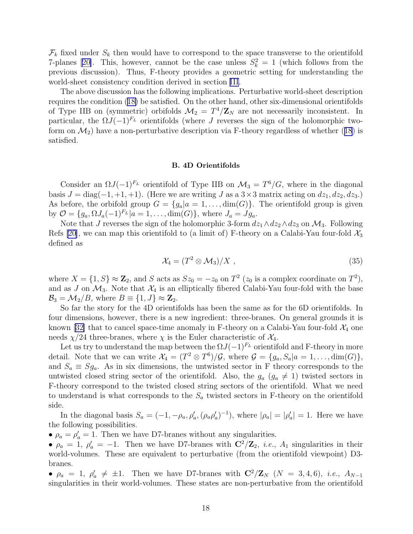<span id="page-17-0"></span> $\mathcal{F}_k$  fixed under  $S_k$  then would have to correspond to the space transverse to the orientifold 7-planes [\[20\]](#page-60-0). This, however, cannot be the case unless  $S_k^2 = 1$  (which follows from the previous discussion). Thus, F-theory provides a geometric setting for understanding the world-sheet consistency condition derived in section [III](#page-8-0).

The above discussion has the following implications. Perturbative world-sheet description requires the condition([18\)](#page-11-0) be satisfied. On the other hand, other six-dimensional orientifolds of Type IIB on (symmetric) orbifolds  $\mathcal{M}_2 = T^4/\mathbf{Z}_N$  are not necessarily inconsistent. In particular, the  $\Omega J(-1)^{F_L}$  orientifolds (where J reverses the sign of the holomorphic twoformon  $\mathcal{M}_2$ ) have a non-perturbative description via F-theory regardless of whether ([18](#page-11-0)) is satisfied.

#### B. 4D Orientifolds

Consider an  $\Omega J(-1)^{F_L}$  orientifold of Type IIB on  $\mathcal{M}_3 = T^6/G$ , where in the diagonal basis  $J = diag(-1, +1, +1)$ . (Here we are writing J as a  $3 \times 3$  matrix acting on  $dz_1, dz_2, dz_3$ .) As before, the orbifold group  $G = \{g_a | a = 1, \ldots, \dim(G)\}\)$ . The orientifold group is given by  $\mathcal{O} = \{g_a, \Omega J_a(-1)^{F_L} | a = 1, \ldots, \dim(G) \}$ , where  $J_a = Jg_a$ .

Note that J reverses the sign of the holomorphic 3-form  $dz_1 \wedge dz_2 \wedge dz_3$  on  $\mathcal{M}_3$ . Following Refs [\[20\]](#page-60-0), we can map this orientifold to (a limit of) F-theory on a Calabi-Yau four-fold  $\mathcal{X}_3$ defined as

$$
\mathcal{X}_4 = (T^2 \otimes \mathcal{M}_3)/X \tag{35}
$$

where  $X = \{1, S\} \approx \mathbb{Z}_2$ , and S acts as  $Sz_0 = -z_0$  on  $T^2$  ( $z_0$  is a complex coordinate on  $T^2$ ), and as J on  $\mathcal{M}_3$ . Note that  $\mathcal{X}_4$  is an elliptically fibered Calabi-Yau four-fold with the base  $\mathcal{B}_3 = \mathcal{M}_2/B$ , where  $B \equiv \{1, J\} \approx \mathbf{Z}_2$ .

So far the story for the 4D orientifolds has been the same as for the 6D orientifolds. In four dimensions, however, there is a new ingredient: three-branes. On general grounds it is known[[32\]](#page-60-0) that to cancel space-time anomaly in F-theory on a Calabi-Yau four-fold  $\mathcal{X}_4$  one needs  $\chi/24$  three-branes, where  $\chi$  is the Euler characteristic of  $\mathcal{X}_4$ .

Let us try to understand the map between the  $\Omega J(-1)^{F_L}$  orientifold and F-theory in more detail. Note that we can write  $\mathcal{X}_4 = (T^2 \otimes T^6)/\mathcal{G}$ , where  $\mathcal{G} = \{g_a, S_a | a = 1, ..., \dim(G)\}\$ , and  $S_a \equiv Sg_a$ . As in six dimensions, the untwisted sector in F theory corresponds to the untwisted closed string sector of the orientifold. Also, the  $g_a$   $(g_a \neq 1)$  twisted sectors in F-theory correspond to the twisted closed string sectors of the orientifold. What we need to understand is what corresponds to the  $S_a$  twisted sectors in F-theory on the orientifold side.

In the diagonal basis  $S_a = (-1, -\rho_a, \rho'_a, (\rho_a \rho'_a)^{-1})$ , where  $|\rho_a| = |\rho'_a| = 1$ . Here we have the following possibilities.

•  $\rho_a = \rho'_a = 1$ . Then we have D7-branes without any singularities.

•  $\rho_a = 1, \ \rho'_a \neq \pm 1$ . Then we have D7-branes with  $\mathbb{C}^2/\mathbb{Z}_N$   $(N = 3, 4, 6)$ , *i.e.*,  $A_{N-1}$ singularities in their world-volumes. These states are non-perturbative from the orientifold

<sup>•</sup>  $\rho_a = 1, \ \rho'_a = -1$ . Then we have D7-branes with  $\mathbb{C}^2/\mathbb{Z}_2$ , *i.e.*,  $A_1$  singularities in their world-volumes. These are equivalent to perturbative (from the orientifold viewpoint) D3 branes.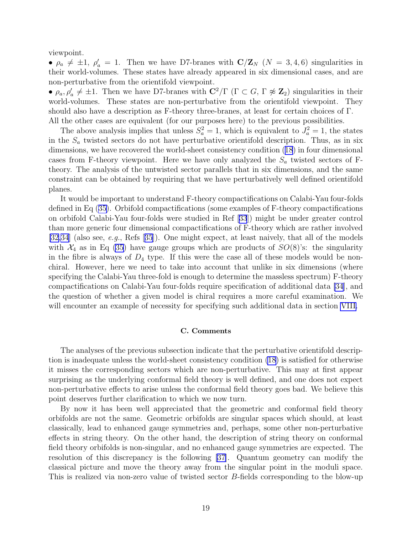viewpoint.

•  $\rho_a \neq \pm 1$ ,  $\rho'_a = 1$ . Then we have D7-branes with  $\mathbf{C}/\mathbf{Z}_N$  ( $N = 3, 4, 6$ ) singularities in their world-volumes. These states have already appeared in six dimensional cases, and are non-perturbative from the orientifold viewpoint.

•  $\rho_a$ ,  $\rho'_a \neq \pm 1$ . Then we have D7-branes with  $\mathbb{C}^2/\Gamma$  ( $\Gamma \subset G$ ,  $\Gamma \not\approx \mathbb{Z}_2$ ) singularities in their world-volumes. These states are non-perturbative from the orientifold viewpoint. They should also have a description as F-theory three-branes, at least for certain choices of Γ. All the other cases are equivalent (for our purposes here) to the previous possibilities.

The above analysis implies that unless  $S_a^2 = 1$ , which is equivalent to  $J_a^2 = 1$ , the states in the  $S_a$  twisted sectors do not have perturbative orientifold description. Thus, as in six dimensions, we have recovered the world-sheet consistency condition([18](#page-11-0)) in four dimensional cases from F-theory viewpoint. Here we have only analyzed the  $S_a$  twisted sectors of Ftheory. The analysis of the untwisted sector parallels that in six dimensions, and the same constraint can be obtained by requiring that we have perturbatively well defined orientifold planes.

It would be important to understand F-theory compactifications on Calabi-Yau four-folds defined in Eq([35\)](#page-17-0). Orbifold compactifications (some examples of F-theory compactifications on orbifold Calabi-Yau four-folds were studied in Ref[[33](#page-61-0)]) might be under greater control than more generic four dimensional compactifications of F-theory which are rather involved [\[32](#page-60-0)[,34](#page-61-0)] (also see, e.g., Refs[[35](#page-61-0)]). One might expect, at least naively, that all of the models with  $\mathcal{X}_4$  as in Eq [\(35](#page-17-0)) have gauge groups which are products of  $SO(8)$ 's: the singularity in the fibre is always of  $D_4$  type. If this were the case all of these models would be nonchiral. However, here we need to take into account that unlike in six dimensions (where specifying the Calabi-Yau three-fold is enough to determine the massless spectrum) F-theory compactifications on Calabi-Yau four-folds require specification of additional data [\[34](#page-61-0)], and the question of whether a given model is chiral requires a more careful examination. We will encounter an example of necessity for specifying such additional data in section [VIII.](#page-29-0)

### C. Comments

The analyses of the previous subsection indicate that the perturbative orientifold description is inadequate unless the world-sheet consistency condition [\(18](#page-11-0)) is satisfied for otherwise it misses the corresponding sectors which are non-perturbative. This may at first appear surprising as the underlying conformal field theory is well defined, and one does not expect non-perturbative effects to arise unless the conformal field theory goes bad. We believe this point deserves further clarification to which we now turn.

By now it has been well appreciated that the geometric and conformal field theory orbifolds are not the same. Geometric orbifolds are singular spaces which should, at least classically, lead to enhanced gauge symmetries and, perhaps, some other non-perturbative effects in string theory. On the other hand, the description of string theory on conformal field theory orbifolds is non-singular, and no enhanced gauge symmetries are expected. The resolution of this discrepancy is the following [\[37](#page-61-0)]. Quantum geometry can modify the classical picture and move the theory away from the singular point in the moduli space. This is realized via non-zero value of twisted sector B-fields corresponding to the blow-up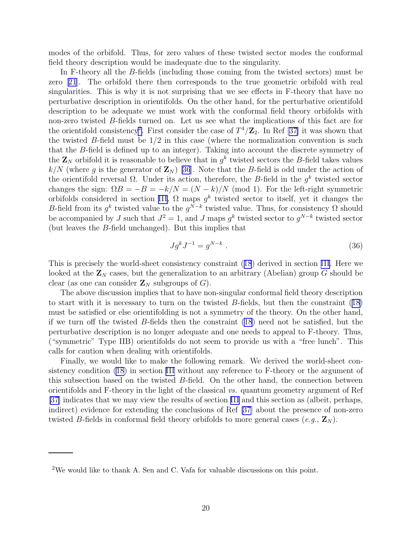<span id="page-19-0"></span>modes of the orbifold. Thus, for zero values of these twisted sector modes the conformal field theory description would be inadequate due to the singularity.

In F-theory all the B-fields (including those coming from the twisted sectors) must be zero[[21](#page-60-0)]. The orbifold there then corresponds to the true geometric orbifold with real singularities. This is why it is not surprising that we see effects in F-theory that have no perturbative description in orientifolds. On the other hand, for the perturbative orientifold description to be adequate we must work with the conformal field theory orbifolds with non-zero twisted B-fields turned on. Let us see what the implications of this fact are for theorientifold consistency<sup>2</sup>. First consider the case of  $T^4/\mathbb{Z}_2$ . In Ref [[37\]](#page-61-0) it was shown that the twisted  $B$ -field must be  $1/2$  in this case (where the normalization convention is such that the B-field is defined up to an integer). Taking into account the discrete symmetry of the  $\mathbf{Z}_N$  orbifold it is reasonable to believe that in  $g^k$  twisted sectors the B-field takes values k/N(where g is the generator of  $\mathbb{Z}_N$ ) [[36](#page-61-0)]. Note that the B-field is odd under the action of the orientifold reversal  $\Omega$ . Under its action, therefore, the B-field in the  $g^k$  twisted sector changes the sign:  $\Omega B = -B = -k/N = (N - k)/N$  (mod 1). For the left-right symmetric orbifolds considered in section [III](#page-8-0),  $\Omega$  maps  $g^k$  twisted sector to itself, yet it changes the B-field from its  $g^k$  twisted value to the  $g^{N-k}$  twisted value. Thus, for consistency  $\Omega$  should be accompanied by J such that  $J^2 = 1$ , and J maps  $g^k$  twisted sector to  $g^{N-k}$  twisted sector (but leaves the B-field unchanged). But this implies that

$$
Jg^k J^{-1} = g^{N-k} . \t\t(36)
$$

This is precisely the world-sheet consistency constraint([18](#page-11-0)) derived in section [III.](#page-8-0) Here we looked at the  $\mathbf{Z}_N$  cases, but the generalization to an arbitrary (Abelian) group G should be clear (as one can consider  $\mathbf{Z}_N$  subgroups of G).

The above discussion implies that to have non-singular conformal field theory description tostart with it is necessary to turn on the twisted  $B$ -fields, but then the constraint  $(18)$  $(18)$ must be satisfied or else orientifolding is not a symmetry of the theory. On the other hand, if we turn off the twisted B-fields then the constraint [\(18](#page-11-0)) need not be satisfied, but the perturbative description is no longer adequate and one needs to appeal to F-theory. Thus, ("symmetric" Type IIB) orientifolds do not seem to provide us with a "free lunch". This calls for caution when dealing with orientifolds.

Finally, we would like to make the following remark. We derived the world-sheet consistency condition [\(18](#page-11-0)) in section [III](#page-8-0) without any reference to F-theory or the argument of this subsection based on the twisted B-field. On the other hand, the connection between orientifolds and F-theory in the light of the classical vs. quantum geometry argument of Ref [\[37\]](#page-61-0) indicates that we may view the results of section [III](#page-8-0) and this section as (albeit, perhaps, indirect) evidence for extending the conclusions of Ref [\[37\]](#page-61-0) about the presence of non-zero twisted B-fields in conformal field theory orbifolds to more general cases  $(e.g., \mathbf{Z}_N)$ .

<sup>2</sup>We would like to thank A. Sen and C. Vafa for valuable discussions on this point.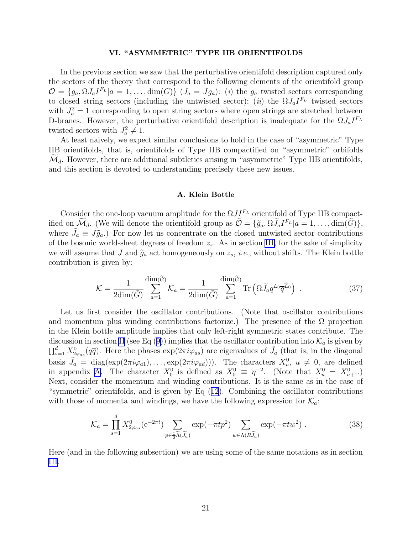### VI. "ASYMMETRIC" TYPE IIB ORIENTIFOLDS

In the previous section we saw that the perturbative orientifold description captured only the sectors of the theory that correspond to the following elements of the orientifold group  $\mathcal{O} = \{g_a, \Omega J_a I^{F_L} | a = 1, \ldots, \dim(G) \}$   $(J_a = Jg_a)$ : (i) the  $g_a$  twisted sectors corresponding to closed string sectors (including the untwisted sector); (ii) the  $\Omega J_a I^{F_L}$  twisted sectors with  $J_a^2 = 1$  corresponding to open string sectors where open strings are stretched between D-branes. However, the perturbative orientifold description is inadequate for the  $\Omega J_a I^{F_L}$ twisted sectors with  $J_a^2 \neq 1$ .

At least naively, we expect similar conclusions to hold in the case of "asymmetric" Type IIB orientifolds, that is, orientifolds of Type IIB compactified on "asymmetric" orbifolds  $\mathcal{M}_d$ . However, there are additional subtleties arising in "asymmetric" Type IIB orientifolds, and this section is devoted to understanding precisely these new issues.

#### A. Klein Bottle

Consider the one-loop vacuum amplitude for the  $\Omega J I^{F_L}$  orientifold of Type IIB compactified on  $\mathcal{M}_d$ . (We will denote the orientifold group as  $\mathcal{\tilde{O}} = {\{\tilde{g}_a, \Omega \tilde{J}_a I^{F_L} | a = 1, ..., \dim(\tilde{G})\}},$ where  $J_a \equiv J\tilde{g}_a$ .) For now let us concentrate on the closed untwisted sector contributions of the bosonic world-sheet degrees of freedom  $z_s$ . As in section [III,](#page-8-0) for the sake of simplicity we will assume that J and  $\tilde{g}_a$  act homogeneously on  $z_s$ , *i.e.*, without shifts. The Klein bottle contribution is given by:

$$
\mathcal{K} = \frac{1}{2\dim(\widetilde{G})} \sum_{a=1}^{\dim(\widetilde{G})} \mathcal{K}_a = \frac{1}{2\dim(\widetilde{G})} \sum_{a=1}^{\dim(\widetilde{G})} \text{Tr}\left(\Omega \widetilde{J}_a q^{L_0} \overline{q}^{\overline{L}_0}\right) . \tag{37}
$$

Let us first consider the oscillator contributions. (Note that oscillator contributions and momentum plus winding contributions factorize.) The presence of the  $\Omega$  projection in the Klein bottle amplitude implies that only left-right symmetric states contribute. The discussion in section [II](#page-4-0)(see Eq ([9\)](#page-7-0)) implies that the oscillator contribution into  $\mathcal{K}_a$  is given by  $\prod_{s=1}^d X_{2\varphi_{as}}^0(q\overline{q})$ . Here the phases  $\exp(2\pi i\varphi_{as})$  are eigenvalues of  $\widetilde{J}_a$  (that is, in the diagonal basis  $\tilde{J}_a = \text{diag}(\exp(2\pi i \varphi_{a1}), \dots, \exp(2\pi i \varphi_{ad}))$ . The characters  $X_u^0$ ,  $u \neq 0$ , are defined in appendix [A.](#page-50-0) The character  $X_0^0$  is defined as  $X_0^0 \equiv \eta^{-2}$ . (Note that  $X_u^0 = X_{u+1}^0$ .) Next, consider the momentum and winding contributions. It is the same as in the case of "symmetric" orientifolds, and is given by Eq([12](#page-9-0)). Combining the oscillator contributions with those of momenta and windings, we have the following expression for  $\mathcal{K}_a$ :

$$
\mathcal{K}_a = \prod_{s=1}^d X_{2\varphi_{as}}^0(e^{-2\pi t}) \sum_{p \in \frac{1}{2}\widetilde{\Lambda}(\widetilde{J}_a)} \exp(-\pi t p^2) \sum_{w \in \Lambda(R\widetilde{J}_a)} \exp(-\pi t w^2) . \tag{38}
$$

Here (and in the following subsection) we are using some of the same notations as in section [III](#page-8-0).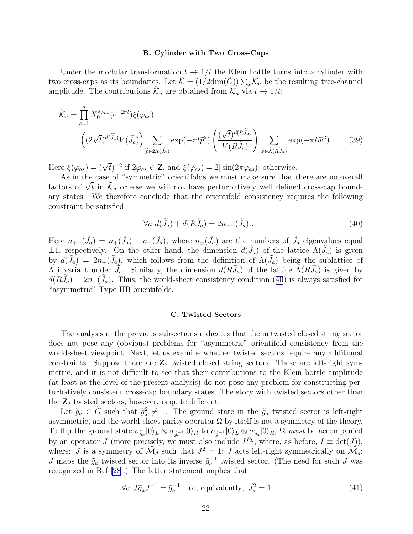#### B. Cylinder with Two Cross-Caps

<span id="page-21-0"></span>Under the modular transformation  $t \to 1/t$  the Klein bottle turns into a cylinder with two cross-caps as its boundaries. Let  $\mathcal{K} = (1/2\dim(\tilde{G})) \sum_a \mathcal{K}_a$  be the resulting tree-channel amplitude. The contributions  $\mathcal{K}_a$  are obtained from  $\mathcal{K}_a$  via  $t \to 1/t$ :

$$
\widetilde{\mathcal{K}}_{a} = \prod_{s=1}^{d} X_{0}^{2\varphi_{as}} (\mathrm{e}^{-2\pi t}) \xi(\varphi_{as})
$$
\n
$$
\left( (2\sqrt{t})^{d(\widetilde{J}_{a})} V(\widetilde{J}_{a}) \right) \sum_{\widetilde{p} \in 2\Lambda(\widetilde{J}_{a})} \exp(-\pi t \widetilde{p}^{2}) \left( \frac{(\sqrt{t})^{d(R\widetilde{J}_{a})}}{V(R\widetilde{J}_{a})} \right) \sum_{\widetilde{w} \in \widetilde{\Lambda}(R\widetilde{J}_{a})} \exp(-\pi t \widetilde{w}^{2}) . \tag{39}
$$

Here  $\xi(\varphi_{as}) = (\sqrt{t})^{-2}$  if  $2\varphi_{as} \in \mathbb{Z}$ , and  $\xi(\varphi_{as}) = 2|\sin(2\pi\varphi_{as})|$  otherwise.

As in the case of "symmetric" orientifolds we must make sure that there are no overall factors of  $\sqrt{t}$  in  $\tilde{\mathcal{K}}_a$  or else we will not have perturbatively well defined cross-cap boundary states. We therefore conclude that the orientifold consistency requires the following constraint be satisfied:

$$
\forall a \ d(\tilde{J}_a) + d(R\tilde{J}_a) = 2n_{+-}(\tilde{J}_a) \ . \tag{40}
$$

Here  $n_{+-}(J_a) = n_{+}(J_a) + n_{-}(J_a)$ , where  $n_{\pm}(J_a)$  are the numbers of  $J_a$  eigenvalues equal  $\pm 1$ , respectively. On the other hand, the dimension  $d(J_a)$  of the lattice  $\Lambda(J_a)$  is given by  $d(J_a) = 2n_+(J_a)$ , which follows from the definition of  $\Lambda(J_a)$  being the sublattice of Λ invariant under  $\tilde{J}_a$ . Similarly, the dimension  $d(R\tilde{J}_a)$  of the lattice  $\Lambda(R\tilde{J}_a)$  is given by  $d(RJ_a) = 2n_-(J_a)$ . Thus, the world-sheet consistency condition (40) is always satisfied for "asymmetric" Type IIB orientifolds.

### C. Twisted Sectors

The analysis in the previous subsections indicates that the untwisted closed string sector does not pose any (obvious) problems for "asymmetric" orientifold consistency from the world-sheet viewpoint. Next, let us examine whether twisted sectors require any additional constraints. Suppose there are  $\mathbb{Z}_2$  twisted closed string sectors. These are left-right symmetric, and it is not difficult to see that their contributions to the Klein bottle amplitude (at least at the level of the present analysis) do not pose any problem for constructing perturbatively consistent cross-cap boundary states. The story with twisted sectors other than the  $\mathbb{Z}_2$  twisted sectors, however, is quite different.

Let  $\tilde{g}_a \in \tilde{G}$  such that  $\tilde{g}_a^2 \neq 1$ . The ground state in the  $\tilde{g}_a$  twisted sector is left-right asymmetric, and the world-sheet parity operator  $\Omega$  by itself is not a symmetry of the theory. To flip the ground state  $\sigma_{\widetilde{g}_a}^{\sim}|0\rangle_L \otimes \overline{\sigma}_{\widetilde{g}_a}^{\sim-1}|0\rangle_R$  to  $\sigma_{\widetilde{g}_a}^{\sim-1}|0\rangle_L \otimes \overline{\sigma}_{\widetilde{g}_a}^{\sim}|0\rangle_R$ ,  $\Omega$  must be accompanied<br>by an exerctor I (more processly we must also include IFI where a by an operator J (more precisely, we must also include  $I^{F_L}$ , where, as before,  $I \equiv \det(J)$ ), where: J is a symmetry of  $\mathcal{M}_d$  such that  $J^2 = 1$ ; J acts left-right symmetrically on  $\mathcal{M}_d$ ; J maps the  $\tilde{g}_a$  twisted sector into its inverse  $\tilde{g}_a^{-1}$  twisted sector. (The need for such J was recognized in Ref [\[28](#page-60-0)].) The latter statement implies that

$$
\forall a \; J\tilde{g}_a J^{-1} = \tilde{g}_a^{-1} \; , \text{ or, equivalently, } \; \tilde{J}_a^2 = 1 \; . \tag{41}
$$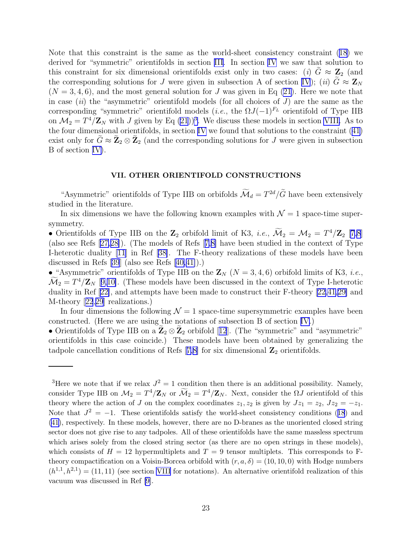<span id="page-22-0"></span>Note that this constraint is the same as the world-sheet consistency constraint [\(18\)](#page-11-0) we derived for "symmetric" orientifolds in section [III](#page-8-0). In section [IV](#page-11-0) we saw that solution to this constraint for six dimensional orientifolds exist only in two cases: (i)  $G \approx \mathbb{Z}_2$  (and the corresponding solutions for J were given in subsection A of section [IV](#page-11-0)); (ii)  $\tilde{G} \approx \mathbf{Z}_N$  $(N = 3, 4, 6)$ , and the most general solution for J was given in Eq [\(21](#page-12-0)). Here we note that in case  $(ii)$  the "asymmetric" orientifold models (for all choices of J) are the same as the corresponding "symmetric" orientifold models (*i.e.*, the  $\Omega J(-1)^{F_L}$  orientifold of Type IIB on  $\mathcal{M}_2 = T^4/\mathbf{Z}_N$  with J given by Eq  $(21))^3$ . We discuss these models in section [VIII.](#page-29-0) As to the four dimensional orientifolds, in section [IV](#page-11-0) we found that solutions to the constraint([41\)](#page-21-0) exist only for  $G \approx \mathbb{Z}_2 \otimes \mathbb{Z}_2$  (and the corresponding solutions for J were given in subsection B of section [IV\)](#page-11-0).

### VII. OTHER ORIENTIFOLD CONSTRUCTIONS

"Asymmetric" orientifolds of Type IIB on orbifolds  $\mathcal{M}_d = T^{2d}/\tilde{G}$  have been extensively studied in the literature.

In six dimensions we have the following known examples with  $\mathcal{N}=1$  space-time supersymmetry.

• Orientifolds of Type IIB on the  $\mathbb{Z}_2$  orbifold limit of K3, *i.e.*,  $\mathcal{M}_2 = \mathcal{M}_2 = T^4/\mathbb{Z}_2$  [\[7,8](#page-60-0)] (also see Refs[[27,28\]](#page-60-0)). (The models of Refs[[7,8\]](#page-60-0) have been studied in the context of Type I-heterotic duality [\[11\]](#page-60-0) in Ref[[38\]](#page-61-0). The F-theory realizations of these models have been discussed in Refs[[39](#page-61-0)] (also see Refs[[40,41\]](#page-61-0)).)

• "Asymmetric" orientifolds of Type IIB on the  $\mathbb{Z}_N$  ( $N = 3, 4, 6$ ) orbifold limits of K3, *i.e.*,  $\mathcal{M}_2 = T^4/\mathbf{Z}_N$  [[9,10\]](#page-60-0). (These models have been discussed in the context of Type I-heterotic duality in Ref[[22\]](#page-60-0), and attempts have been made to construct their F-theory[[22,](#page-60-0)[41,](#page-61-0)[29\]](#page-60-0) and M-theory[[22](#page-60-0),[29](#page-60-0)] realizations.)

In four dimensions the following  $\mathcal{N} = 1$  space-time supersymmetric examples have been constructed. (Here we are using the notations of subsection B of section [IV.](#page-11-0))

•Orientifolds of Type IIB on a  $\mathbb{Z}_2 \otimes \mathbb{Z}_2$  orbifold [[12](#page-60-0)]. (The "symmetric" and "asymmetric" orientifolds in this case coincide.) These models have been obtained by generalizing the tadpolecancellation conditions of Refs  $[7,8]$  $[7,8]$  for six dimensional  $\mathbb{Z}_2$  orientifolds.

<sup>&</sup>lt;sup>3</sup>Here we note that if we relax  $J^2 = 1$  condition then there is an additional possibility. Namely, consider Type IIB on  $\mathcal{M}_2 = T^4/\mathbf{Z}_N$  or  $\tilde{\mathcal{M}}_2 = T^4/\mathbf{Z}_N$ . Next, consider the  $\Omega J$  orientifold of this theory where the action of J on the complex coordinates  $z_1, z_2$  is given by  $Jz_1 = z_2, Jz_2 = -z_1$ . Notethat  $J^2 = -1$ . These orientifolds satisfy the world-sheet consistency conditions ([18](#page-11-0)) and [\(41\)](#page-21-0), respectively. In these models, however, there are no D-branes as the unoriented closed string sector does not give rise to any tadpoles. All of these orientifolds have the same massless spectrum which arises solely from the closed string sector (as there are no open strings in these models), which consists of  $H = 12$  hypermultiplets and  $T = 9$  tensor multiplets. This corresponds to Ftheory compactification on a Voisin-Borcea orbifold with  $(r, a, \delta) = (10, 10, 0)$  with Hodge numbers  $(h^{1,1}, h^{2,1}) = (11, 11)$  (see section [VIII](#page-29-0) for notations). An alternative orientifold realization of this vacuum was discussed in Ref [\[9\]](#page-60-0).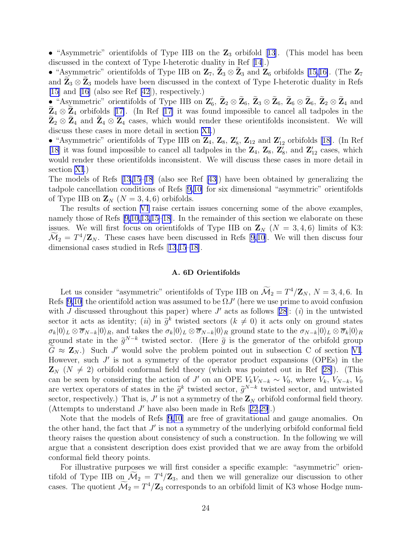•"Asymmetric" orientifolds of Type IIB on the  $\mathbb{Z}_3$  orbifold [[13](#page-60-0)]. (This model has been discussed in the context of Type I-heterotic duality in Ref[[14](#page-60-0)].)

•"Asymmetric" orientifolds of Type IIB on  $\mathbb{Z}_7$ ,  $\mathbb{Z}_3 \otimes \mathbb{Z}_3$  and  $\mathbb{Z}_6$  orbifolds [[15,16\]](#page-60-0). (The  $\mathbb{Z}_7$ and  $\mathbb{Z}_3 \otimes \mathbb{Z}_3$  models have been discussed in the context of Type I-heterotic duality in Refs [\[15\]](#page-60-0) and [\[16\]](#page-60-0) (also see Ref [\[42](#page-61-0)]), respectively.)

• "Asymmetric" orientifolds of Type IIB on  $\mathbf{Z}'_6$ ,  $\mathbf{Z}_2 \otimes \mathbf{Z}_6$ ,  $\mathbf{Z}_3 \otimes \mathbf{Z}_6$ ,  $\mathbf{Z}_6 \otimes \mathbf{Z}_6$ ,  $\mathbf{Z}_2 \otimes \mathbf{Z}_4$  and  $\mathbf{Z}_4 \otimes \mathbf{Z}_4$  $\mathbf{Z}_4 \otimes \mathbf{Z}_4$  $\mathbf{Z}_4 \otimes \mathbf{Z}_4$  orbifolds [[17\]](#page-60-0). (In Ref [\[17\]](#page-60-0) it was found impossible to cancel all tadpoles in the  $\mathbf{Z}_2 \otimes \mathbf{Z}_4$  and  $\mathbf{Z}_4 \otimes \mathbf{Z}_4$  cases, which would render these orientifolds inconsistent. We will discuss these cases in more detail in section [XI.](#page-44-0))

•"Asymmetric" orientifolds of Type IIB on  $\mathbb{Z}_4$ ,  $\mathbb{Z}_8$ ,  $\mathbb{Z}_8'$ ,  $\mathbb{Z}_{12}$  and  $\mathbb{Z}_{12}'$  orbifolds [[18\]](#page-60-0). (In Ref [\[18](#page-60-0)] it was found impossible to cancel all tadpoles in the  $\mathbb{Z}_4$ ,  $\mathbb{Z}_8$ ,  $\mathbb{Z}'_8$ , and  $\mathbb{Z}'_{12}$  cases, which would render these orientifolds inconsistent. We will discuss these cases in more detail in section [XI](#page-44-0).)

The models of Refs [\[13,15–18](#page-60-0)] (also see Ref [\[43\]](#page-61-0)) have been obtained by generalizing the tadpole cancellation conditions of Refs[[9,10\]](#page-60-0) for six dimensional "asymmetric" orientifolds of Type IIB on  $\mathbf{Z}_N$  ( $N = 3, 4, 6$ ) orbifolds.

The results of section [VI](#page-19-0) raise certain issues concerning some of the above examples, namelythose of Refs [[9,10,13,15–18](#page-60-0)]. In the remainder of this section we elaborate on these issues. We will first focus on orientifolds of Type IIB on  $\mathbb{Z}_N$  ( $N = 3, 4, 6$ ) limits of K3:  $\mathcal{M}_2 = T^4/\mathbf{Z}_N$ . These cases have been discussed in Refs [\[9,10\]](#page-60-0). We will then discuss four dimensional cases studied in Refs[[13](#page-60-0),[15–18](#page-60-0)].

### A. 6D Orientifolds

Let us consider "asymmetric" orientifolds of Type IIB on  $\mathcal{M}_2 = T^4/\mathbf{Z}_N$ ,  $N = 3, 4, 6$ . In Refs [\[9,10\]](#page-60-0) the orientifold action was assumed to be  $\Omega J'$  (here we use prime to avoid confusion with $J$  discussed throughout this paper) where  $J'$  acts as follows [[28](#page-60-0)]: (i) in the untwisted sector it acts as identity; (*ii*) in  $\tilde{g}^k$  twisted sectors ( $k \neq 0$ ) it acts only on ground states  $\sigma_k|0\rangle_L \otimes \overline{\sigma}_{N-k}|0\rangle_R$ , and takes the  $\sigma_k|0\rangle_L \otimes \overline{\sigma}_{N-k}|0\rangle_R$  ground state to the  $\sigma_{N-k}|0\rangle_L \otimes \overline{\sigma}_k|0\rangle_R$ ground state in the  $\tilde{g}^{N-k}$  twisted sector. (Here  $\tilde{g}$  is the generator of the orbifold group  $\hat{G} \approx \mathbf{Z}_N$ .) Such J' would solve the problem pointed out in subsection C of section [VI.](#page-19-0) However, such  $J'$  is not a symmetry of the operator product expansions (OPEs) in the  $\mathbf{Z}_N$  ( $N \neq 2$ ) orbifold conformal field theory (which was pointed out in Ref [\[28\]](#page-60-0)). (This can be seen by considering the action of J' on an OPE  $V_kV_{N-k} \sim V_0$ , where  $V_k$ ,  $V_{N-k}$ ,  $V_0$ are vertex operators of states in the  $\tilde{g}^k$  twisted sector,  $\tilde{g}^{N-k}$  twisted sector, and untwisted sector, respectively.) That is,  $J'$  is not a symmetry of the  $\mathbf{Z}_N$  orbifold conformal field theory. (Attemptsto understand  $J'$  have also been made in Refs  $[22,29]$  $[22,29]$  $[22,29]$  $[22,29]$  $[22,29]$ .)

Note that the models of Refs [\[9,10](#page-60-0)] are free of gravitational and gauge anomalies. On the other hand, the fact that  $J'$  is not a symmetry of the underlying orbifold conformal field theory raises the question about consistency of such a construction. In the following we will argue that a consistent description does exist provided that we are away from the orbifold conformal field theory points.

For illustrative purposes we will first consider a specific example: "asymmetric" orientifold of Type IIB on  $\mathcal{M}_2 = T^4/\mathbb{Z}_3$ , and then we will generalize our discussion to other cases. The quotient  $\mathcal{M}_2 = T^4/\mathbb{Z}_3$  corresponds to an orbifold limit of K3 whose Hodge num-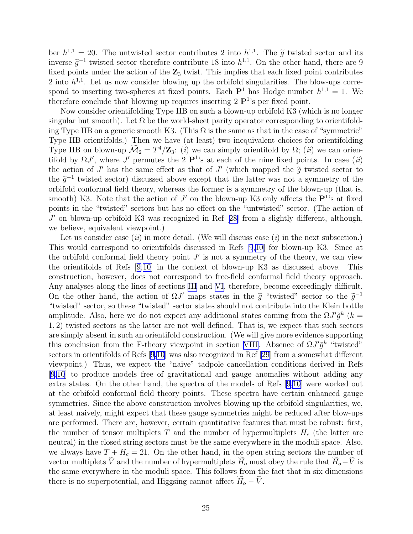ber  $h^{1,1} = 20$ . The untwisted sector contributes 2 into  $h^{1,1}$ . The  $\tilde{g}$  twisted sector and its inverse  $\tilde{g}^{-1}$  twisted sector therefore contribute 18 into  $h^{1,1}$ . On the other hand, there are 9 fixed points under the action of the  $\mathbb{Z}_3$  twist. This implies that each fixed point contributes 2 into  $h^{1,1}$ . Let us now consider blowing up the orbifold singularities. The blow-ups correspond to inserting two-spheres at fixed points. Each  $\mathbf{P}^1$  has Hodge number  $h^{1,1} = 1$ . We therefore conclude that blowing up requires inserting  $2 \mathbf{P}^{1}$ 's per fixed point.

Now consider orientifolding Type IIB on such a blown-up orbifold K3 (which is no longer singular but smooth). Let  $\Omega$  be the world-sheet parity operator corresponding to orientifolding Type IIB on a generic smooth K3. (This  $\Omega$  is the same as that in the case of "symmetric" Type IIB orientifolds.) Then we have (at least) two inequivalent choices for orientifolding Type IIB on blown-up  $\mathcal{M}_2 = T^4/\mathbf{Z}_3$ : (i) we can simply orientifold by  $\Omega$ ; (ii) we can orientifold by  $\Omega J'$ , where J' permutes the 2  $\mathbf{P}^{1}$ 's at each of the nine fixed points. In case (ii) the action of J' has the same effect as that of J' (which mapped the  $\tilde{g}$  twisted sector to the  $\tilde{g}^{-1}$  twisted sector) discussed above except that the latter was not a symmetry of the orbifold conformal field theory, whereas the former is a symmetry of the blown-up (that is, smooth) K3. Note that the action of  $J'$  on the blown-up K3 only affects the  $\mathbf{P}^{1}$ 's at fixed points in the "twisted" sectors but has no effect on the "untwisted" sector. (The action of  $J'$ on blown-up orbifold K3 was recognized in Ref [[28\]](#page-60-0) from a slightly different, although, we believe, equivalent viewpoint.)

Let us consider case (ii) in more detail. (We will discuss case (i) in the next subsection.) This would correspond to orientifolds discussed in Refs [\[9](#page-60-0),[10](#page-60-0)] for blown-up K3. Since at the orbifold conformal field theory point  $J'$  is not a symmetry of the theory, we can view the orientifolds of Refs[[9,10\]](#page-60-0) in the context of blown-up K3 as discussed above. This construction, however, does not correspond to free-field conformal field theory approach. Any analyses along the lines of sections [III](#page-8-0) and [VI,](#page-19-0) therefore, become exceedingly difficult. On the other hand, the action of  $\Omega J'$  maps states in the  $\tilde{g}$  "twisted" sector to the  $\tilde{g}^{-1}$ "twisted" sector, so these "twisted" sector states should not contribute into the Klein bottle amplitude. Also, here we do not expect any additional states coming from the  $\Omega J \tilde{g}^k$  ( $k =$ 1, 2) twisted sectors as the latter are not well defined. That is, we expect that such sectors are simply absent in such an orientifold construction. (We will give more evidence supporting this conclusion from the F-theory viewpoint in section [VIII.](#page-29-0) Absence of  $\Omega J'\tilde{g}^k$  "twisted" sectors in orientifolds of Refs [\[9,10](#page-60-0)] was also recognized in Ref [\[29\]](#page-60-0) from a somewhat different viewpoint.) Thus, we expect the "naive" tadpole cancellation conditions derived in Refs [\[9,10](#page-60-0)] to produce models free of gravitational and gauge anomalies without adding any extra states. On the other hand, the spectra of the models of Refs [\[9,10](#page-60-0)] were worked out at the orbifold conformal field theory points. These spectra have certain enhanced gauge symmetries. Since the above construction involves blowing up the orbifold singularities, we, at least naively, might expect that these gauge symmetries might be reduced after blow-ups are performed. There are, however, certain quantitative features that must be robust: first, the number of tensor multiplets T and the number of hypermultiplets  $H_c$  (the latter are neutral) in the closed string sectors must be the same everywhere in the moduli space. Also, we always have  $T + H_c = 21$ . On the other hand, in the open string sectors the number of vector multiplets  $\tilde{V}$  and the number of hypermultiplets  $\widetilde{H}_o$  must obey the rule that  $\widetilde{H}_o - \widetilde{V}$  is the same everywhere in the moduli space. This follows from the fact that in six dimensions there is no superpotential, and Higgsing cannot affect  $\widetilde{H}_{o} - \widetilde{V}$ .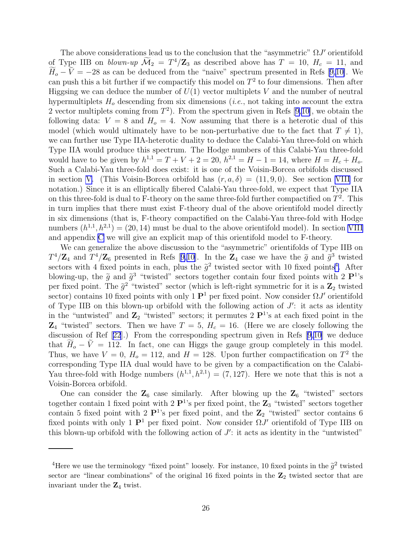The above considerations lead us to the conclusion that the "asymmetric"  $\Omega J'$  orientifold of Type IIB on *blown-up*  $\mathcal{M}_2 = T^4/\mathbb{Z}_3$  as described above has  $T = 10$ ,  $H_c = 11$ , and  $\widetilde{H}_{o} - \widetilde{V} = -28$  as can be deduced from the "naive" spectrum presented in Refs [[9,10\]](#page-60-0). We can push this a bit further if we compactify this model on  $T^2$  to four dimensions. Then after Higgsing we can deduce the number of  $U(1)$  vector multiplets V and the number of neutral hypermultiplets  $H<sub>o</sub>$  descending from six dimensions (*i.e.*, not taking into account the extra 2vector multiplets coming from  $T^2$ ). From the spectrum given in Refs [[9,10\]](#page-60-0), we obtain the following data:  $V = 8$  and  $H<sub>o</sub> = 4$ . Now assuming that there is a heterotic dual of this model (which would ultimately have to be non-perturbative due to the fact that  $T \neq 1$ ), we can further use Type IIA-heterotic duality to deduce the Calabi-Yau three-fold on which Type IIA would produce this spectrum. The Hodge numbers of this Calabi-Yau three-fold would have to be given by  $h^{1,1} = T + V + 2 = 20$ ,  $h^{2,1} = H - 1 = 14$ , where  $H = H_c + H_o$ . Such a Calabi-Yau three-fold does exist: it is one of the Voisin-Borcea orbifolds discussed in section [V](#page-14-0). (This Voisin-Borcea orbifold has  $(r, a, \delta) = (11, 9, 0)$ . See section [VIII](#page-29-0) for notation.) Since it is an elliptically fibered Calabi-Yau three-fold, we expect that Type IIA on this three-fold is dual to F-theory on the same three-fold further compactified on  $T^2$ . This in turn implies that there must exist F-theory dual of the above orientifold model directly in six dimensions (that is, F-theory compactified on the Calabi-Yau three-fold with Hodge numbers  $(h^{1,1}, h^{2,1}) = (20, 14)$  must be dual to the above orientifold model). In section [VIII](#page-29-0) and appendix [C](#page-52-0) we will give an explicit map of this orientifold model to F-theory.

We can generalize the above discussion to the "asymmetric" orientifolds of Type IIB on  $T^4/\mathbb{Z}_4$ and  $T^4/\mathbb{Z}_6$  presented in Refs [[9,10\]](#page-60-0). In the  $\mathbb{Z}_4$  case we have the  $\tilde{g}$  and  $\tilde{g}^3$  twisted sectors with 4 fixed points in each, plus the  $\tilde{g}^2$  twisted sector with 10 fixed points<sup>4</sup>. After blowing-up, the  $\tilde{g}$  and  $\tilde{g}^3$  "twisted" sectors together contain four fixed points with 2  $\mathbf{P}^1$ 's per fixed point. The  $\tilde{g}^2$  "twisted" sector (which is left-right symmetric for it is a  $\mathbb{Z}_2$  twisted sector) contains 10 fixed points with only 1  $\mathbf{P}^1$  per fixed point. Now consider  $\Omega J'$  orientifold of Type IIB on this blown-up orbifold with the following action of  $J'$ : it acts as identity in the "untwisted" and  $\mathbb{Z}_2$  "twisted" sectors; it permutes 2  $\mathbb{P}^1$ 's at each fixed point in the  $\mathbb{Z}_4$  "twisted" sectors. Then we have  $T = 5$ ,  $H_c = 16$ . (Here we are closely following the discussion of Ref[[22](#page-60-0)].) From the corresponding spectrum given in Refs [\[9,10\]](#page-60-0) we deduce that  $H_0 - \tilde{V} = 112$ . In fact, one can Higgs the gauge group completely in this model. Thus, we have  $V = 0$ ,  $H_o = 112$ , and  $H = 128$ . Upon further compactification on  $T<sup>2</sup>$  the corresponding Type IIA dual would have to be given by a compactification on the Calabi-Yau three-fold with Hodge numbers  $(h^{1,1}, h^{2,1}) = (7, 127)$ . Here we note that this is not a Voisin-Borcea orbifold.

One can consider the  $\mathbb{Z}_6$  case similarly. After blowing up the  $\mathbb{Z}_6$  "twisted" sectors together contain 1 fixed point with 2  $\mathbf{P}^{1}$ 's per fixed point, the  $\mathbf{Z}_{3}$  "twisted" sectors together contain 5 fixed point with 2  $\mathbf{P}^{1}$ 's per fixed point, and the  $\mathbf{Z}_{2}$  "twisted" sector contains 6 fixed points with only 1  $\mathbf{P}^1$  per fixed point. Now consider  $\Omega J'$  orientifold of Type IIB on this blown-up orbifold with the following action of  $J'$ : it acts as identity in the "untwisted"

<sup>&</sup>lt;sup>4</sup>Here we use the terminology "fixed point" loosely. For instance, 10 fixed points in the  $\tilde{g}^2$  twisted sector are "linear combinations" of the original 16 fixed points in the  $\mathbb{Z}_2$  twisted sector that are invariant under the  $Z_4$  twist.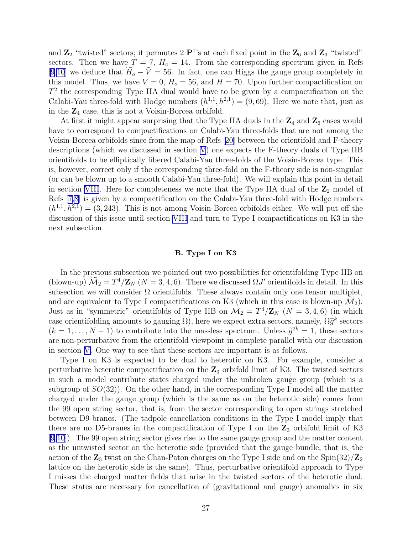and  $\mathbb{Z}_2$  "twisted" sectors; it permutes 2  $\mathbb{P}^1$ 's at each fixed point in the  $\mathbb{Z}_6$  and  $\mathbb{Z}_3$  "twisted" sectors. Then we have  $T = 7$ ,  $H_c = 14$ . From the corresponding spectrum given in Refs [\[9,10](#page-60-0)] we deduce that  $\widetilde{H}_{o} - \widetilde{V} = 56$ . In fact, one can Higgs the gauge group completely in this model. Thus, we have  $V = 0$ ,  $H<sub>o</sub> = 56$ , and  $H = 70$ . Upon further compactification on  $T<sup>2</sup>$  the corresponding Type IIA dual would have to be given by a compactification on the Calabi-Yau three-fold with Hodge numbers  $(h^{1,1}, h^{2,1}) = (9, 69)$ . Here we note that, just as in the  $\mathbf{Z}_4$  case, this is not a Voisin-Borcea orbifold.

At first it might appear surprising that the Type IIA duals in the  $\mathbb{Z}_4$  and  $\mathbb{Z}_6$  cases would have to correspond to compactifications on Calabi-Yau three-folds that are not among the Voisin-Borcea orbifolds since from the map of Refs[[20\]](#page-60-0) between the orientifold and F-theory descriptions (which we discussed in section [V](#page-14-0)) one expects the F-theory duals of Type IIB orientifolds to be elliptically fibered Calabi-Yau three-folds of the Voisin-Borcea type. This is, however, correct only if the corresponding three-fold on the F-theory side is non-singular (or can be blown up to a smooth Calabi-Yau three-fold). We will explain this point in detail in section [VIII](#page-29-0). Here for completeness we note that the Type IIA dual of the  $\mathbb{Z}_2$  model of Refs [\[7,8](#page-60-0)] is given by a compactification on the Calabi-Yau three-fold with Hodge numbers  $(h^{1,1}, h^{2,1}) = (3, 243)$ . This is not among Voisin-Borcea orbifolds either. We will put off the discussion of this issue until section [VIII](#page-29-0) and turn to Type I compactifications on K3 in the next subsection.

### B. Type I on K3

In the previous subsection we pointed out two possibilities for orientifolding Type IIB on (blown-up)  $\mathcal{M}_2 = T^4/\mathbf{Z}_N$  ( $N = 3, 4, 6$ ). There we discussed  $\Omega J'$  orientifolds in detail. In this subsection we will consider  $\Omega$  orientifolds. These always contain only one tensor multiplet, and are equivalent to Type I compactifications on K3 (which in this case is blown-up  $\mathcal{M}_2$ ). Just as in "symmetric" orientifolds of Type IIB on  $\mathcal{M}_2 = T^4/\mathbb{Z}_N$  ( $N = 3, 4, 6$ ) (in which case orientifolding amounts to gauging  $\Omega$ ), here we expect extra sectors, namely,  $\Omega \tilde{g}^k$  sectors  $(k = 1, \ldots, N - 1)$  to contribute into the massless spectrum. Unless  $\tilde{g}^{2k} = 1$ , these sectors are non-perturbative from the orientifold viewpoint in complete parallel with our discussion in section [V.](#page-14-0) One way to see that these sectors are important is as follows.

Type I on K3 is expected to be dual to heterotic on K3. For example, consider a perturbative heterotic compactification on the  $\mathbb{Z}_3$  orbifold limit of K3. The twisted sectors in such a model contribute states charged under the unbroken gauge group (which is a subgroup of  $SO(32)$ ). On the other hand, in the corresponding Type I model all the matter charged under the gauge group (which is the same as on the heterotic side) comes from the 99 open string sector, that is, from the sector corresponding to open strings stretched between D9-branes. (The tadpole cancellation conditions in the Type I model imply that there are no D5-branes in the compactification of Type I on the  $\mathbb{Z}_3$  orbifold limit of K3 [\[9,10](#page-60-0)]). The 99 open string sector gives rise to the same gauge group and the matter content as the untwisted sector on the heterotic side (provided that the gauge bundle, that is, the action of the  $\mathbb{Z}_3$  twist on the Chan-Paton charges on the Type I side and on the Spin $\left(\frac{32}{\mathbb{Z}_2}\right)$ lattice on the heterotic side is the same). Thus, perturbative orientifold approach to Type I misses the charged matter fields that arise in the twisted sectors of the heterotic dual. These states are necessary for cancellation of (gravitational and gauge) anomalies in six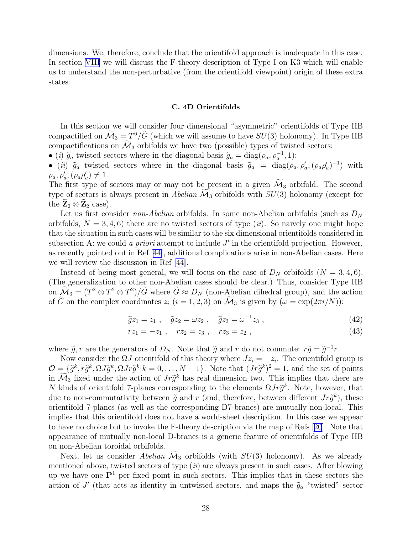dimensions. We, therefore, conclude that the orientifold approach is inadequate in this case. In section [VIII](#page-29-0) we will discuss the F-theory description of Type I on K3 which will enable us to understand the non-perturbative (from the orientifold viewpoint) origin of these extra states.

### C. 4D Orientifolds

In this section we will consider four dimensional "asymmetric" orientifolds of Type IIB compactified on  $\mathcal{M}_3 = T^6/\tilde{G}$  (which we will assume to have  $SU(3)$  holonomy). In Type IIB compactifications on  $\widetilde{\mathcal{M}}_3$  orbifolds we have two (possible) types of twisted sectors:

• (i)  $\tilde{g}_a$  twisted sectors where in the diagonal basis  $\tilde{g}_a = \text{diag}(\rho_a, \rho_a^{-1}, 1);$ 

• (ii)  $\tilde{g}_a$  twisted sectors where in the diagonal basis  $\tilde{g}_a = \text{diag}(\rho_a, \rho'_a, (\rho_a \rho'_a)^{-1})$  with  $\rho_a, \rho'_a, (\rho_a \rho'_a) \neq 1.$ 

The first type of sectors may or may not be present in a given  $\widetilde{\mathcal{M}}_3$  orbifold. The second type of sectors is always present in Abelian  $\mathcal{M}_3$  orbifolds with  $SU(3)$  holonomy (except for the  $\mathbb{Z}_2 \otimes \mathbb{Z}_2$  case).

Let us first consider *non-Abelian* orbifolds. In some non-Abelian orbifolds (such as  $D<sub>N</sub>$ orbifolds,  $N = 3, 4, 6$ ) there are no twisted sectors of type *(ii)*. So naively one might hope that the situation in such cases will be similar to the six dimensional orientifolds considered in subsection A: we could a priori attempt to include  $J'$  in the orientifold projection. However, as recently pointed out in Ref [\[44\]](#page-61-0), additional complications arise in non-Abelian cases. Here we will review the discussion in Ref [\[44\]](#page-61-0).

Instead of being most general, we will focus on the case of  $D<sub>N</sub>$  orbifolds  $(N = 3, 4, 6)$ . (The generalization to other non-Abelian cases should be clear.) Thus, consider Type IIB on  $\widetilde{\mathcal{M}}_3 = (T^2 \otimes T^2 \otimes T^2)/\widetilde{G}$  where  $\widetilde{G} \approx D_N$  (non-Abelian dihedral group), and the action of G on the complex coordinates  $z_i$   $(i = 1, 2, 3)$  on  $\mathcal{M}_3$  is given by  $(\omega = \exp(2\pi i/N))$ :

$$
\tilde{g}z_1 = z_1 , \quad \tilde{g}z_2 = \omega z_2 , \quad \tilde{g}z_3 = \omega^{-1} z_3 , \qquad (42)
$$

$$
rz_1 = -z_1 \ , \quad rz_2 = z_3 \ , \quad rz_3 = z_2 \ , \tag{43}
$$

where  $\tilde{g}, r$  are the generators of  $D_N$ . Note that  $\tilde{g}$  and r do not commute:  $r\tilde{g} = \tilde{g}^{-1}r$ .

Now consider the  $\Omega J$  orientifold of this theory where  $Jz_i = -z_i$ . The orientifold group is  $\mathcal{O} = \{\tilde{g}^k, r\tilde{g}^k, \Omega J\tilde{g}^k, \Omega Jr\tilde{g}^k | k = 0, \ldots, N-1\}$ . Note that  $(Jr\tilde{g}^k)^2 = 1$ , and the set of points in  $\mathcal{M}_3$  fixed under the action of  $Jr\tilde{g}^k$  has real dimension two. This implies that there are N kinds of orientifold 7-planes corresponding to the elements  $\Omega Jr\tilde{g}^k$ . Note, however, that due to non-commutativity between  $\tilde{g}$  and r (and, therefore, between different  $Jr\tilde{g}^k$ ), these orientifold 7-planes (as well as the corresponding D7-branes) are mutually non-local. This implies that this orientifold does not have a world-sheet description. In this case we appear to have no choice but to invoke the F-theory description via the map of Refs[[20](#page-60-0)]. Note that appearance of mutually non-local D-branes is a generic feature of orientifolds of Type IIB on non-Abelian toroidal orbifolds.

Next, let us consider *Abelian*  $\mathcal{M}_3$  orbifolds (with  $SU(3)$  holonomy). As we already mentioned above, twisted sectors of type  $(ii)$  are always present in such cases. After blowing up we have one  $\mathbf{P}^1$  per fixed point in such sectors. This implies that in these sectors the action of  $J'$  (that acts as identity in untwisted sectors, and maps the  $\tilde{g}_a$  "twisted" sector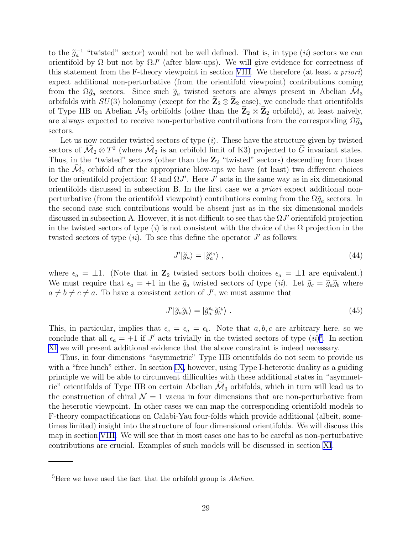to the  $\tilde{g}_a^{-1}$  "twisted" sector) would not be well defined. That is, in type *(ii)* sectors we can orientifold by Ω but not by  $\Omega J'$  (after blow-ups). We will give evidence for correctness of this statement from the F-theory viewpoint in section [VIII.](#page-29-0) We therefore (at least a priori) expect additional non-perturbative (from the orientifold viewpoint) contributions coming from the  $\Omega \tilde{g}_a$  sectors. Since such  $\tilde{g}_a$  twisted sectors are always present in Abelian  $\tilde{M}_3$ orbifolds with  $SU(3)$  holonomy (except for the  $\mathbb{Z}_2 \otimes \mathbb{Z}_2$  case), we conclude that orientifolds of Type IIB on Abelian  $\mathcal{M}_3$  orbifolds (other than the  $\mathbb{Z}_2 \otimes \mathbb{Z}_2$  orbifold), at least naively, are always expected to receive non-perturbative contributions from the corresponding  $\Omega \tilde{g}_a$ sectors.

Let us now consider twisted sectors of type  $(i)$ . These have the structure given by twisted sectors of  $\mathcal{M}_2 \otimes T^2$  (where  $\mathcal{M}_2$  is an orbifold limit of K3) projected to  $\tilde{G}$  invariant states. Thus, in the "twisted" sectors (other than the  $\mathbb{Z}_2$  "twisted" sectors) descending from those in the  $\mathcal{M}_2$  orbifold after the appropriate blow-ups we have (at least) two different choices for the orientifold projection:  $\Omega$  and  $\Omega J'$ . Here  $J'$  acts in the same way as in six dimensional orientifolds discussed in subsection B. In the first case we a priori expect additional nonperturbative (from the orientifold viewpoint) contributions coming from the  $\Omega \tilde{g}_a$  sectors. In the second case such contributions would be absent just as in the six dimensional models discussed in subsection A. However, it is not difficult to see that the  $\Omega J'$  orientifold projection in the twisted sectors of type (i) is not consistent with the choice of the  $\Omega$  projection in the twisted sectors of type  $(ii)$ . To see this define the operator  $J'$  as follows:

$$
J'|\tilde{g}_a\rangle = |\tilde{g}_a^{\epsilon_a}\rangle \t\t(44)
$$

where  $\epsilon_a = \pm 1$ . (Note that in  $\mathbb{Z}_2$  twisted sectors both choices  $\epsilon_a = \pm 1$  are equivalent.) We must require that  $\epsilon_a = +1$  in the  $\tilde{g}_a$  twisted sectors of type *(ii)*. Let  $\tilde{g}_c = \tilde{g}_a \tilde{g}_b$  where  $a \neq b \neq c \neq a$ . To have a consistent action of J', we must assume that

$$
J'|\tilde{g}_a\tilde{g}_b\rangle = |\tilde{g}_a^{\epsilon_a}\tilde{g}_b^{\epsilon_b}\rangle . \tag{45}
$$

This, in particular, implies that  $\epsilon_c = \epsilon_a = \epsilon_b$ . Note that  $a, b, c$  are arbitrary here, so we conclude that all  $\epsilon_a = +1$  if J' acts trivially in the twisted sectors of type  $(ii)^5$ . In section [XI](#page-44-0) we will present additional evidence that the above constraint is indeed necessary.

Thus, in four dimensions "asymmetric" Type IIB orientifolds do not seem to provide us with a "free lunch" either. In section [IX,](#page-41-0) however, using Type I-heterotic duality as a guiding principle we will be able to circumvent difficulties with these additional states in "asymmetric" orientifolds of Type IIB on certain Abelian  $\mathcal{M}_3$  orbifolds, which in turn will lead us to the construction of chiral  $\mathcal{N} = 1$  vacua in four dimensions that are non-perturbative from the heterotic viewpoint. In other cases we can map the corresponding orientifold models to F-theory compactifications on Calabi-Yau four-folds which provide additional (albeit, sometimes limited) insight into the structure of four dimensional orientifolds. We will discuss this map in section [VIII.](#page-29-0) We will see that in most cases one has to be careful as non-perturbative contributions are crucial. Examples of such models will be discussed in section [XI](#page-44-0).

 ${}^{5}$ Here we have used the fact that the orbifold group is *Abelian*.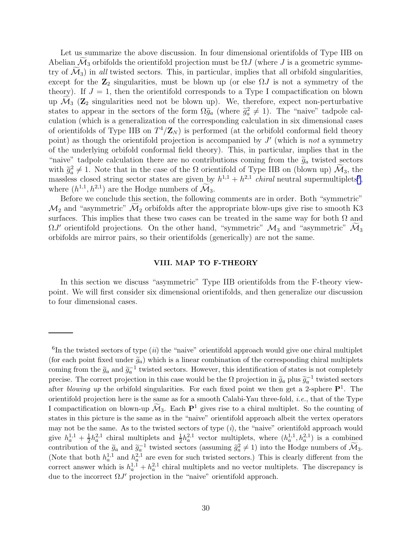<span id="page-29-0"></span>Let us summarize the above discussion. In four dimensional orientifolds of Type IIB on Abelian  $\mathcal{M}_3$  orbifolds the orientifold projection must be  $\Omega J$  (where J is a geometric symmetry of  $\mathcal{M}_3$ ) in all twisted sectors. This, in particular, implies that all orbifold singularities, except for the  $\mathbb{Z}_2$  singularities, must be blown up (or else  $\Omega J$  is not a symmetry of the theory). If  $J = 1$ , then the orientifold corresponds to a Type I compactification on blown up  $\mathcal{M}_3$  ( $\mathbb{Z}_2$  singularities need not be blown up). We, therefore, expect non-perturbative states to appear in the sectors of the form  $\Omega \tilde{g}_a$  (where  $\tilde{g}_a^2 \neq 1$ ). The "naive" tadpole calculation (which is a generalization of the corresponding calculation in six dimensional cases of orientifolds of Type IIB on  $T^4/\mathbb{Z}_N$ ) is performed (at the orbifold conformal field theory point) as though the orientifold projection is accompanied by  $J'$  (which is not a symmetry of the underlying orbifold conformal field theory). This, in particular, implies that in the "naive" tadpole calculation there are no contributions coming from the  $\tilde{g}_a$  twisted sectors with  $\tilde{g}_a^2 \neq 1$ . Note that in the case of the  $\Omega$  orientifold of Type IIB on (blown up)  $\mathcal{M}_3$ , the massless closed string sector states are given by  $h^{1,1} + h^{2,1}$  chiral neutral supermultiplets<sup>6</sup>, where  $(h^{1,1}, h^{2,1})$  are the Hodge numbers of  $\mathcal{M}_3$ .

Before we conclude this section, the following comments are in order. Both "symmetric"  $\mathcal{M}_2$  and "asymmetric"  $\widetilde{\mathcal{M}}_2$  orbifolds after the appropriate blow-ups give rise to smooth K3 surfaces. This implies that these two cases can be treated in the same way for both  $\Omega$  and  $\Omega J'$  orientifold projections. On the other hand, "symmetric"  $\mathcal{M}_3$  and "asymmetric"  $\mathcal{M}_3$ orbifolds are mirror pairs, so their orientifolds (generically) are not the same.

### VIII. MAP TO F-THEORY

In this section we discuss "asymmetric" Type IIB orientifolds from the F-theory viewpoint. We will first consider six dimensional orientifolds, and then generalize our discussion to four dimensional cases.

 ${}^{6}$ In the twisted sectors of type  $(ii)$  the "naive" orientifold approach would give one chiral multiplet (for each point fixed under  $\tilde{g}_a$ ) which is a linear combination of the corresponding chiral multiplets coming from the  $\tilde{g}_a$  and  $\tilde{g}_a^{-1}$  twisted sectors. However, this identification of states is not completely precise. The correct projection in this case would be the  $\Omega$  projection in  $\tilde{g}_a$  plus  $\tilde{g}_a^{-1}$  twisted sectors after *blowing up* the orbifold singularities. For each fixed point we then get a 2-sphere  $\mathbf{P}^1$ . The orientifold projection here is the same as for a smooth Calabi-Yau three-fold, i.e., that of the Type I compactification on blown-up  $\widetilde{\mathcal{M}}_3$ . Each  $\mathbf{P}^1$  gives rise to a chiral multiplet. So the counting of states in this picture is the same as in the "naive" orientifold approach albeit the vertex operators may not be the same. As to the twisted sectors of type  $(i)$ , the "naive" orientifold approach would give  $h_a^{1,1} + \frac{1}{2}$  $\frac{1}{2}h_a^{2,1}$  chiral multiplets and  $\frac{1}{2}h_a^{2,1}$  vector multiplets, where  $(h_a^{1,1}, h_a^{2,1})$  is a combined contribution of the  $\tilde{g}_a$  and  $\tilde{g}_a^{-1}$  twisted sectors (assuming  $\tilde{g}_a^2 \neq 1$ ) into the Hodge numbers of  $\mathcal{M}_3$ . (Note that both  $h_a^{1,1}$  and  $h_a^{2,1}$  are even for such twisted sectors.) This is clearly different from the correct answer which is  $h_a^{1,1} + h_a^{2,1}$  chiral multiplets and no vector multiplets. The discrepancy is due to the incorrect  $\Omega J'$  projection in the "naive" orientifold approach.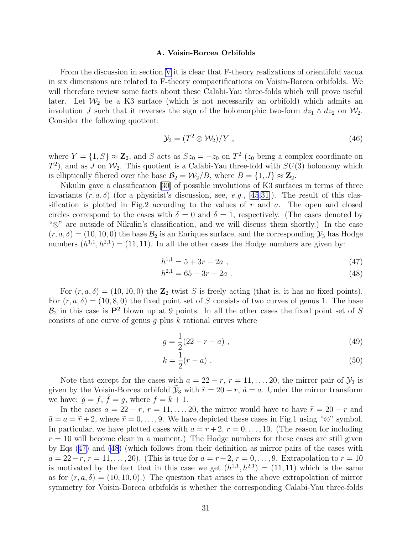#### A. Voisin-Borcea Orbifolds

From the discussion in section [V](#page-14-0) it is clear that F-theory realizations of orientifold vacua in six dimensions are related to F-theory compactifications on Voisin-Borcea orbifolds. We will therefore review some facts about these Calabi-Yau three-folds which will prove useful later. Let  $W_2$  be a K3 surface (which is not necessarily an orbifold) which admits an involution J such that it reverses the sign of the holomorphic two-form  $dz_1 \wedge dz_2$  on  $\mathcal{W}_2$ . Consider the following quotient:

$$
\mathcal{Y}_3 = (T^2 \otimes \mathcal{W}_2) / Y \tag{46}
$$

where  $Y = \{1, S\} \approx \mathbb{Z}_2$ , and S acts as  $Sz_0 = -z_0$  on  $T^2$  ( $z_0$  being a complex coordinate on  $T^2$ ), and as J on  $\mathcal{W}_2$ . This quotient is a Calabi-Yau three-fold with  $SU(3)$  holonomy which is elliptically fibered over the base  $\mathcal{B}_2 = \mathcal{W}_2/B$ , where  $B = \{1, J\} \approx \mathbb{Z}_2$ .

Nikulin gave a classification [\[30](#page-60-0)] of possible involutions of K3 surfaces in terms of three invariants  $(r, a, \delta)$  (for a physicist's discussion, see, e.g., [\[45](#page-61-0)[,31\]](#page-60-0)). The result of this classification is plotted in Fig.2 according to the values of r and a. The open and closed circles correspond to the cases with  $\delta = 0$  and  $\delta = 1$ , respectively. (The cases denoted by "⊗" are outside of Nikulin's classification, and we will discuss them shortly.) In the case  $(r, a, \delta) = (10, 10, 0)$  the base  $\mathcal{B}_2$  is an Enriques surface, and the corresponding  $\mathcal{Y}_3$  has Hodge numbers  $(h^{1,1}, h^{2,1}) = (11, 11)$ . In all the other cases the Hodge numbers are given by:

$$
h^{1,1} = 5 + 3r - 2a \t{47}
$$

$$
h^{2,1} = 65 - 3r - 2a \tag{48}
$$

For  $(r, a, \delta) = (10, 10, 0)$  the  $\mathbb{Z}_2$  twist S is freely acting (that is, it has no fixed points). For  $(r, a, \delta) = (10, 8, 0)$  the fixed point set of S consists of two curves of genus 1. The base  $\mathcal{B}_2$  in this case is  $\mathbf{P}^2$  blown up at 9 points. In all the other cases the fixed point set of S consists of one curve of genus  $q$  plus  $k$  rational curves where

$$
g = \frac{1}{2}(22 - r - a) , \t\t(49)
$$

$$
k = \frac{1}{2}(r - a) \tag{50}
$$

Note that except for the cases with  $a = 22 - r$ ,  $r = 11, \ldots, 20$ , the mirror pair of  $\mathcal{Y}_3$  is given by the Voisin-Borcea orbifold  $\mathcal{Y}_3$  with  $\tilde{r} = 20 - r$ ,  $\tilde{a} = a$ . Under the mirror transform we have:  $\tilde{g} = f, f = g$ , where  $f = k + 1$ .

In the cases  $a = 22 - r$ ,  $r = 11, \ldots, 20$ , the mirror would have to have  $\tilde{r} = 20 - r$  and  $\tilde{a} = a = \tilde{r} + 2$ , where  $\tilde{r} = 0, \ldots, 9$ . We have depicted these cases in Fig.1 using "⊗" symbol. In particular, we have plotted cases with  $a = r + 2$ ,  $r = 0, \ldots, 10$ . (The reason for including  $r = 10$  will become clear in a moment.) The Hodge numbers for these cases are still given by Eqs (47) and (48) (which follows from their definition as mirror pairs of the cases with  $a = 22 - r, r = 11, \ldots, 20$ . (This is true for  $a = r + 2, r = 0, \ldots, 9$ . Extrapolation to  $r = 10$ is motivated by the fact that in this case we get  $(h^{1,1}, h^{2,1}) = (11, 11)$  which is the same as for  $(r, a, \delta) = (10, 10, 0)$ .) The question that arises in the above extrapolation of mirror symmetry for Voisin-Borcea orbifolds is whether the corresponding Calabi-Yau three-folds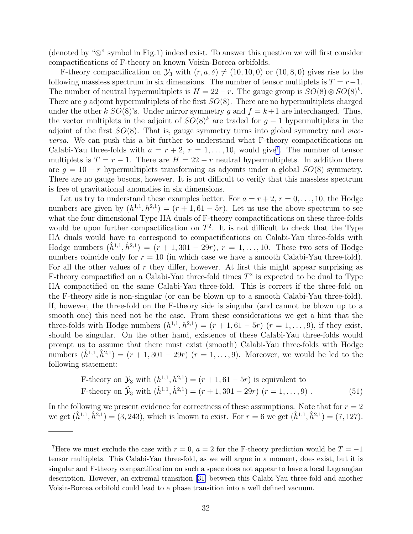(denoted by "⊗" symbol in Fig.1) indeed exist. To answer this question we will first consider compactifications of F-theory on known Voisin-Borcea orbifolds.

F-theory compactification on  $\mathcal{Y}_3$  with  $(r, a, \delta) \neq (10, 10, 0)$  or  $(10, 8, 0)$  gives rise to the following massless spectrum in six dimensions. The number of tensor multiplets is  $T = r-1$ . The number of neutral hypermultiplets is  $H = 22 - r$ . The gauge group is  $SO(8) \otimes SO(8)^k$ . There are g adjoint hypermultiplets of the first  $SO(8)$ . There are no hypermultiplets charged under the other k  $SO(8)$ 's. Under mirror symmetry g and  $f = k+1$  are interchanged. Thus, the vector multiplets in the adjoint of  $SO(8)^k$  are traded for  $g-1$  hypermultiplets in the adjoint of the first  $SO(8)$ . That is, gauge symmetry turns into global symmetry and *vice*versa. We can push this a bit further to understand what F-theory compactifications on Calabi-Yau three-folds with  $a = r + 2$ ,  $r = 1, ..., 10$ , would give<sup>7</sup>. The number of tensor multiplets is  $T = r - 1$ . There are  $H = 22 - r$  neutral hypermultiplets. In addition there are  $q = 10 - r$  hypermultiplets transforming as adjoints under a global  $SO(8)$  symmetry. There are no gauge bosons, however. It is not difficult to verify that this massless spectrum is free of gravitational anomalies in six dimensions.

Let us try to understand these examples better. For  $a = r + 2$ ,  $r = 0, \ldots, 10$ , the Hodge numbers are given by  $(h^{1,1}, h^{2,1}) = (r + 1, 61 - 5r)$ . Let us use the above spectrum to see what the four dimensional Type IIA duals of F-theory compactifications on these three-folds would be upon further compactification on  $T^2$ . It is not difficult to check that the Type IIA duals would have to correspond to compactifications on Calabi-Yau three-folds with Hodge numbers  $(\hat{h}^{1,1}, \hat{h}^{2,1}) = (r+1, 301-29r), r = 1, ..., 10$ . These two sets of Hodge numbers coincide only for  $r = 10$  (in which case we have a smooth Calabi-Yau three-fold). For all the other values of  $r$  they differ, however. At first this might appear surprising as F-theory compactified on a Calabi-Yau three-fold times  $T^2$  is expected to be dual to Type IIA compactified on the same Calabi-Yau three-fold. This is correct if the three-fold on the F-theory side is non-singular (or can be blown up to a smooth Calabi-Yau three-fold). If, however, the three-fold on the F-theory side is singular (and cannot be blown up to a smooth one) this need not be the case. From these considerations we get a hint that the three-folds with Hodge numbers  $(h^{1,1}, h^{2,1}) = (r + 1, 61 - 5r)$   $(r = 1, \ldots, 9)$ , if they exist, should be singular. On the other hand, existence of these Calabi-Yau three-folds would prompt us to assume that there must exist (smooth) Calabi-Yau three-folds with Hodge numbers  $(\hat{h}^{1,1}, \hat{h}^{2,1}) = (r + 1, 301 - 29r)$   $(r = 1, ..., 9)$ . Moreover, we would be led to the following statement:

F-theory on 
$$
\mathcal{Y}_3
$$
 with  $(h^{1,1}, h^{2,1}) = (r + 1, 61 - 5r)$  is equivalent to  
F-theory on  $\hat{\mathcal{Y}}_3$  with  $(\hat{h}^{1,1}, \hat{h}^{2,1}) = (r + 1, 301 - 29r) (r = 1, ..., 9)$ . (51)

In the following we present evidence for correctness of these assumptions. Note that for  $r = 2$ we get  $(\hat{h}^{1,1}, \hat{h}^{2,1}) = (3, 243)$ , which is known to exist. For  $r = 6$  we get  $(\hat{h}^{1,1}, \hat{h}^{2,1}) = (7, 127)$ .

<sup>&</sup>lt;sup>7</sup>Here we must exclude the case with  $r = 0$ ,  $a = 2$  for the F-theory prediction would be  $T = -1$ tensor multiplets. This Calabi-Yau three-fold, as we will argue in a moment, does exist, but it is singular and F-theory compactification on such a space does not appear to have a local Lagrangian description. However, an extremal transition[[31\]](#page-60-0) between this Calabi-Yau three-fold and another Voisin-Borcea orbifold could lead to a phase transition into a well defined vacuum.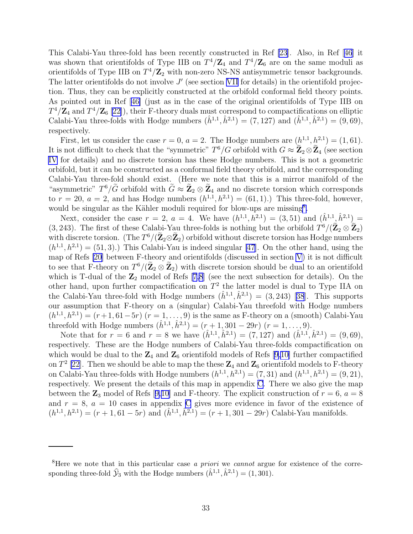This Calabi-Yau three-fold has been recently constructed in Ref [\[23](#page-60-0)]. Also, in Ref[[46](#page-61-0)] it was shown that orientifolds of Type IIB on  $T^4/\mathbb{Z}_4$  and  $T^4/\mathbb{Z}_6$  are on the same moduli as orientifolds of Type IIB on  $T^4/\mathbb{Z}_2$  with non-zero NS-NS antisymmetric tensor backgrounds. The latter orientifolds do not involve  $J'$  (see section [VII](#page-22-0) for details) in the orientifold projection. Thus, they can be explicitly constructed at the orbifold conformal field theory points. As pointed out in Ref[[46\]](#page-61-0) (just as in the case of the original orientifolds of Type IIB on  $T^4/\mathbf{Z}_4$  and  $T^4/\mathbf{Z}_6$  [\[22\]](#page-60-0)), their F-theory duals must correspond to compactifications on elliptic Calabi-Yau three-folds with Hodge numbers  $(\hat{h}^{1,1}, \hat{h}^{2,1}) = (7, 127)$  and  $(\hat{h}^{1,1}, \hat{h}^{2,1}) = (9, 69)$ , respectively.

First, let us consider the case  $r = 0$ ,  $a = 2$ . The Hodge numbers are  $(h^{1,1}, h^{2,1}) = (1, 61)$ . It is not difficult to check that the "symmetric"  $T^6/G$  orbifold with  $G \approx \mathbb{Z}_2 \otimes \mathbb{Z}_4$  (see section [IV](#page-11-0) for details) and no discrete torsion has these Hodge numbers. This is not a geometric orbifold, but it can be constructed as a conformal field theory orbifold, and the corresponding Calabi-Yau three-fold should exist. (Here we note that this is a mirror manifold of the "asymmetric"  $T^6/\tilde{G}$  orbifold with  $\tilde{G} \approx \mathbb{Z}_2 \otimes \mathbb{Z}_4$  and no discrete torsion which corresponds to  $r = 20$ ,  $a = 2$ , and has Hodge numbers  $(h^{1,1}, h^{2,1}) = (61, 1)$ . This three-fold, however, would be singular as the Kähler moduli required for blow-ups are missing<sup>8</sup>.

Next, consider the case  $r = 2$ ,  $a = 4$ . We have  $(h^{1,1}, h^{2,1}) = (3, 51)$  and  $(h^{1,1}, h^{2,1}) =$ (3, 243). The first of these Calabi-Yau three-folds is nothing but the orbifold  $T^6/(\mathbb{Z}_2 \otimes \mathbb{Z}_2)$ with discrete torsion. (The  $T^6/(\mathbf{Z}_2 \otimes \mathbf{Z}_2)$  orbifold without discrete torsion has Hodge numbers  $(h^{1,1}, h^{2,1}) = (51, 3)$ .) This Calabi-Yau is indeed singular [\[47\]](#page-61-0). On the other hand, using the map of Refs [\[20\]](#page-60-0) between F-theory and orientifolds (discussed in section [V](#page-14-0)) it is not difficult to see that F-theory on  $T^6/(\mathbb{Z}_2 \otimes \mathbb{Z}_2)$  with discrete torsion should be dual to an orientifold which is T-dual of the  $\mathbb{Z}_2$  model of Refs [\[7,8](#page-60-0)] (see the next subsection for details). On the other hand, upon further compactification on  $T^2$  the latter model is dual to Type IIA on theCalabi-Yau three-fold with Hodge numbers  $(\hat{h}^{1,1}, \hat{h}^{2,1}) = (3, 243)$  [[38](#page-61-0)]. This supports our assumption that F-theory on a (singular) Calabi-Yau threefold with Hodge numbers  $(h^{1,1}, h^{2,1}) = (r+1, 61-5r)$   $(r = 1, ..., 9)$  is the same as F-theory on a (smooth) Calabi-Yau threefold with Hodge numbers  $(\hat{h}^{1,1}, \hat{h}^{2,1}) = (r+1, 301-29r)$   $(r = 1, \ldots, 9)$ .

Note that for  $r = 6$  and  $r = 8$  we have  $(\hat{h}^{1,1}, \hat{h}^{2,1}) = (7, 127)$  and  $(\hat{h}^{1,1}, \hat{h}^{2,1}) = (9, 69)$ , respectively. These are the Hodge numbers of Calabi-Yau three-folds compactification on which would be dual to the  $\mathbb{Z}_4$  and  $\mathbb{Z}_6$  orientifold models of Refs [\[9,10\]](#page-60-0) further compactified on  $T^2$  [\[22](#page-60-0)]. Then we should be able to map the these  $\mathbf{Z}_4$  and  $\mathbf{Z}_6$  orientifold models to F-theory on Calabi-Yau three-folds with Hodge numbers  $(h^{1,1}, h^{2,1}) = (7, 31)$  and  $(h^{1,1}, h^{2,1}) = (9, 21)$ , respectively. We present the details of this map in appendix [C](#page-52-0). There we also give the map betweenthe  $\mathbb{Z}_3$  model of Refs [[9,10\]](#page-60-0) and F-theory. The explicit construction of  $r = 6$ ,  $a = 8$ and  $r = 8$ ,  $a = 10$  cases in appendix [C](#page-52-0) gives more evidence in favor of the existence of  $(h^{1,1}, h^{2,1}) = (r + 1, 61 - 5r)$  and  $(\hat{h}^{1,1}, \hat{h}^{2,1}) = (r + 1, 301 - 29r)$  Calabi-Yau manifolds.

<sup>&</sup>lt;sup>8</sup>Here we note that in this particular case a *priori* we *cannot* argue for existence of the corresponding three-fold  $\hat{y}_3$  with the Hodge numbers  $(\hat{h}^{1,1}, \hat{h}^{2,1}) = (1, 301)$ .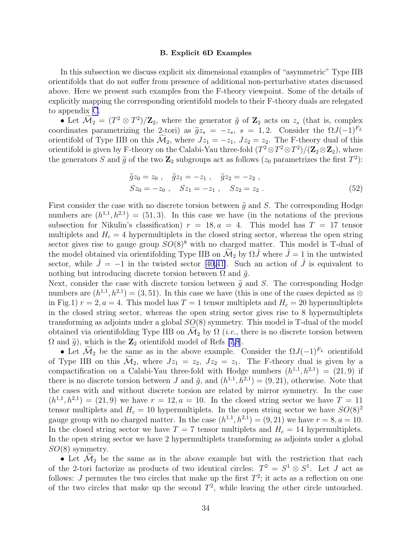#### B. Explicit 6D Examples

In this subsection we discuss explicit six dimensional examples of "asymmetric" Type IIB orientifolds that do not suffer from presence of additional non-perturbative states discussed above. Here we present such examples from the F-theory viewpoint. Some of the details of explicitly mapping the corresponding orientifold models to their F-theory duals are relegated to appendix [C](#page-52-0).

• Let  $\mathcal{M}_2 = (T^2 \otimes T^2)/\mathbb{Z}_2$ , where the generator  $\tilde{g}$  of  $\mathbb{Z}_2$  acts on  $z_s$  (that is, complex coordinates parametrizing the 2-tori) as  $\tilde{g}z_s = -z_s$ ,  $s = 1, 2$ . Consider the  $\Omega J(-1)^{F_L}$ orientifold of Type IIB on this  $\mathcal{M}_2$ , where  $Jz_1 = -z_1$ ,  $Jz_2 = z_2$ . The F-theory dual of this orientifold is given by F-theory on the Calabi-Yau three-fold  $(T^2 \otimes T^2 \otimes T^2) / (\mathbf{Z}_2 \otimes \mathbf{Z}_2)$ , where the generators S and  $\tilde{g}$  of the two  $\mathbb{Z}_2$  subgroups act as follows  $(z_0$  parametrizes the first  $T^2$ ):

$$
\tilde{g}z_0 = z_0 , \quad \tilde{g}z_1 = -z_1 , \quad \tilde{g}z_2 = -z_2 ,\nSz_0 = -z_0 , \quad Sz_1 = -z_1 , \quad Sz_2 = z_2 .
$$
\n(52)

First consider the case with no discrete torsion between  $\tilde{q}$  and S. The corresponding Hodge numbers are  $(h^{1,1}, h^{2,1}) = (51, 3)$ . In this case we have (in the notations of the previous subsection for Nikulin's classification)  $r = 18, a = 4$ . This model has  $T = 17$  tensor multiplets and  $H_c = 4$  hypermultiplets in the closed string sector, whereas the open string sector gives rise to gauge group  $SO(8)^8$  with no charged matter. This model is T-dual of the model obtained via orientifolding Type IIB on  $\mathcal{M}_2$  by  $\Omega \hat{J}$  where  $\hat{J}=1$  in the untwisted sector,while  $\hat{J} = -1$  in the twisted sector [[40,41\]](#page-61-0). Such an action of  $\hat{J}$  is equivalent to nothing but introducing discrete torsion between  $\Omega$  and  $\tilde{g}$ .

Next, consider the case with discrete torsion between  $\tilde{q}$  and S. The corresponding Hodge numbers are  $(h^{1,1}, h^{2,1}) = (3, 51)$ . In this case we have (this is one of the cases depicted as  $\otimes$ in Fig.1)  $r = 2, a = 4$ . This model has  $T = 1$  tensor multiplets and  $H_c = 20$  hypermultiplets in the closed string sector, whereas the open string sector gives rise to 8 hypermultiplets transforming as adjoints under a global  $SO(8)$  symmetry. This model is T-dual of the model obtained via orientifolding Type IIB on  $\mathcal{M}_2$  by  $\Omega$  (*i.e.*, there is no discrete torsion between  $\Omega$  and  $\tilde{g}$ ), which is the  $\mathbb{Z}_2$  orientifold model of Refs [\[7,8](#page-60-0)].

• Let  $\mathcal{M}_2$  be the same as in the above example. Consider the  $\Omega J(-1)^{F_L}$  orientifold of Type IIB on this  $\widetilde{\mathcal{M}}_2$ , where  $Jz_1 = z_2$ ,  $Jz_2 = z_1$ . The F-theory dual is given by a compactification on a Calabi-Yau three-fold with Hodge numbers  $(h^{1,1}, h^{2,1}) = (21, 9)$  if there is no discrete torsion between J and  $\tilde{g}$ , and  $(h^{1,1}, h^{2,1}) = (9, 21)$ , otherwise. Note that the cases with and without discrete torsion are related by mirror symmetry. In the case  $(h^{1,1}, h^{2,1}) = (21, 9)$  we have  $r = 12, a = 10$ . In the closed string sector we have  $T = 11$ tensor multiplets and  $H_c = 10$  hypermultiplets. In the open string sector we have  $SO(8)^2$ gauge group with no charged matter. In the case  $(h^{1,1}, h^{2,1}) = (9, 21)$  we have  $r = 8, a = 10$ . In the closed string sector we have  $T = 7$  tensor multiplets and  $H_c = 14$  hypermultiplets. In the open string sector we have 2 hypermultiplets transforming as adjoints under a global  $SO(8)$  symmetry.

• Let  $\widetilde{\mathcal{M}}_2$  be the same as in the above example but with the restriction that each of the 2-tori factorize as products of two identical circles:  $T^2 = S^1 \otimes S^1$ . Let J act as follows: J permutes the two circles that make up the first  $T^2$ ; it acts as a reflection on one of the two circles that make up the second  $T^2$ , while leaving the other circle untouched.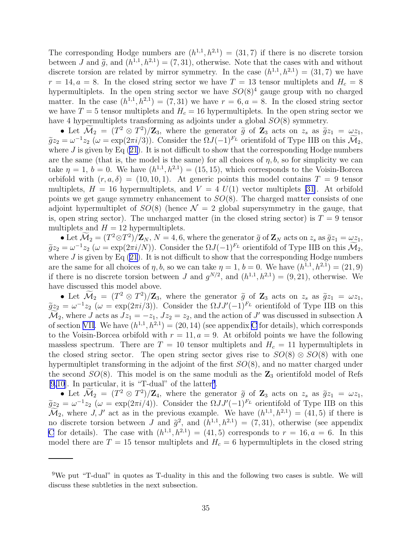The corresponding Hodge numbers are  $(h^{1,1}, h^{2,1}) = (31, 7)$  if there is no discrete torsion between J and  $\tilde{g}$ , and  $(h^{1,1}, h^{2,1}) = (7, 31)$ , otherwise. Note that the cases with and without discrete torsion are related by mirror symmetry. In the case  $(h^{1,1}, h^{2,1}) = (31, 7)$  we have  $r = 14, a = 8$ . In the closed string sector we have  $T = 13$  tensor multiplets and  $H_c = 8$ hypermultiplets. In the open string sector we have  $SO(8)^4$  gauge group with no charged matter. In the case  $(h^{1,1}, h^{2,1}) = (7, 31)$  we have  $r = 6, a = 8$ . In the closed string sector we have  $T = 5$  tensor multiplets and  $H_c = 16$  hypermultiplets. In the open string sector we have 4 hypermultiplets transforming as adjoints under a global  $SO(8)$  symmetry.

• Let  $\mathcal{M}_2 = (T^2 \otimes T^2)/\mathbf{Z}_3$ , where the generator  $\tilde{g}$  of  $\mathbf{Z}_3$  acts on  $z_s$  as  $\tilde{g}z_1 = \omega z_1$ ,  $\tilde{g}z_2 = \omega^{-1}z_2$  ( $\omega = \exp(2\pi i/3)$ ). Consider the  $\Omega J(-1)^{F_L}$  orientifold of Type IIB on this  $\mathcal{M}_2$ , where  $J$  is given by Eq [\(21](#page-12-0)). It is not difficult to show that the corresponding Hodge numbers are the same (that is, the model is the same) for all choices of  $\eta$ , b, so for simplicity we can take  $\eta = 1, b = 0$ . We have  $(h^{1,1}, h^{2,1}) = (15, 15)$ , which corresponds to the Voisin-Borcea orbifold with  $(r, a, \delta) = (10, 10, 1)$ . At generic points this model contains  $T = 9$  tensor multiplets,  $H = 16$  hypermultiplets, and  $V = 4 U(1)$  vector multiplets [\[31](#page-60-0)]. At orbifold points we get gauge symmetry enhancement to  $SO(8)$ . The charged matter consists of one adjoint hypermultiplet of  $SO(8)$  (hence  $\mathcal{N}=2$  global supersymmetry in the gauge, that is, open string sector). The uncharged matter (in the closed string sector) is  $T = 9$  tensor multiplets and  $H = 12$  hypermultiplets.

• Let  $\mathcal{M}_2 = (T^2 \otimes T^2)/\mathbf{Z}_N$ ,  $N = 4, 6$ , where the generator  $\tilde{g}$  of  $\mathbf{Z}_N$  acts on  $z_s$  as  $\tilde{g}z_1 = \omega z_1$ ,  $\tilde{g}z_2 = \omega^{-1}z_2$  ( $\omega = \exp(2\pi i/N)$ ). Consider the  $\Omega J(-1)^{F_L}$  orientifold of Type IIB on this  $\mathcal{M}_2$ , where  $J$  is given by Eq [\(21](#page-12-0)). It is not difficult to show that the corresponding Hodge numbers are the same for all choices of  $\eta$ , b, so we can take  $\eta = 1$ ,  $b = 0$ . We have  $(h^{1,1}, h^{2,1}) = (21, 9)$ if there is no discrete torsion between J and  $g^{N/2}$ , and  $(h^{1,1}, h^{2,1}) = (9, 21)$ , otherwise. We have discussed this model above.

• Let  $\mathcal{M}_2 = (T^2 \otimes T^2)/\mathbb{Z}_3$ , where the generator  $\tilde{g}$  of  $\mathbb{Z}_3$  acts on  $z_s$  as  $\tilde{g}z_1 = \omega z_1$ ,  $\tilde{g}z_2 = \omega^{-1}z_2(\omega = \exp(2\pi i/3))$ . Consider the  $\Omega JJ'(-1)^{F_L}$  orientifold of Type IIB on this  $\mathcal{M}_2$ , where J acts as  $Jz_1 = -z_1$ ,  $Jz_2 = z_2$ , and the action of J' was discussed in subsection A of section [VII](#page-22-0). We have  $(h^{1,1}, h^{2,1}) = (20, 14)$  (see appendix [C](#page-52-0) for details), which corresponds to the Voisin-Borcea orbifold with  $r = 11, a = 9$ . At orbifold points we have the following massless spectrum. There are  $T = 10$  tensor multiplets and  $H_c = 11$  hypermultiplets in the closed string sector. The open string sector gives rise to  $SO(8) \otimes SO(8)$  with one hypermultiplet transforming in the adjoint of the first  $SO(8)$ , and no matter charged under the second  $SO(8)$ . This model is on the same moduli as the  $\mathbb{Z}_3$  orientifold model of Refs [\[9,10](#page-60-0)]. In particular, it is "T-dual" of the latter<sup>9</sup>.

• Let  $\mathcal{M}_2 = (T^2 \otimes T^2)/\mathbb{Z}_4$ , where the generator  $\tilde{g}$  of  $\mathbb{Z}_3$  acts on  $z_s$  as  $\tilde{g}z_1 = \omega z_1$ ,  $\tilde{g}z_2 = \omega^{-1}z_2 \ (\omega = \exp(2\pi i/4)).$  Consider the  $\Omega JJ'(-1)^{F_L}$  orientifold of Type IIB on this  $\mathcal{M}_2$ , where J, J' act as in the previous example. We have  $(h^{1,1}, h^{2,1}) = (41, 5)$  if there is no discrete torsion between J and  $\tilde{g}^2$ , and  $(h^{1,1}, h^{2,1}) = (7, 31)$ , otherwise (see appendix [C](#page-52-0) for details). The case with  $(h^{1,1}, h^{2,1}) = (41, 5)$  corresponds to  $r = 16, a = 6$ . In this model there are  $T = 15$  tensor multiplets and  $H_c = 6$  hypermultiplets in the closed string

<sup>&</sup>lt;sup>9</sup>We put "T-dual" in quotes as T-duality in this and the following two cases is subtle. We will discuss these subtleties in the next subsection.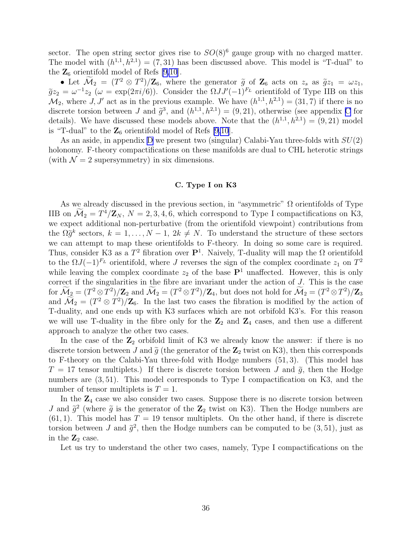sector. The open string sector gives rise to  $SO(8)^6$  gauge group with no charged matter. The model with  $(h^{1,1}, h^{2,1}) = (7, 31)$  has been discussed above. This model is "T-dual" to the  $\mathbb{Z}_6$  orientifold model of Refs [\[9,10](#page-60-0)].

• Let  $\mathcal{M}_2 = (T^2 \otimes T^2)/\mathbb{Z}_6$ , where the generator  $\tilde{g}$  of  $\mathbb{Z}_6$  acts on  $z_s$  as  $\tilde{g}z_1 = \omega z_1$ ,  $\tilde{g}z_2 = \omega^{-1}z_2 \ (\omega = \exp(2\pi i/6)).$  Consider the  $\Omega JJ'(-1)^{F_L}$  orientifold of Type IIB on this  $\mathcal{M}_2$ , where J, J' act as in the previous example. We have  $(h^{1,1}, h^{2,1}) = (31, 7)$  if there is no discrete torsion between J and  $\tilde{g}^3$ , and  $(h^{1,1}, h^{2,1}) = (9, 21)$ , otherwise (see appendix [C](#page-52-0) for details). We have discussed these models above. Note that the  $(h^{1,1}, h^{2,1}) = (9, 21)$  model is "T-dual" to the  $\mathbb{Z}_6$  orientifold model of Refs [\[9,10](#page-60-0)].

As an aside, in appendix [D](#page-53-0) we present two (singular) Calabi-Yau three-folds with  $SU(2)$ holonomy. F-theory compactifications on these manifolds are dual to CHL heterotic strings (with  $\mathcal{N} = 2$  supersymmetry) in six dimensions.

### C. Type I on K3

As we already discussed in the previous section, in "asymmetric"  $\Omega$  orientifolds of Type IIB on  $\mathcal{M}_2 = T^4/\mathbf{Z}_N$ ,  $N = 2, 3, 4, 6$ , which correspond to Type I compactifications on K3, we expect additional non-perturbative (from the orientifold viewpoint) contributions from the  $\Omega \tilde{g}^k$  sectors,  $k = 1, ..., N - 1, 2k \neq N$ . To understand the structure of these sectors we can attempt to map these orientifolds to F-theory. In doing so some care is required. Thus, consider K3 as a  $T^2$  fibration over  $\mathbf{P}^1$ . Naively, T-duality will map the  $\Omega$  orientifold to the  $\Omega J(-1)^{F_L}$  orientifold, where J reverses the sign of the complex coordinate  $z_1$  on  $T^2$ while leaving the complex coordinate  $z_2$  of the base  $\mathbf{P}^1$  unaffected. However, this is only correct if the singularities in the fibre are invariant under the action of J. This is the case for  $\widetilde{\mathcal{M}}_2 = (T^2 \otimes T^2)/\mathbb{Z}_2$  and  $\widetilde{\mathcal{M}}_2 = (T^2 \otimes T^2)/\mathbb{Z}_4$ , but does not hold for  $\widetilde{\mathcal{M}}_2 = (T^2 \otimes T^2)/\mathbb{Z}_3$ and  $\mathcal{M}_2 = (T^2 \otimes T^2)/\mathbb{Z}_6$ . In the last two cases the fibration is modified by the action of T-duality, and one ends up with K3 surfaces which are not orbifold K3's. For this reason we will use T-duality in the fibre only for the  $\mathbb{Z}_2$  and  $\mathbb{Z}_4$  cases, and then use a different approach to analyze the other two cases.

In the case of the  $\mathbb{Z}_2$  orbifold limit of K3 we already know the answer: if there is no discrete torsion between J and  $\tilde{g}$  (the generator of the  $\mathbb{Z}_2$  twist on K3), then this corresponds to F-theory on the Calabi-Yau three-fold with Hodge numbers (51, 3). (This model has  $T = 17$  tensor multiplets.) If there is discrete torsion between J and  $\tilde{g}$ , then the Hodge numbers are  $(3, 51)$ . This model corresponds to Type I compactification on K3, and the number of tensor multiplets is  $T = 1$ .

In the  $\mathbb{Z}_4$  case we also consider two cases. Suppose there is no discrete torsion between J and  $\tilde{g}^2$  (where  $\tilde{g}$  is the generator of the  $\mathbb{Z}_2$  twist on K3). Then the Hodge numbers are  $(61, 1)$ . This model has  $T = 19$  tensor multiplets. On the other hand, if there is discrete torsion between J and  $\tilde{g}^2$ , then the Hodge numbers can be computed to be  $(3, 51)$ , just as in the  $\mathbb{Z}_2$  case.

Let us try to understand the other two cases, namely, Type I compactifications on the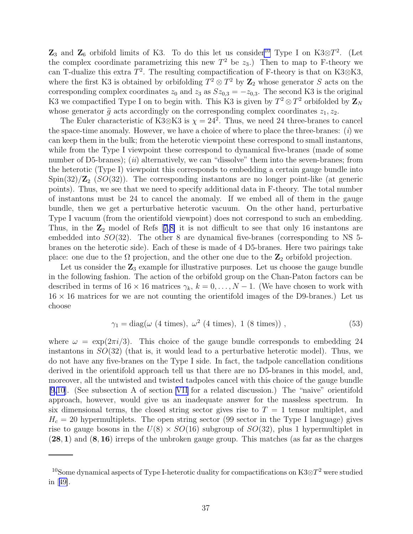$\mathbf{Z}_3$  and  $\mathbf{Z}_6$  orbifold limits of K3. To do this let us consider<sup>10</sup> Type I on K3⊗T<sup>2</sup>. (Let the complex coordinate parametrizing this new  $T^2$  be  $z_3$ .) Then to map to F-theory we can T-dualize this extra  $T^2$ . The resulting compactification of F-theory is that on K3⊗K3, where the first K3 is obtained by orbifolding  $T^2 \otimes T^2$  by  $\mathbb{Z}_2$  whose generator S acts on the corresponding complex coordinates  $z_0$  and  $z_3$  as  $Sz_{0,3} = -z_{0,3}$ . The second K3 is the original K3 we compactified Type I on to begin with. This K3 is given by  $T^2 \otimes T^2$  orbifolded by  $\mathbf{Z}_N$ whose generator  $\tilde{g}$  acts accordingly on the corresponding complex coordinates  $z_1, z_2$ .

The Euler characteristic of K3⊗K3 is  $\chi = 24^2$ . Thus, we need 24 three-branes to cancel the space-time anomaly. However, we have a choice of where to place the three-branes:  $(i)$  we can keep them in the bulk; from the heterotic viewpoint these correspond to small instantons, while from the Type I viewpoint these correspond to dynamical five-branes (made of some number of D5-branes);  $(ii)$  alternatively, we can "dissolve" them into the seven-branes; from the heterotic (Type I) viewpoint this corresponds to embedding a certain gauge bundle into  $\text{Spin}(32)/\mathbb{Z}_2$  (SO(32)). The corresponding instantons are no longer point-like (at generic points). Thus, we see that we need to specify additional data in F-theory. The total number of instantons must be 24 to cancel the anomaly. If we embed all of them in the gauge bundle, then we get a perturbative heterotic vacuum. On the other hand, perturbative Type I vacuum (from the orientifold viewpoint) does not correspond to such an embedding. Thus,in the  $\mathbb{Z}_2$  model of Refs [[7](#page-60-0),[8\]](#page-60-0) it is not difficult to see that only 16 instantons are embedded into  $SO(32)$ . The other 8 are dynamical five-branes (corresponding to NS 5branes on the heterotic side). Each of these is made of 4 D5-branes. Here two pairings take place: one due to the  $\Omega$  projection, and the other one due to the  $\mathbb{Z}_2$  orbifold projection.

Let us consider the  $\mathbb{Z}_3$  example for illustrative purposes. Let us choose the gauge bundle in the following fashion. The action of the orbifold group on the Chan-Paton factors can be described in terms of  $16 \times 16$  matrices  $\gamma_k$ ,  $k = 0, \ldots, N-1$ . (We have chosen to work with  $16 \times 16$  matrices for we are not counting the orientifold images of the D9-branes.) Let us choose

$$
\gamma_1 = \text{diag}(\omega \text{ (4 times)}, \omega^2 \text{ (4 times)}, 1 \text{ (8 times)}), \qquad (53)
$$

where  $\omega = \exp(2\pi i/3)$ . This choice of the gauge bundle corresponds to embedding 24 instantons in  $SO(32)$  (that is, it would lead to a perturbative heterotic model). Thus, we do not have any five-branes on the Type I side. In fact, the tadpole cancellation conditions derived in the orientifold approach tell us that there are no D5-branes in this model, and, moreover, all the untwisted and twisted tadpoles cancel with this choice of the gauge bundle [\[9,10](#page-60-0)]. (See subsection A of section [VII](#page-22-0) for a related discussion.) The "naive" orientifold approach, however, would give us an inadequate answer for the massless spectrum. In six dimensional terms, the closed string sector gives rise to  $T = 1$  tensor multiplet, and  $H_c = 20$  hypermultiplets. The open string sector (99 sector in the Type I language) gives rise to gauge bosons in the  $U(8) \times SO(16)$  subgroup of  $SO(32)$ , plus 1 hypermultiplet in  $(28, 1)$  and  $(8, 16)$  irreps of the unbroken gauge group. This matches (as far as the charges

<sup>&</sup>lt;sup>10</sup>Some dynamical aspects of Type I-heterotic duality for compactifications on K3⊗ $T^2$  were studied in[[49\]](#page-61-0).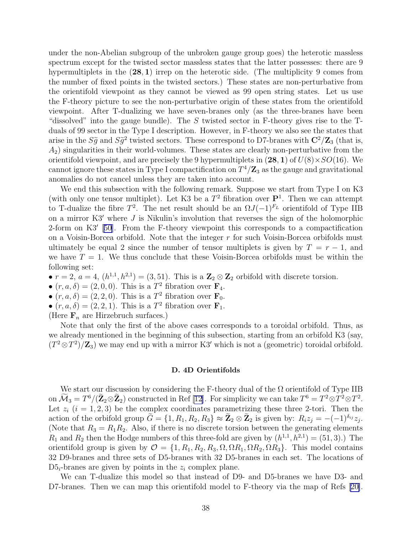under the non-Abelian subgroup of the unbroken gauge group goes) the heterotic massless spectrum except for the twisted sector massless states that the latter possesses: there are 9 hypermultiplets in the  $(28, 1)$  irrep on the heterotic side. (The multiplicity 9 comes from the number of fixed points in the twisted sectors.) These states are non-perturbative from the orientifold viewpoint as they cannot be viewed as 99 open string states. Let us use the F-theory picture to see the non-perturbative origin of these states from the orientifold viewpoint. After T-dualizing we have seven-branes only (as the three-branes have been "dissolved" into the gauge bundle). The S twisted sector in F-theory gives rise to the  $T$ duals of 99 sector in the Type I description. However, in F-theory we also see the states that arise in the  $S\tilde{g}$  and  $S\tilde{g}^2$  twisted sectors. These correspond to D7-branes with  $\mathbf{C}^2/\mathbf{Z}_3$  (that is,  $A_2$ ) singularities in their world-volumes. These states are clearly non-perturbative from the orientifold viewpoint, and are precisely the 9 hypermultiplets in  $(28, 1)$  of  $U(8) \times SO(16)$ . We cannot ignore these states in Type I compactification on  $T^4/{\bf Z}_3$  as the gauge and gravitational anomalies do not cancel unless they are taken into account.

We end this subsection with the following remark. Suppose we start from Type I on K3 (with only one tensor multiplet). Let K3 be a  $T^2$  fibration over  $\mathbf{P}^1$ . Then we can attempt to T-dualize the fibre  $T^2$ . The net result should be an  $\Omega J(-1)^{F_L}$  orientifold of Type IIB on a mirror K3′ where J is Nikulin's involution that reverses the sign of the holomorphic 2-form on K3′ [\[50\]](#page-61-0). From the F-theory viewpoint this corresponds to a compactification on a Voisin-Borcea orbifold. Note that the integer r for such Voisin-Borcea orbifolds must ultimately be equal 2 since the number of tensor multiplets is given by  $T = r - 1$ , and we have  $T = 1$ . We thus conclude that these Voisin-Borcea orbifolds must be within the following set:

•  $r = 2$ ,  $a = 4$ ,  $(h^{1,1}, h^{2,1}) = (3, 51)$ . This is a  $\mathbb{Z}_2 \otimes \mathbb{Z}_2$  orbifold with discrete torsion.

- $(r, a, \delta) = (2, 0, 0)$ . This is a  $T<sup>2</sup>$  fibration over  $\mathbf{F}_4$ .
- $(r, a, \delta) = (2, 2, 0)$ . This is a  $T^2$  fibration over  $\mathbf{F}_0$ .
- $(r, a, \delta) = (2, 2, 1)$ . This is a  $T^2$  fibration over  $\mathbf{F}_1$ .

(Here  $\mathbf{F}_n$  are Hirzebruch surfaces.)

Note that only the first of the above cases corresponds to a toroidal orbifold. Thus, as we already mentioned in the beginning of this subsection, starting from an orbifold K3 (say,  $(T^2 \otimes T^2)/\mathbb{Z}_3$ ) we may end up with a mirror K3' which is not a (geometric) toroidal orbifold.

### D. 4D Orientifolds

We start our discussion by considering the F-theory dual of the  $\Omega$  orientifold of Type IIB on  $\mathcal{M}_3 = T^6/(\mathbf{Z}_2 \otimes \mathbf{Z}_2)$  constructed in Ref [\[12](#page-60-0)]. For simplicity we can take  $T^6 = T^2 \otimes T^2 \otimes T^2$ . Let  $z_i$   $(i = 1, 2, 3)$  be the complex coordinates parametrizing these three 2-tori. Then the action of the orbifold group  $\tilde{G} = \{1, R_1, R_2, R_3\} \approx \tilde{\mathbb{Z}}_2 \otimes \tilde{\mathbb{Z}}_2$  is given by:  $R_i z_j = -(-1)^{\delta_{ij}} z_j$ . (Note that  $R_3 = R_1 R_2$ . Also, if there is no discrete torsion between the generating elements  $R_1$  and  $R_2$  then the Hodge numbers of this three-fold are given by  $(h^{1,1}, h^{2,1}) = (51, 3)$ .) The orientifold group is given by  $\mathcal{O} = \{1, R_1, R_2, R_3, \Omega, \Omega R_1, \Omega R_2, \Omega R_3\}$ . This model contains 32 D9-branes and three sets of D5-branes with 32 D5-branes in each set. The locations of  $D5_i$ -branes are given by points in the  $z_i$  complex plane.

We can T-dualize this model so that instead of D9- and D5-branes we have D3- and D7-branes. Then we can map this orientifold model to F-theory via the map of Refs [\[20\]](#page-60-0).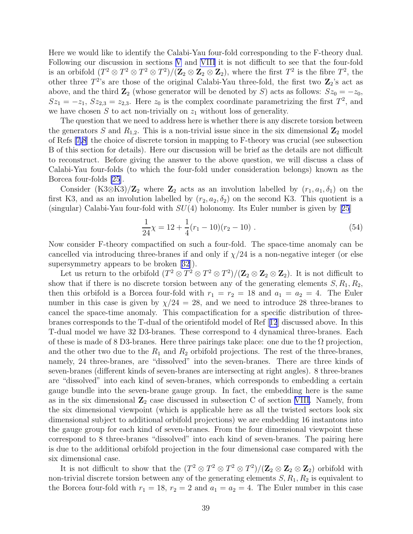Here we would like to identify the Calabi-Yau four-fold corresponding to the F-theory dual. Following our discussion in sections [V](#page-14-0) and [VIII](#page-29-0) it is not difficult to see that the four-fold is an orbifold  $(T^2 \otimes T^2 \otimes T^2) / (\mathbb{Z}_2 \otimes \mathbb{Z}_2 \otimes \mathbb{Z}_2)$ , where the first  $T^2$  is the fibre  $T^2$ , the other three  $T^2$ 's are those of the original Calabi-Yau three-fold, the first two  $\mathbb{Z}_2$ 's act as above, and the third  $\mathbb{Z}_2$  (whose generator will be denoted by S) acts as follows:  $Sz_0 = -z_0$ ,  $Sz_1 = -z_1, Sz_{2,3} = z_{2,3}.$  Here  $z_0$  is the complex coordinate parametrizing the first  $T^2$ , and we have chosen S to act non-trivially on  $z_1$  without loss of generality.

The question that we need to address here is whether there is any discrete torsion between the generators S and  $R_{1,2}$ . This is a non-trivial issue since in the six dimensional  $\mathbb{Z}_2$  model of Refs [\[7,8](#page-60-0)] the choice of discrete torsion in mapping to F-theory was crucial (see subsection B of this section for details). Here our discussion will be brief as the details are not difficult to reconstruct. Before giving the answer to the above question, we will discuss a class of Calabi-Yau four-folds (to which the four-fold under consideration belongs) known as the Borcea four-folds [\[25\]](#page-60-0).

Consider (K3⊗K3)/ $\mathbb{Z}_2$  where  $\mathbb{Z}_2$  acts as an involution labelled by  $(r_1, a_1, \delta_1)$  on the first K3, and as an involution labelled by  $(r_2, a_2, \delta_2)$  on the second K3. This quotient is a (singular)Calabi-Yau four-fold with  $SU(4)$  holonomy. Its Euler number is given by [[25](#page-60-0)]

$$
\frac{1}{24}\chi = 12 + \frac{1}{4}(r_1 - 10)(r_2 - 10) \ . \tag{54}
$$

Now consider F-theory compactified on such a four-fold. The space-time anomaly can be cancelled via introducing three-branes if and only if  $\chi/24$  is a non-negative integer (or else supersymmetry appears to be broken[[32](#page-60-0)]).

Let us return to the orbifold  $(T^2 \otimes T^2 \otimes T^2 \otimes T^2)/(\mathbf{Z}_2 \otimes \mathbf{Z}_2 \otimes \mathbf{Z}_2)$ . It is not difficult to show that if there is no discrete torsion between any of the generating elements  $S, R_1, R_2$ , then this orbifold is a Borcea four-fold with  $r_1 = r_2 = 18$  and  $a_1 = a_2 = 4$ . The Euler number in this case is given by  $\chi/24 = 28$ , and we need to introduce 28 three-branes to cancel the space-time anomaly. This compactification for a specific distribution of threebranes corresponds to the T-dual of the orientifold model of Ref [[12](#page-60-0)] discussed above. In this T-dual model we have 32 D3-branes. These correspond to 4 dynamical three-branes. Each of these is made of 8 D3-branes. Here three pairings take place: one due to the  $\Omega$  projection, and the other two due to the  $R_1$  and  $R_2$  orbifold projections. The rest of the three-branes, namely, 24 three-branes, are "dissolved" into the seven-branes. There are three kinds of seven-branes (different kinds of seven-branes are intersecting at right angles). 8 three-branes are "dissolved" into each kind of seven-branes, which corresponds to embedding a certain gauge bundle into the seven-brane gauge group. In fact, the embedding here is the same as in the six dimensional  $\mathbb{Z}_2$  case discussed in subsection C of section [VIII.](#page-29-0) Namely, from the six dimensional viewpoint (which is applicable here as all the twisted sectors look six dimensional subject to additional orbifold projections) we are embedding 16 instantons into the gauge group for each kind of seven-branes. From the four dimensional viewpoint these correspond to 8 three-branes "dissolved" into each kind of seven-branes. The pairing here is due to the additional orbifold projection in the four dimensional case compared with the six dimensional case.

It is not difficult to show that the  $(T^2 \otimes T^2 \otimes T^2 \otimes T^2) / (\mathbb{Z}_2 \otimes \mathbb{Z}_2 \otimes \mathbb{Z}_2)$  orbifold with non-trivial discrete torsion between any of the generating elements  $S, R_1, R_2$  is equivalent to the Borcea four-fold with  $r_1 = 18$ ,  $r_2 = 2$  and  $a_1 = a_2 = 4$ . The Euler number in this case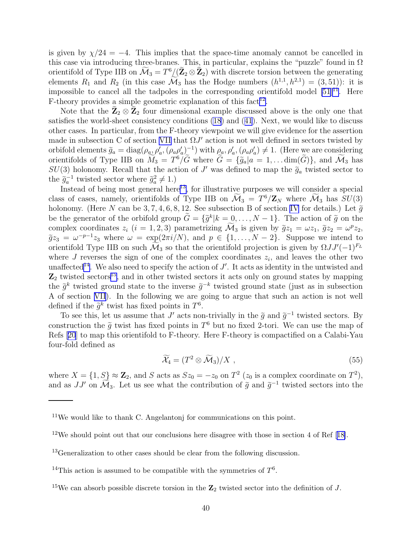is given by  $\chi/24 = -4$ . This implies that the space-time anomaly cannot be cancelled in this case via introducing three-branes. This, in particular, explains the "puzzle" found in  $\Omega$ orientifold of Type IIB on  $\mathcal{M}_3 = T^6/(\mathbf{Z}_2 \otimes \mathbf{Z}_2)$  with discrete torsion between the generating elements  $R_1$  and  $R_2$  (in this case  $\mathcal{M}_3$  has the Hodge numbers  $(h^{1,1}, h^{2,1}) = (3, 51)$ ): it is impossible to cancel all the tadpoles in the corresponding orientifold model  $[51]^{11}$ . Here  $F$ -theory provides a simple geometric explanation of this fact<sup>12</sup>.

Note that the  $\mathbb{Z}_2 \otimes \mathbb{Z}_2$  four dimensional example discussed above is the only one that satisfies the world-sheet consistency conditions [\(18](#page-11-0)) and([41](#page-21-0)). Next, we would like to discuss other cases. In particular, from the F-theory viewpoint we will give evidence for the assertion made in subsection C of section [VII](#page-22-0) that  $\Omega J'$  action is not well defined in sectors twisted by orbifold elements  $\tilde{g}_a = \text{diag}(\rho_a, \rho'_a, (\rho_a \rho'_a)^{-1})$  with  $\rho_a, \rho'_a, (\rho_a \rho'_a) \neq 1$ . (Here we are considering orientifolds of Type IIB on  $\tilde{M}_3 = T^6/\tilde{G}$  where  $\tilde{G} = {\tilde{g}_a | a = 1, \ldots \dim(\tilde{G})}$ , and  $\tilde{M}_3$  has  $SU(3)$  holonomy. Recall that the action of J' was defined to map the  $\tilde{g}_a$  twisted sector to the  $\tilde{g}_a^{-1}$  twisted sector where  $\tilde{g}_a^2 \neq 1$ .)

Instead of being most general here<sup>13</sup>, for illustrative purposes we will consider a special class of cases, namely, orientifolds of Type IIB on  $\mathcal{M}_3 = T^6/\mathbf{Z}_N$  where  $\mathcal{M}_3$  has  $SU(3)$ holonomy. (Here N can be 3, 7, 4, 6, 8, 12. See subsection B of section [IV](#page-11-0) for details.) Let  $\tilde{q}$ be the generator of the orbifold group  $\tilde{G} = {\{\tilde{g}^k | k = 0, \ldots, N-1\}}$ . The action of  $\tilde{g}$  on the complex coordinates  $z_i$   $(i = 1, 2, 3)$  parametrizing  $\mathcal{M}_3$  is given by  $\tilde{g}z_1 = \omega z_1$ ,  $\tilde{g}z_2 = \omega^p z_2$ ,  $\tilde{g}z_3 = \omega^{-p-1}z_3$  where  $\omega = \exp(2\pi i/N)$ , and  $p \in \{1, ..., N-2\}$ . Suppose we intend to orientifold Type IIB on such  $\mathcal{M}_3$  so that the orientifold projection is given by  $\Omega JJ'(-1)^{F_L}$ where  $J$  reverses the sign of one of the complex coordinates  $z_i$ , and leaves the other two unaffected<sup>14</sup>. We also need to specify the action of  $J'$ . It acts as identity in the untwisted and  $\mathbb{Z}_2$  twisted sectors<sup>15</sup>, and in other twisted sectors it acts only on ground states by mapping the  $\tilde{g}^k$  twisted ground state to the inverse  $\tilde{g}^{-k}$  twisted ground state (just as in subsection A of section [VII](#page-22-0)). In the following we are going to argue that such an action is not well defined if the  $\tilde{g}^k$  twist has fixed points in  $T^6$ .

To see this, let us assume that J' acts non-trivially in the  $\tilde{g}$  and  $\tilde{g}^{-1}$  twisted sectors. By construction the  $\tilde{g}$  twist has fixed points in  $T^6$  but no fixed 2-tori. We can use the map of Refs[[20](#page-60-0)] to map this orientifold to F-theory. Here F-theory is compactified on a Calabi-Yau four-fold defined as

$$
\widetilde{\mathcal{X}}_4 = (T^2 \otimes \widetilde{\mathcal{M}}_3)/X \tag{55}
$$

where  $X = \{1, S\} \approx \mathbb{Z}_2$ , and S acts as  $Sz_0 = -z_0$  on  $T^2$  ( $z_0$  is a complex coordinate on  $T^2$ ), and as  $JJ'$  on  $\mathcal{M}_3$ . Let us see what the contribution of  $\tilde{g}$  and  $\tilde{g}^{-1}$  twisted sectors into the

 $11$ We would like to thank C. Angelantonj for communications on this point.

 $12$ Weshould point out that our conclusions here disagree with those in section 4 of Ref [[18\]](#page-60-0).

<sup>&</sup>lt;sup>13</sup>Generalization to other cases should be clear from the following discussion.

<sup>&</sup>lt;sup>14</sup>This action is assumed to be compatible with the symmetries of  $T<sup>6</sup>$ .

<sup>&</sup>lt;sup>15</sup>We can absorb possible discrete torsion in the  $\mathbb{Z}_2$  twisted sector into the definition of J.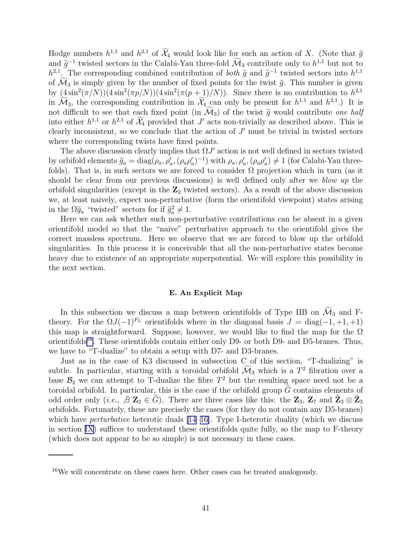Hodge numbers  $h^{1,1}$  and  $h^{2,1}$  of  $\mathcal{X}_4$  would look like for such an action of X. (Note that  $\tilde{g}$ and  $\tilde{g}^{-1}$  twisted sectors in the Calabi-Yau three-fold  $\tilde{M}_3$  contribute only to  $h^{1,1}$  but not to  $h^{2,1}$ . The corresponding combined contribution of *both*  $\tilde{g}$  and  $\tilde{g}^{-1}$  twisted sectors into  $h^{1,1}$ of  $\widetilde{\mathcal{M}}_3$  is simply given by the number of fixed points for the twist  $\widetilde{g}$ . This number is given by  $(4\sin^2(\pi/N))(4\sin^2(\pi p/N))(4\sin^2(\pi (p+1)/N))$ . Since there is no contribution to  $h^{2,1}$ in  $\mathcal{M}_3$ , the corresponding contribution in  $\mathcal{X}_4$  can only be present for  $h^{1,1}$  and  $h^{2,1}$ .) It is not difficult to see that each fixed point (in  $\widetilde{\mathcal{M}}_3$ ) of the twist  $\widetilde{g}$  would contribute one half into either  $h^{1,1}$  or  $h^{2,1}$  of  $\mathcal{X}_4$  provided that J' acts non-trivially as described above. This is clearly inconsistent, so we conclude that the action of  $J'$  must be trivial in twisted sectors where the corresponding twists have fixed points.

The above discussion clearly implies that  $\Omega J'$  action is not well defined in sectors twisted by orbifold elements  $\tilde{g}_a = \text{diag}(\rho_a, \rho'_a, (\rho_a \rho'_a)^{-1})$  with  $\rho_a, \rho'_a, (\rho_a \rho'_a) \neq 1$  (for Calabi-Yau threefolds). That is, in such sectors we are forced to consider  $\Omega$  projection which in turn (as it should be clear from our previous discussions) is well defined only after we blow up the orbifold singularities (except in the  $\mathbb{Z}_2$  twisted sectors). As a result of the above discussion we, at least naively, expect non-perturbative (form the orientifold viewpoint) states arising in the  $\Omega \tilde{g}_a$  "twisted" sectors for if  $\tilde{g}_a^2 \neq 1$ .

Here we can ask whether such non-perturbative contributions can be absent in a given orientifold model so that the "naive" perturbative approach to the orientifold gives the correct massless spectrum. Here we observe that we are forced to blow up the orbifold singularities. In this process it is conceivable that all the non-perturbative states become heavy due to existence of an appropriate superpotential. We will explore this possibility in the next section.

### E. An Explicit Map

In this subsection we discuss a map between orientifolds of Type IIB on  $\widetilde{\mathcal{M}}_3$  and Ftheory. For the  $\Omega J(-1)^{F_L}$  orientifolds where in the diagonal basis  $J = \text{diag}(-1, +1, +1)$ this map is straightforward. Suppose, however, we would like to find the map for the  $\Omega$ orientifolds<sup>16</sup>. These orientifolds contain either only D9- or both D9- and D5-branes. Thus, we have to "T-dualize" to obtain a setup with D7- and D3-branes.

Just as in the case of K3 discussed in subsection C of this section, "T-dualizing" is subtle. In particular, starting with a toroidal orbifold  $\mathcal{M}_3$  which is a  $T^2$  fibration over a base  $\mathcal{B}_2$  we can attempt to T-dualize the fibre  $T^2$  but the resulting space need not be a toroidal orbifold. In particular, this is the case if the orbifold group  $\tilde{G}$  contains elements of odd order only (*i.e.*,  $\forall A \mathbf{Z}_2 \in G$ ). There are three cases like this: the  $\mathbf{Z}_3$ ,  $\mathbf{Z}_7$  and  $\mathbf{Z}_3 \otimes \mathbf{Z}_3$ orbifolds. Fortunately, these are precisely the cases (for they do not contain any D5-branes) which have *perturbative* heterotic duals  $[14–16]$ . Type I-heterotic duality (which we discuss in section [IX\)](#page-41-0) suffices to understand these orientifolds quite fully, so the map to F-theory (which does not appear to be so simple) is not necessary in these cases.

 $16$ We will concentrate on these cases here. Other cases can be treated analogously.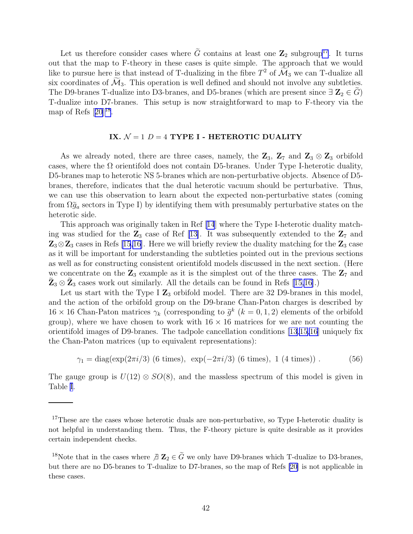<span id="page-41-0"></span>Let us therefore consider cases where  $\tilde{G}$  contains at least one  $\mathbb{Z}_2$  subgroup<sup>17</sup>. It turns out that the map to F-theory in these cases is quite simple. The approach that we would like to pursue here is that instead of T-dualizing in the fibre  $T^2$  of  $\mathcal{M}_3$  we can T-dualize all six coordinates of  $\mathcal{M}_3$ . This operation is well defined and should not involve any subtleties. The D9-branes T-dualize into D3-branes, and D5-branes (which are present since  $\exists \mathbf{Z}_2 \in G$ ) T-dualize into D7-branes. This setup is now straightforward to map to F-theory via the mapof Refs  $[20]^{18}$  $[20]^{18}$  $[20]^{18}$ .

### IX.  $\mathcal{N} = 1$   $D = 4$  TYPE I - HETEROTIC DUALITY

As we already noted, there are three cases, namely, the  $\mathbb{Z}_3$ ,  $\mathbb{Z}_7$  and  $\mathbb{Z}_3 \otimes \mathbb{Z}_3$  orbifold cases, where the  $\Omega$  orientifold does not contain D5-branes. Under Type I-heterotic duality, D5-branes map to heterotic NS 5-branes which are non-perturbative objects. Absence of D5 branes, therefore, indicates that the dual heterotic vacuum should be perturbative. Thus, we can use this observation to learn about the expected non-perturbative states (coming from  $\Omega \tilde{g}_a$  sectors in Type I) by identifying them with presumably perturbative states on the heterotic side.

This approach was originally taken in Ref[[14](#page-60-0)] where the Type I-heterotic duality matching was studied for the  $\mathbb{Z}_3$  case of Ref [\[13\]](#page-60-0). It was subsequently extended to the  $\mathbb{Z}_7$  and  $\mathbb{Z}_3 \otimes \mathbb{Z}_3$  cases in Refs [\[15,16](#page-60-0)]. Here we will briefly review the duality matching for the  $\mathbb{Z}_3$  case as it will be important for understanding the subtleties pointed out in the previous sections as well as for constructing consistent orientifold models discussed in the next section. (Here we concentrate on the  $\mathbb{Z}_3$  example as it is the simplest out of the three cases. The  $\mathbb{Z}_7$  and  $\mathbf{Z}_3 \otimes \mathbf{Z}_3$  cases work out similarly. All the details can be found in Refs [\[15,16\]](#page-60-0).)

Let us start with the Type I  $\mathbb{Z}_3$  orbifold model. There are 32 D9-branes in this model, and the action of the orbifold group on the D9-brane Chan-Paton charges is described by  $16 \times 16$  Chan-Paton matrices  $\gamma_k$  (corresponding to  $\tilde{g}^k$  ( $k = 0, 1, 2$ ) elements of the orbifold group), where we have chosen to work with  $16 \times 16$  matrices for we are not counting the orientifold images of D9-branes. The tadpole cancellation conditions [\[13,15,16](#page-60-0)] uniquely fix the Chan-Paton matrices (up to equivalent representations):

$$
\gamma_1 = \text{diag}(\exp(2\pi i/3) (6 \text{ times}), \exp(-2\pi i/3) (6 \text{ times}), 1 (4 \text{ times}))
$$
. (56)

The gauge group is  $U(12) \otimes SO(8)$ , and the massless spectrum of this model is given in Table [I](#page-56-0).

<sup>&</sup>lt;sup>17</sup>These are the cases whose heterotic duals are non-perturbative, so Type I-heterotic duality is not helpful in understanding them. Thus, the F-theory picture is quite desirable as it provides certain independent checks.

<sup>&</sup>lt;sup>18</sup>Note that in the cases where  $\exists Z_2 \in \tilde{G}$  we only have D9-branes which T-dualize to D3-branes, but there are no D5-branes to T-dualize to D7-branes, so the map of Refs [\[20\]](#page-60-0) is not applicable in these cases.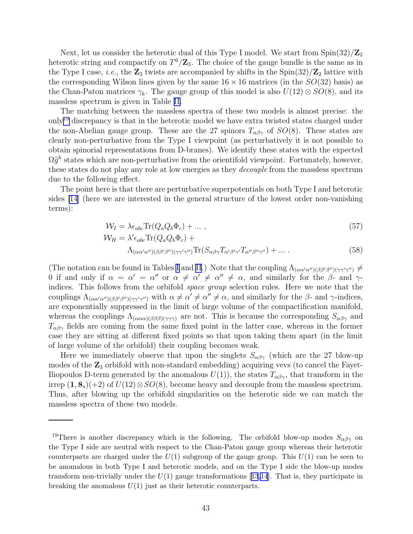<span id="page-42-0"></span>Next, let us consider the heterotic dual of this Type I model. We start from  $\text{Spin}(32)/\mathbb{Z}_2$ heterotic string and compactify on  $T^6/\mathbb{Z}_3$ . The choice of the gauge bundle is the same as in the Type I case, *i.e.*, the  $\mathbb{Z}_3$  twists are accompanied by shifts in the  $\text{Spin}(32)/\mathbb{Z}_2$  lattice with the corresponding Wilson lines given by the same  $16 \times 16$  matrices (in the  $SO(32)$  basis) as the Chan-Paton matrices  $\gamma_k$ . The gauge group of this model is also  $U(12) \otimes SO(8)$ , and its massless spectrum is given in Table [II.](#page-56-0)

The matching between the massless spectra of these two models is almost precise: the only<sup>19</sup> discrepancy is that in the heterotic model we have extra twisted states charged under the non-Abelian gauge group. These are the 27 spinors  $T_{\alpha\beta\gamma}$  of  $SO(8)$ . These states are clearly non-perturbative from the Type I viewpoint (as perturbatively it is not possible to obtain spinorial representations from D-branes). We identify these states with the expected  $\Omega \tilde{g}^k$  states which are non-perturbative from the orientifold viewpoint. Fortunately, however, these states do not play any role at low energies as they *decouple* from the massless spectrum due to the following effect.

The point here is that there are perturbative superpotentials on both Type I and heterotic sides [\[14](#page-60-0)] (here we are interested in the general structure of the lowest order non-vanishing terms):

$$
\mathcal{W}_I = \lambda \epsilon_{abc} \text{Tr}(Q_a Q_b \Phi_c) + \dots \,, \tag{57}
$$

$$
\mathcal{W}_{H} = \lambda' \epsilon_{abc} \text{Tr}(Q_{a} Q_{b} \Phi_{c}) + \Lambda_{(\alpha \alpha' \alpha'')(\beta \beta' \beta'')(\gamma \gamma' \gamma'')} \text{Tr}(S_{\alpha \beta \gamma} T_{\alpha' \beta' \gamma'} T_{\alpha'' \beta'' \gamma''}) + \dots \tag{58}
$$

(The notation can be found in Tables [I](#page-56-0) and [II](#page-56-0).) Note that the coupling  $\Lambda_{(\alpha\alpha'\alpha'')(\beta\beta'\beta'')(\gamma\gamma'\gamma'')} \neq$ 0 if and only if  $\alpha = \alpha' = \alpha''$  or  $\alpha \neq \alpha' \neq \alpha'' \neq \alpha$ , and similarly for the  $\beta$ - and  $\gamma$ indices. This follows from the orbifold space group selection rules. Here we note that the couplings  $\Lambda_{(\alpha\alpha'\alpha'')(\beta\beta'\beta'')(\gamma\gamma'\gamma')}$  with  $\alpha \neq \alpha' \neq \alpha'' \neq \alpha$ , and similarly for the  $\beta$ - and  $\gamma$ -indices, are exponentially suppressed in the limit of large volume of the compactification manifold, whereas the couplings  $\Lambda_{(\alpha\alpha\alpha)(\beta\beta\beta)(\gamma\gamma\gamma)}$  are not. This is because the corresponding  $S_{\alpha\beta\gamma}$  and  $T_{\alpha\beta\gamma}$  fields are coming from the same fixed point in the latter case, whereas in the former case they are sitting at different fixed points so that upon taking them apart (in the limit of large volume of the orbifold) their coupling becomes weak.

Here we immediately observe that upon the singlets  $S_{\alpha\beta\gamma}$  (which are the 27 blow-up modes of the  $\mathbb{Z}_3$  orbifold with non-standard embedding) acquiring vevs (to cancel the Fayet-Iliopoulos D-term generated by the anomalous  $U(1)$ , the states  $T_{\alpha\beta\gamma}$ , that transform in the irrep  $(1, 8_s)(+2)$  of  $U(12) \otimes SO(8)$ , become heavy and decouple from the massless spectrum. Thus, after blowing up the orbifold singularities on the heterotic side we can match the massless spectra of these two models.

<sup>&</sup>lt;sup>19</sup>There is another discrepancy which is the following. The orbifold blow-up modes  $S_{\alpha\beta\gamma}$  on the Type I side are neutral with respect to the Chan-Paton gauge group whereas their heterotic counterparts are charged under the  $U(1)$  subgroup of the gauge group. This  $U(1)$  can be seen to be anomalous in both Type I and heterotic models, and on the Type I side the blow-up modes transformnon-trivially under the  $U(1)$  gauge transformations [[13,14](#page-60-0)]. That is, they participate in breaking the anomalous  $U(1)$  just as their heterotic counterparts.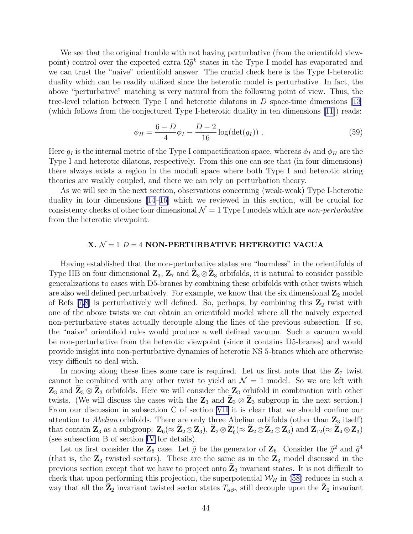<span id="page-43-0"></span>We see that the original trouble with not having perturbative (from the orientifold viewpoint) control over the expected extra  $\Omega \tilde{g}^k$  states in the Type I model has evaporated and we can trust the "naive" orientifold answer. The crucial check here is the Type I-heterotic duality which can be readily utilized since the heterotic model is perturbative. In fact, the above "perturbative" matching is very natural from the following point of view. Thus, the tree-level relation between Type I and heterotic dilatons in D space-time dimensions [\[13](#page-60-0)] (which follows from the conjectured Type I-heterotic duality in ten dimensions[[11\]](#page-60-0)) reads:

$$
\phi_H = \frac{6 - D}{4} \phi_I - \frac{D - 2}{16} \log(\det(g_I)) \,. \tag{59}
$$

Here  $q_I$  is the internal metric of the Type I compactification space, whereas  $\phi_I$  and  $\phi_H$  are the Type I and heterotic dilatons, respectively. From this one can see that (in four dimensions) there always exists a region in the moduli space where both Type I and heterotic string theories are weakly coupled, and there we can rely on perturbation theory.

As we will see in the next section, observations concerning (weak-weak) Type I-heterotic duality in four dimensions[[14–16](#page-60-0)] which we reviewed in this section, will be crucial for consistency checks of other four dimensional  $\mathcal{N} = 1$  Type I models which are non-perturbative from the heterotic viewpoint.

# X.  $\mathcal{N} = 1$  D = 4 NON-PERTURBATIVE HETEROTIC VACUA

Having established that the non-perturbative states are "harmless" in the orientifolds of Type IIB on four dimensional  $\mathbb{Z}_3$ ,  $\mathbb{Z}_7$  and  $\mathbb{Z}_3 \otimes \mathbb{Z}_3$  orbifolds, it is natural to consider possible generalizations to cases with D5-branes by combining these orbifolds with other twists which are also well defined perturbatively. For example, we know that the six dimensional  $\mathbf{Z}_2$  model of Refs  $[7,8]$  is perturbatively well defined. So, perhaps, by combining this  $\mathbb{Z}_2$  twist with one of the above twists we can obtain an orientifold model where all the naively expected non-perturbative states actually decouple along the lines of the previous subsection. If so, the "naive" orientifold rules would produce a well defined vacuum. Such a vacuum would be non-perturbative from the heterotic viewpoint (since it contains D5-branes) and would provide insight into non-perturbative dynamics of heterotic NS 5-branes which are otherwise very difficult to deal with.

In moving along these lines some care is required. Let us first note that the  $\mathbb{Z}_7$  twist cannot be combined with any other twist to yield an  $\mathcal{N} = 1$  model. So we are left with  $\mathbf{Z}_3$  and  $\mathbf{Z}_3 \otimes \mathbf{Z}_3$  orbifolds. Here we will consider the  $\mathbf{Z}_3$  orbifold in combination with other twists. (We will discuss the cases with the  $\mathbb{Z}_3$  and  $\mathbb{Z}_3 \otimes \mathbb{Z}_3$  subgroup in the next section.) From our discussion in subsection C of section [VII](#page-22-0) it is clear that we should confine our attention to Abelian orbifolds. There are only three Abelian orbifolds (other than  $\mathbb{Z}_3$  itself) that contain  $\mathbf{Z}_3$  as a subgroup:  $\mathbf{Z}_6(\approx \mathbf{Z}_2 \otimes \mathbf{Z}_3)$ ,  $\mathbf{Z}_2 \otimes \mathbf{Z}_6' (\approx \mathbf{Z}_2 \otimes \mathbf{Z}_2 \otimes \mathbf{Z}_3)$  and  $\mathbf{Z}_{12}(\approx \mathbf{Z}_4 \otimes \mathbf{Z}_3)$ (see subsection B of section [IV](#page-11-0) for details).

Let us first consider the  $\mathbb{Z}_6$  case. Let  $\tilde{g}$  be the generator of  $\mathbb{Z}_6$ . Consider the  $\tilde{g}^2$  and  $\tilde{g}^4$ (that is, the  $\mathbb{Z}_3$  twisted sectors). These are the same as in the  $\mathbb{Z}_3$  model discussed in the previous section except that we have to project onto  $\mathbb{Z}_2$  invariant states. It is not difficult to check that upon performing this projection, the superpotential  $\mathcal{W}_H$  in [\(58\)](#page-42-0) reduces in such a way that all the  $\mathbb{Z}_2$  invariant twisted sector states  $T_{\alpha\beta\gamma}$  still decouple upon the  $\mathbb{Z}_2$  invariant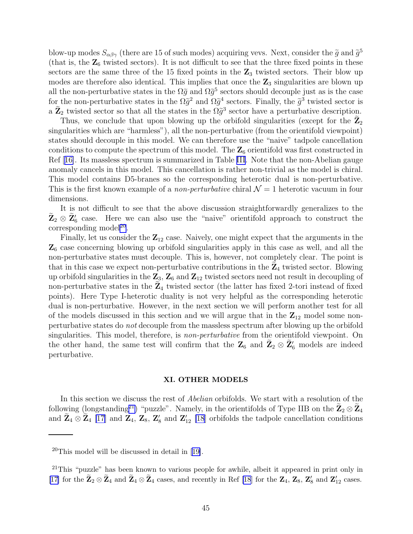<span id="page-44-0"></span>blow-up modes  $S_{\alpha\beta\gamma}$  (there are 15 of such modes) acquiring vevs. Next, consider the  $\tilde{g}$  and  $\tilde{g}^5$ (that is, the  $\mathbb{Z}_6$  twisted sectors). It is not difficult to see that the three fixed points in these sectors are the same three of the 15 fixed points in the  $\mathbb{Z}_3$  twisted sectors. Their blow up modes are therefore also identical. This implies that once the  $\mathbb{Z}_3$  singularities are blown up all the non-perturbative states in the  $\Omega \tilde{g}$  and  $\Omega \tilde{g}^5$  sectors should decouple just as is the case for the non-perturbative states in the  $\Omega \tilde{g}^2$  and  $\Omega \tilde{g}^4$  sectors. Finally, the  $\tilde{g}^3$  twisted sector is a  $\mathbb{Z}_2$  twisted sector so that all the states in the  $\Omega \tilde{g}^3$  sector have a perturbative description.

Thus, we conclude that upon blowing up the orbifold singularities (except for the  $\mathbb{Z}_2$ singularities which are "harmless"), all the non-perturbative (from the orientifold viewpoint) states should decouple in this model. We can therefore use the "naive" tadpole cancellation conditions to compute the spectrum of this model. The  $\mathbb{Z}_6$  orientifold was first constructed in Ref[[16\]](#page-60-0). Its massless spectrum is summarized in Table [III.](#page-57-0) Note that the non-Abelian gauge anomaly cancels in this model. This cancellation is rather non-trivial as the model is chiral. This model contains D5-branes so the corresponding heterotic dual is non-perturbative. This is the first known example of a *non-perturbative* chiral  $\mathcal{N} = 1$  heterotic vacuum in four dimensions.

It is not difficult to see that the above discussion straightforwardly generalizes to the  $\mathbf{Z}_2 \otimes \mathbf{Z}'_6$  case. Here we can also use the "naive" orientifold approach to construct the  $corresponding model<sup>20</sup>.$ 

Finally, let us consider the  $\mathbb{Z}_{12}$  case. Naively, one might expect that the arguments in the  $\mathbb{Z}_6$  case concerning blowing up orbifold singularities apply in this case as well, and all the non-perturbative states must decouple. This is, however, not completely clear. The point is that in this case we expect non-perturbative contributions in the  $\mathbb{Z}_4$  twisted sector. Blowing up orbifold singularities in the  $\mathbb{Z}_3$ ,  $\mathbb{Z}_6$  and  $\mathbb{Z}_{12}$  twisted sectors need not result in decoupling of non-perturbative states in the  $\mathbb{Z}_4$  twisted sector (the latter has fixed 2-tori instead of fixed points). Here Type I-heterotic duality is not very helpful as the corresponding heterotic dual is non-perturbative. However, in the next section we will perform another test for all of the models discussed in this section and we will argue that in the  $\mathbb{Z}_{12}$  model some nonperturbative states do not decouple from the massless spectrum after blowing up the orbifold singularities. This model, therefore, is *non-perturbative* from the orientifold viewpoint. On the other hand, the same test will confirm that the  $\mathbb{Z}_6$  and  $\mathbb{Z}_2 \otimes \mathbb{Z}'_6$  models are indeed perturbative.

### XI. OTHER MODELS

In this section we discuss the rest of *Abelian* orbifolds. We start with a resolution of the following (longstanding<sup>21</sup>) "puzzle". Namely, in the orientifolds of Type IIB on the  $\mathbb{Z}_2 \otimes \mathbb{Z}_4$ and  $\mathbb{Z}_4 \otimes \mathbb{Z}_4$  [\[17](#page-60-0)] and  $\mathbb{Z}_4$ ,  $\mathbb{Z}_8$ ,  $\mathbb{Z}_8'$  and  $\mathbb{Z}_{12}'$  [\[18](#page-60-0)] orbifolds the tadpole cancellation conditions

 $^{20}$ This model will be discussed in detail in [\[19\]](#page-60-0).

<sup>&</sup>lt;sup>21</sup>This "puzzle" has been known to various people for awhile, albeit it appeared in print only in [\[17\]](#page-60-0) for the  $\mathbb{Z}_2 \otimes \mathbb{Z}_4$  and  $\mathbb{Z}_4 \otimes \mathbb{Z}_4$  cases, and recently in Ref [\[18](#page-60-0)] for the  $\mathbb{Z}_4$ ,  $\mathbb{Z}_8$ ,  $\mathbb{Z}_8'$  and  $\mathbb{Z}_{12}'$  cases.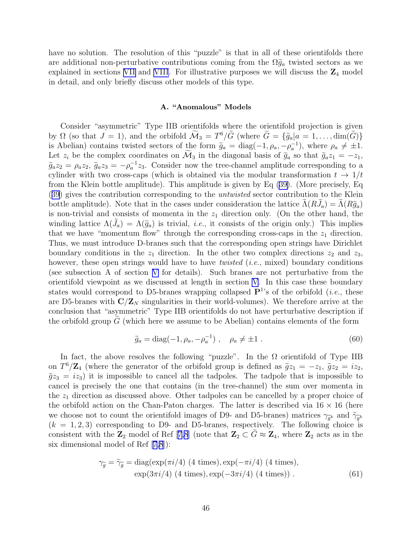<span id="page-45-0"></span>have no solution. The resolution of this "puzzle" is that in all of these orientifolds there are additional non-perturbative contributions coming from the  $\Omega \tilde{g}_a$  twisted sectors as we explained in sections [VII](#page-22-0) and [VIII](#page-29-0). For illustrative purposes we will discuss the  $\mathbb{Z}_4$  model in detail, and only briefly discuss other models of this type.

### A. "Anomalous" Models

Consider "asymmetric" Type IIB orientifolds where the orientifold projection is given by  $\Omega$  (so that  $J = 1$ ), and the orbifold  $\mathcal{M}_3 = T^6/\tilde{G}$  (where  $\tilde{G} = {\tilde{g}_a | a = 1, ..., dim(\tilde{G})}$ ) is Abelian) contains twisted sectors of the form  $\tilde{g}_a = \text{diag}(-1, \rho_a, -\rho_a^{-1})$ , where  $\rho_a \neq \pm 1$ . Let  $z_i$  be the complex coordinates on  $\mathcal{M}_3$  in the diagonal basis of  $\tilde{g}_a$  so that  $\tilde{g}_a z_1 = -z_1$ ,  $\tilde{g}_a z_2 = \rho_a z_2$ ,  $\tilde{g}_a z_3 = -\rho_a^{-1} z_3$ . Consider now the tree-channel amplitude corresponding to a cylinder with two cross-caps (which is obtained via the modular transformation  $t \to 1/t$ from the Klein bottle amplitude). This amplitude is given by Eq([39\)](#page-21-0). (More precisely, Eq ([39](#page-21-0)) gives the contribution corresponding to the untwisted sector contribution to the Klein bottle amplitude). Note that in the cases under consideration the lattice  $\Lambda(RJ_a) = \Lambda(R\tilde{g}_a)$ is non-trivial and consists of momenta in the  $z_1$  direction only. (On the other hand, the winding lattice  $\Lambda(J_a) = \Lambda(\tilde{g}_a)$  is trivial, *i.e.*, it consists of the origin only.) This implies that we have "momentum flow" through the corresponding cross-caps in the  $z_1$  direction. Thus, we must introduce D-branes such that the corresponding open strings have Dirichlet boundary conditions in the  $z_1$  direction. In the other two complex directions  $z_2$  and  $z_3$ , however, these open strings would have to have *twisted* (*i.e.*, mixed) boundary conditions (see subsection A of section [V](#page-14-0) for details). Such branes are not perturbative from the orientifold viewpoint as we discussed at length in section [V](#page-14-0). In this case these boundary states would correspond to D5-branes wrapping collapsed  $\mathbf{P}^{1}$ 's of the orbifold (*i.e.*, these are D5-branes with  $C/Z_N$  singularities in their world-volumes). We therefore arrive at the conclusion that "asymmetric" Type IIB orientifolds do not have perturbative description if the orbifold group  $G$  (which here we assume to be Abelian) contains elements of the form

$$
\tilde{g}_a = \text{diag}(-1, \rho_a, -\rho_a^{-1}), \quad \rho_a \neq \pm 1. \tag{60}
$$

In fact, the above resolves the following "puzzle". In the  $\Omega$  orientifold of Type IIB on  $T^6/\mathbf{Z}_4$  (where the generator of the orbifold group is defined as  $\tilde{g}z_1 = -z_1$ ,  $\tilde{g}z_2 = iz_2$ ,  $\tilde{g}z_3 = iz_3$ ) it is impossible to cancel all the tadpoles. The tadpole that is impossible to cancel is precisely the one that contains (in the tree-channel) the sum over momenta in the  $z_1$  direction as discussed above. Other tadpoles can be cancelled by a proper choice of the orbifold action on the Chan-Paton charges. The latter is described via  $16 \times 16$  (here we choose not to count the orientifold images of D9- and D5-branes) matrices  $\gamma_{\tilde{g}^k}$  and  $\tilde{\gamma}_{\tilde{g}^k}$ <br>( $k = 1, 2, 3$ ) corresponding to D9, and D5 branes, respectively. The following choice is  $(k = 1, 2, 3)$  corresponding to D9- and D5-branes, respectively. The following choice is consistentwith the  $\mathbb{Z}_2$  model of Ref [[7,8\]](#page-60-0) (note that  $\mathbb{Z}_2 \subset G \approx \mathbb{Z}_4$ , where  $\mathbb{Z}_2$  acts as in the six dimensional model of Ref [\[7,8](#page-60-0)]):

$$
\gamma_{\tilde{g}} = \tilde{\gamma}_{\tilde{g}} = \text{diag}(\exp(\pi i/4) \ (4 \text{ times}), \exp(-\pi i/4) \ (4 \text{ times}),
$$
  
exp(3\pi i/4) (4 \text{ times}), exp(-3\pi i/4) (4 \text{ times})). (61)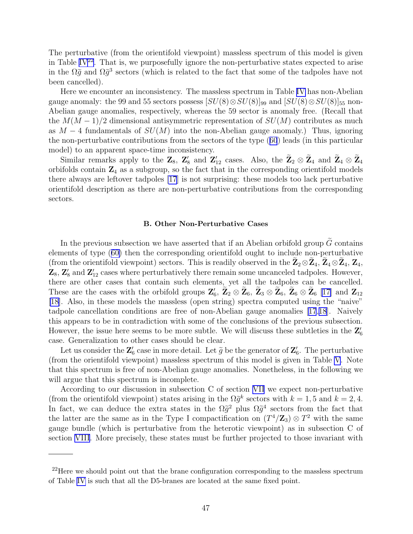The perturbative (from the orientifold viewpoint) massless spectrum of this model is given in Table [IV](#page-58-0)<sup>22</sup>. That is, we purposefully ignore the non-perturbative states expected to arise in the  $\Omega \tilde{g}$  and  $\Omega \tilde{g}^3$  sectors (which is related to the fact that some of the tadpoles have not been cancelled).

Here we encounter an inconsistency. The massless spectrum in Table [IV](#page-58-0) has non-Abelian gauge anomaly: the 99 and 55 sectors possess  $[SU(8) \otimes SU(8)]_{99}$  and  $[SU(8) \otimes SU(8)]_{55}$  non-Abelian gauge anomalies, respectively, whereas the 59 sector is anomaly free. (Recall that the  $M(M-1)/2$  dimensional antisymmetric representation of  $SU(M)$  contributes as much as  $M-4$  fundamentals of  $SU(M)$  into the non-Abelian gauge anomaly.) Thus, ignoring the non-perturbative contributions from the sectors of the type([60](#page-45-0)) leads (in this particular model) to an apparent space-time inconsistency.

Similar remarks apply to the  $\mathbb{Z}_8$ ,  $\mathbb{Z}_8'$  and  $\mathbb{Z}_{12}'$  cases. Also, the  $\mathbb{Z}_2 \otimes \mathbb{Z}_4$  and  $\mathbb{Z}_4 \otimes \mathbb{Z}_4$ orbifolds contain  $\mathbb{Z}_4$  as a subgroup, so the fact that in the corresponding orientifold models there always are leftover tadpoles [\[17](#page-60-0)] is not surprising: these models too lack perturbative orientifold description as there are non-perturbative contributions from the corresponding sectors.

#### B. Other Non-Perturbative Cases

In the previous subsection we have asserted that if an Abelian orbifold group  $\tilde{G}$  contains elements of type([60\)](#page-45-0) then the corresponding orientifold ought to include non-perturbative (from the orientifold viewpoint) sectors. This is readily observed in the  $\mathbb{Z}_2 \otimes \mathbb{Z}_4$ ,  $\mathbb{Z}_4 \otimes \mathbb{Z}_4$ ,  $\mathbb{Z}_4$ ,  $\mathbb{Z}_4$ ,  $\mathbf{Z}_8$ ,  $\mathbf{Z}'_8$  and  $\mathbf{Z}'_{12}$  cases where perturbatively there remain some uncanceled tadpoles. However, there are other cases that contain such elements, yet all the tadpoles can be cancelled. These are the cases with the orbifold groups  $\mathbf{Z}'_6$ ,  $\mathbf{Z}_2 \otimes \mathbf{Z}_6$ ,  $\mathbf{Z}_3 \otimes \mathbf{Z}_6$ ,  $\mathbf{Z}_6 \otimes \mathbf{Z}_6$  [[17\]](#page-60-0) and  $\mathbf{Z}_{12}$ [\[18\]](#page-60-0). Also, in these models the massless (open string) spectra computed using the "naive" tadpole cancellation conditions are free of non-Abelian gauge anomalies[[17](#page-60-0),[18](#page-60-0)]. Naively this appears to be in contradiction with some of the conclusions of the previous subsection. However, the issue here seems to be more subtle. We will discuss these subtleties in the  $\mathbf{Z}_6'$ case. Generalization to other cases should be clear.

Let us consider the  $\mathbb{Z}'_6$  case in more detail. Let  $\tilde{g}$  be the generator of  $\mathbb{Z}'_6$ . The perturbative (from the orientifold viewpoint) massless spectrum of this model is given in Table [V](#page-59-0). Note that this spectrum is free of non-Abelian gauge anomalies. Nonetheless, in the following we will argue that this spectrum is incomplete.

According to our discussion in subsection C of section [VII](#page-22-0) we expect non-perturbative (from the orientifold viewpoint) states arising in the  $\Omega \tilde{g}^k$  sectors with  $k = 1, 5$  and  $k = 2, 4$ . In fact, we can deduce the extra states in the  $\Omega \tilde{g}^2$  plus  $\Omega \tilde{g}^4$  sectors from the fact that the latter are the same as in the Type I compactification on  $(T^4/\mathbb{Z}_3) \otimes T^2$  with the same gauge bundle (which is perturbative from the heterotic viewpoint) as in subsection C of section [VIII](#page-29-0). More precisely, these states must be further projected to those invariant with

 $^{22}$ Here we should point out that the brane configuration corresponding to the massless spectrum of Table [IV](#page-58-0) is such that all the D5-branes are located at the same fixed point.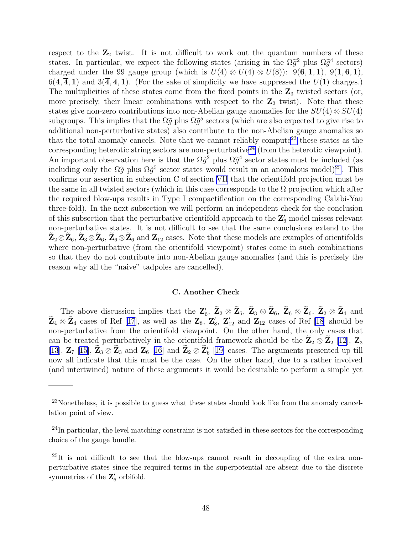respect to the  $\mathbb{Z}_2$  twist. It is not difficult to work out the quantum numbers of these states. In particular, we expect the following states (arising in the  $\Omega \tilde{g}^2$  plus  $\Omega \tilde{g}^4$  sectors) charged under the 99 gauge group (which is  $U(4) \otimes U(4) \otimes U(8)$ ): 9(6, 1, 1), 9(1, 6, 1),  $6(4, \overline{4}, 1)$  and  $3(\overline{4}, 4, 1)$ . (For the sake of simplicity we have suppressed the  $U(1)$  charges.) The multiplicities of these states come from the fixed points in the  $\mathbb{Z}_3$  twisted sectors (or, more precisely, their linear combinations with respect to the  $\mathbb{Z}_2$  twist). Note that these states give non-zero contributions into non-Abelian gauge anomalies for the  $SU(4) \otimes SU(4)$ subgroups. This implies that the  $\Omega \tilde{g}$  plus  $\Omega \tilde{g}^5$  sectors (which are also expected to give rise to additional non-perturbative states) also contribute to the non-Abelian gauge anomalies so that the total anomaly cancels. Note that we cannot reliably compute<sup>23</sup> these states as the corresponding heterotic string sectors are non-perturbative<sup>24</sup> (from the heterotic viewpoint). An important observation here is that the  $\Omega \tilde{g}^2$  plus  $\Omega \tilde{g}^4$  sector states must be included (as including only the  $\Omega \tilde{g}$  plus  $\Omega \tilde{g}^5$  sector states would result in an anomalous model)<sup>25</sup>. This confirms our assertion in subsection C of section [VII](#page-22-0) that the orientifold projection must be the same in all twisted sectors (which in this case corresponds to the  $\Omega$  projection which after the required blow-ups results in Type I compactification on the corresponding Calabi-Yau three-fold). In the next subsection we will perform an independent check for the conclusion of this subsection that the perturbative orientifold approach to the  $\mathbf{Z}'_6$  model misses relevant non-perturbative states. It is not difficult to see that the same conclusions extend to the  $\mathbf{Z}_2 \otimes \mathbf{Z}_6$ ,  $\mathbf{Z}_3 \otimes \mathbf{Z}_6$ ,  $\mathbf{Z}_6 \otimes \mathbf{Z}_6$  and  $\mathbf{Z}_{12}$  cases. Note that these models are examples of orientifolds where non-perturbative (from the orientifold viewpoint) states come in such combinations so that they do not contribute into non-Abelian gauge anomalies (and this is precisely the reason why all the "naive" tadpoles are cancelled).

### C. Another Check

The above discussion implies that the  $\mathbf{Z}'_6$ ,  $\mathbf{Z}_2 \otimes \mathbf{Z}_6$ ,  $\mathbf{Z}_3 \otimes \mathbf{Z}_6$ ,  $\mathbf{Z}_6 \otimes \mathbf{Z}_6$ ,  $\mathbf{Z}_2 \otimes \mathbf{Z}_4$  and  $\mathbf{Z}_4 \otimes \mathbf{Z}_4$  $\mathbf{Z}_4 \otimes \mathbf{Z}_4$  $\mathbf{Z}_4 \otimes \mathbf{Z}_4$  cases of Ref [[17](#page-60-0)], as well as the  $\mathbf{Z}_8$ ,  $\mathbf{Z}'_8$ ,  $\mathbf{Z}'_{12}$  and  $\mathbf{Z}_{12}$  cases of Ref [\[18](#page-60-0)] should be non-perturbative from the orientifold viewpoint. On the other hand, the only cases that can be treated perturbatively in the orientifold framework should be the  $\mathbb{Z}_2 \otimes \mathbb{Z}_2$  [\[12](#page-60-0)],  $\mathbb{Z}_3$ [\[13](#page-60-0)],  $\mathbb{Z}_7$  [[15\]](#page-60-0),  $\mathbb{Z}_3 \otimes \mathbb{Z}_3$  and  $\mathbb{Z}_6$  [[16](#page-60-0)] and  $\mathbb{Z}_2 \otimes \mathbb{Z}_6'$  [[19\]](#page-60-0) cases. The arguments presented up till now all indicate that this must be the case. On the other hand, due to a rather involved (and intertwined) nature of these arguments it would be desirable to perform a simple yet

<sup>23</sup>Nonetheless, it is possible to guess what these states should look like from the anomaly cancellation point of view.

<sup>24</sup>In particular, the level matching constraint is not satisfied in these sectors for the corresponding choice of the gauge bundle.

<sup>&</sup>lt;sup>25</sup>It is not difficult to see that the blow-ups cannot result in decoupling of the extra nonperturbative states since the required terms in the superpotential are absent due to the discrete symmetries of the  $\mathbf{Z}'_6$  orbifold.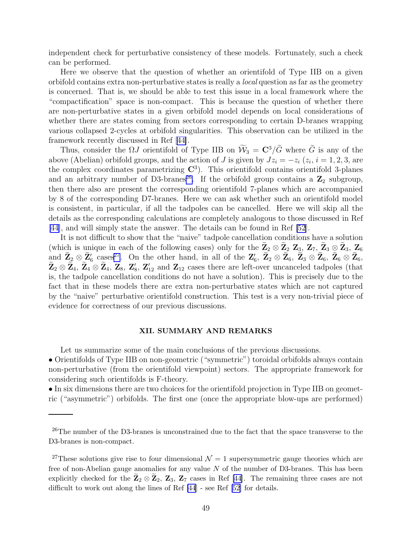<span id="page-48-0"></span>independent check for perturbative consistency of these models. Fortunately, such a check can be performed.

Here we observe that the question of whether an orientifold of Type IIB on a given orbifold contains extra non-perturbative states is really a local question as far as the geometry is concerned. That is, we should be able to test this issue in a local framework where the "compactification" space is non-compact. This is because the question of whether there are non-perturbative states in a given orbifold model depends on local considerations of whether there are states coming from sectors corresponding to certain D-branes wrapping various collapsed 2-cycles at orbifold singularities. This observation can be utilized in the framework recently discussed in Ref[[44\]](#page-61-0).

Thus, consider the  $\Omega J$  orientifold of Type IIB on  $\widetilde{W}_3 = \mathbf{C}^3/\widetilde{G}$  where  $\widetilde{G}$  is any of the above (Abelian) orbifold groups, and the action of J is given by  $Jz_i = -z_i$  ( $z_i$ ,  $i = 1, 2, 3$ , are the complex coordinates parametrizing  $\mathbb{C}^3$ ). This orientifold contains orientifold 3-planes and an arbitrary number of D3-branes<sup>26</sup>. If the orbifold group contains a  $\mathbb{Z}_2$  subgroup, then there also are present the corresponding orientifold 7-planes which are accompanied by 8 of the corresponding D7-branes. Here we can ask whether such an orientifold model is consistent, in particular, if all the tadpoles can be cancelled. Here we will skip all the details as the corresponding calculations are completely analogous to those discussed in Ref [\[44](#page-61-0)], and will simply state the answer. The details can be found in Ref [\[52](#page-61-0)].

It is not difficult to show that the "naive" tadpole cancellation conditions have a solution (which is unique in each of the following cases) only for the  $\mathbb{Z}_2 \otimes \mathbb{Z}_2$   $\mathbb{Z}_3$ ,  $\mathbb{Z}_7$ ,  $\mathbb{Z}_3 \otimes \mathbb{Z}_3$ ,  $\mathbb{Z}_6$ and  $\mathbf{Z}_2 \otimes \mathbf{Z}'_6$  cases<sup>27</sup>. On the other hand, in all of the  $\mathbf{Z}'_6$ ,  $\mathbf{Z}_2 \otimes \mathbf{Z}_6$ ,  $\mathbf{Z}_3 \otimes \mathbf{Z}_6$ ,  $\mathbf{Z}_6 \otimes \mathbf{Z}_6$ ,  $\mathbf{Z}_2 \otimes \mathbf{Z}_4$ ,  $\mathbf{Z}_4 \otimes \mathbf{Z}_4$ ,  $\mathbf{Z}_8$ ,  $\mathbf{Z}_8'$ ,  $\mathbf{Z}_{12}'$  and  $\mathbf{Z}_{12}$  cases there are left-over uncanceled tadpoles (that is, the tadpole cancellation conditions do not have a solution). This is precisely due to the fact that in these models there are extra non-perturbative states which are not captured by the "naive" perturbative orientifold construction. This test is a very non-trivial piece of evidence for correctness of our previous discussions.

### XII. SUMMARY AND REMARKS

Let us summarize some of the main conclusions of the previous discussions.

• Orientifolds of Type IIB on non-geometric ("symmetric") toroidal orbifolds always contain non-perturbative (from the orientifold viewpoint) sectors. The appropriate framework for considering such orientifolds is F-theory.

• In six dimensions there are two choices for the orientifold projection in Type IIB on geometric ("asymmetric") orbifolds. The first one (once the appropriate blow-ups are performed)

 $26$ The number of the D3-branes is unconstrained due to the fact that the space transverse to the D3-branes is non-compact.

<sup>&</sup>lt;sup>27</sup>These solutions give rise to four dimensional  $\mathcal{N}=1$  supersymmetric gauge theories which are free of non-Abelian gauge anomalies for any value  $N$  of the number of D3-branes. This has been explicitly checked for the  $\mathbb{Z}_2 \otimes \mathbb{Z}_2$ ,  $\mathbb{Z}_3$ ,  $\mathbb{Z}_7$  cases in Ref [\[44](#page-61-0)]. The remaining three cases are not difficult to work out along the lines of Ref [\[44](#page-61-0)] - see Ref[[52\]](#page-61-0) for details.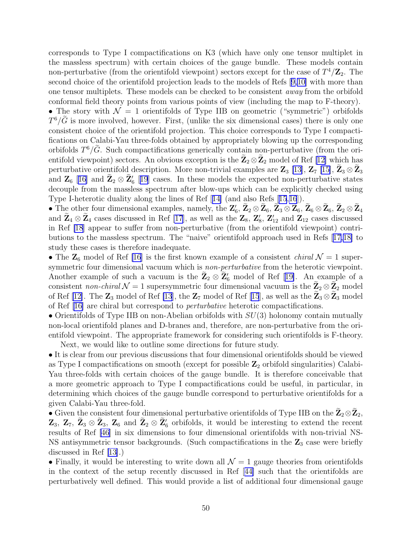corresponds to Type I compactifications on K3 (which have only one tensor multiplet in the massless spectrum) with certain choices of the gauge bundle. These models contain non-perturbative (from the orientifold viewpoint) sectors except for the case of  $T^4/\mathbb{Z}_2$ . The second choice of the orientifold projection leads to the models of Refs[[9,10\]](#page-60-0) with more than one tensor multiplets. These models can be checked to be consistent away from the orbifold conformal field theory points from various points of view (including the map to F-theory).

• The story with  $\mathcal{N} = 1$  orientifolds of Type IIB on geometric ("symmetric") orbifolds  $T^6/\tilde{G}$  is more involved, however. First, (unlike the six dimensional cases) there is only one consistent choice of the orientifold projection. This choice corresponds to Type I compactifications on Calabi-Yau three-folds obtained by appropriately blowing up the corresponding orbifolds  $T^6/\tilde{G}$ . Such compactifications generically contain non-perturbative (from the orientifold viewpoint) sectors. An obvious exception is the  $\mathbb{Z}_2 \otimes \mathbb{Z}_2$  model of Ref [\[12\]](#page-60-0) which has perturbative orientifold description. More non-trivial examples are  $\mathbb{Z}_3$  [\[13](#page-60-0)],  $\mathbb{Z}_7$  [\[15\]](#page-60-0),  $\mathbb{Z}_3 \otimes \mathbb{Z}_3$ and  $\mathbb{Z}_6$  [[16\]](#page-60-0) and  $\mathbb{Z}_2 \otimes \mathbb{Z}'_6$  [[19](#page-60-0)] cases. In these models the expected non-perturbative states decouple from the massless spectrum after blow-ups which can be explicitly checked using Type I-heterotic duality along the lines of Ref[[14\]](#page-60-0) (and also Refs[[15](#page-60-0),[16](#page-60-0)]).

• The other four dimensional examples, namely, the  $\mathbf{Z}'_6$ ,  $\mathbf{Z}_2 \otimes \mathbf{Z}_6$ ,  $\mathbf{Z}_3 \otimes \mathbf{Z}_6$ ,  $\mathbf{Z}_6 \otimes \mathbf{Z}_6$ ,  $\mathbf{Z}_2 \otimes \mathbf{Z}_4$ and  $\mathbb{Z}_4 \otimes \mathbb{Z}_4$  cases discussed in Ref [\[17](#page-60-0)], as well as the  $\mathbb{Z}_8$ ,  $\mathbb{Z}_8'$ ,  $\mathbb{Z}_{12}'$  and  $\mathbb{Z}_{12}$  cases discussed in Ref [\[18](#page-60-0)] appear to suffer from non-perturbative (from the orientifold viewpoint) contributions to the massless spectrum. The "naive" orientifold approach used in Refs[[17,18\]](#page-60-0) to study these cases is therefore inadequate.

• The  $\mathbb{Z}_6$  model of Ref [\[16](#page-60-0)] is the first known example of a consistent *chiral*  $\mathcal{N}=1$  supersymmetric four dimensional vacuum which is non-perturbative from the heterotic viewpoint. Anotherexample of such a vacuum is the  $\mathbb{Z}_2 \otimes \mathbb{Z}_6'$  model of Ref [[19\]](#page-60-0). An example of a consistent *non-chiral*  $\mathcal{N} = 1$  supersymmetric four dimensional vacuum is the  $\mathbb{Z}_2 \otimes \mathbb{Z}_2$  model ofRef [[12\]](#page-60-0). The  $\mathbb{Z}_3$  model of Ref [\[13](#page-60-0)], the  $\mathbb{Z}_7$  model of Ref [[15](#page-60-0)], as well as the  $\mathbb{Z}_3 \otimes \mathbb{Z}_3$  model of Ref[[16\]](#page-60-0) are chiral but correspond to perturbative heterotic compactifications.

• Orientifolds of Type IIB on non-Abelian orbifolds with  $SU(3)$  holonomy contain mutually non-local orientifold planes and D-branes and, therefore, are non-perturbative from the orientifold viewpoint. The appropriate framework for considering such orientifolds is F-theory. Next, we would like to outline some directions for future study.

• It is clear from our previous discussions that four dimensional orientifolds should be viewed as Type I compactifications on smooth (except for possible  $\mathbb{Z}_2$  orbifold singularities) Calabi-Yau three-folds with certain choices of the gauge bundle. It is therefore conceivable that a more geometric approach to Type I compactifications could be useful, in particular, in determining which choices of the gauge bundle correspond to perturbative orientifolds for a given Calabi-Yau three-fold.

• Given the consistent four dimensional perturbative orientifolds of Type IIB on the  $\mathbb{Z}_2 \otimes \mathbb{Z}_2$ ,  $\mathbf{Z}_3$ ,  $\mathbf{Z}_7$ ,  $\mathbf{Z}_3 \otimes \mathbf{Z}_3$ ,  $\mathbf{Z}_6$  and  $\mathbf{Z}_2 \otimes \mathbf{Z}_6'$  orbifolds, it would be interesting to extend the recent results of Ref [\[46\]](#page-61-0) in six dimensions to four dimensional orientifolds with non-trivial NS-NS antisymmetric tensor backgrounds. (Such compactifications in the  $\mathbb{Z}_3$  case were briefly discussed in Ref [\[13\]](#page-60-0).)

• Finally, it would be interesting to write down all  $\mathcal{N}=1$  gauge theories from orientifolds in the context of the setup recently discussed in Ref[[44\]](#page-61-0) such that the orientifolds are perturbatively well defined. This would provide a list of additional four dimensional gauge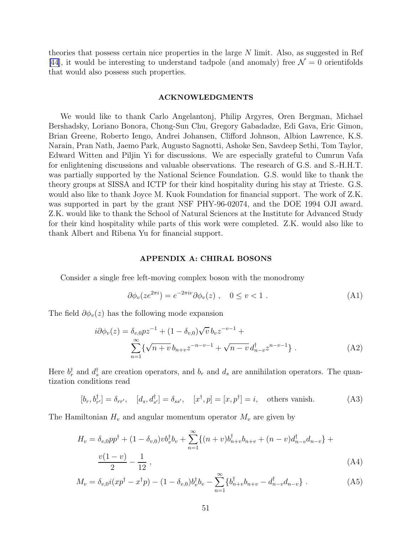<span id="page-50-0"></span>theories that possess certain nice properties in the large N limit. Also, as suggested in Ref [\[44\]](#page-61-0), it would be interesting to understand tadpole (and anomaly) free  $\mathcal{N} = 0$  orientifolds that would also possess such properties.

### ACKNOWLEDGMENTS

We would like to thank Carlo Angelantonj, Philip Argyres, Oren Bergman, Michael Bershadsky, Loriano Bonora, Chong-Sun Chu, Gregory Gabadadze, Edi Gava, Eric Gimon, Brian Greene, Roberto Iengo, Andrei Johansen, Clifford Johnson, Albion Lawrence, K.S. Narain, Pran Nath, Jaemo Park, Augusto Sagnotti, Ashoke Sen, Savdeep Sethi, Tom Taylor, Edward Witten and Piljin Yi for discussions. We are especially grateful to Cumrun Vafa for enlightening discussions and valuable observations. The research of G.S. and S.-H.H.T. was partially supported by the National Science Foundation. G.S. would like to thank the theory groups at SISSA and ICTP for their kind hospitality during his stay at Trieste. G.S. would also like to thank Joyce M. Kuok Foundation for financial support. The work of Z.K. was supported in part by the grant NSF PHY-96-02074, and the DOE 1994 OJI award. Z.K. would like to thank the School of Natural Sciences at the Institute for Advanced Study for their kind hospitality while parts of this work were completed. Z.K. would also like to thank Albert and Ribena Yu for financial support.

### APPENDIX A: CHIRAL BOSONS

Consider a single free left-moving complex boson with the monodromy

$$
\partial \phi_v(ze^{2\pi i}) = e^{-2\pi i v} \partial \phi_v(z) , \quad 0 \le v < 1 . \tag{A1}
$$

The field  $\partial \phi_v(z)$  has the following mode expansion

$$
i\partial\phi_v(z) = \delta_{v,0}pz^{-1} + (1 - \delta_{v,0})\sqrt{v} b_v z^{-v-1} + \sum_{n=1}^{\infty} \{\sqrt{n+v} b_{n+v} z^{-n-v-1} + \sqrt{n-v} d_{n-v}^{\dagger} z^{n-v-1}\}.
$$
 (A2)

Here  $b_r^{\dagger}$  and  $d_s^{\dagger}$  are creation operators, and  $b_r$  and  $d_s$  are annihilation operators. The quantization conditions read

$$
[b_r, b_{r'}^\dagger] = \delta_{rr'}, \quad [d_s, d_{s'}^\dagger] = \delta_{ss'}, \quad [x^\dagger, p] = [x, p^\dagger] = i, \quad \text{others vanish.} \tag{A3}
$$

The Hamiltonian  $H_v$  and angular momentum operator  $M_v$  are given by

$$
H_v = \delta_{v,0}pp^{\dagger} + (1 - \delta_{v,0})v b_v^{\dagger} b_v + \sum_{n=1}^{\infty} \{ (n+v)b_{n+v}^{\dagger} b_{n+v} + (n-v)d_{n-v}^{\dagger} d_{n-v} \} + \frac{v(1-v)}{2} - \frac{1}{12},
$$
\n(A4)

$$
M_v = \delta_{v,0} i(xp^{\dagger} - x^{\dagger}p) - (1 - \delta_{v,0})b_v^{\dagger}b_v - \sum_{n=1}^{\infty} \{b_{n+v}^{\dagger}b_{n+v} - d_{n-v}^{\dagger}d_{n-v}\}.
$$
 (A5)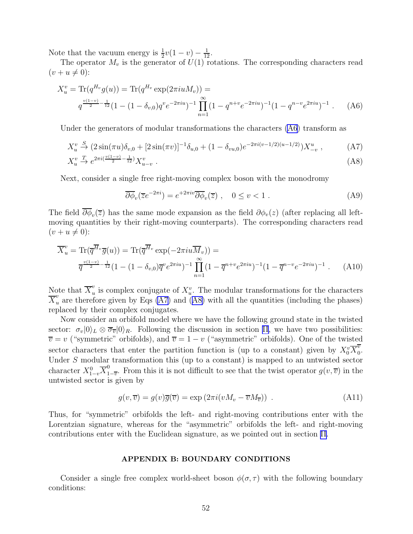<span id="page-51-0"></span>Note that the vacuum energy is  $\frac{1}{2}v(1-v) - \frac{1}{12}$ .

The operator  $M_v$  is the generator of  $U(1)$  rotations. The corresponding characters read  $(v + u \neq 0)$ :

$$
X_u^v = \text{Tr}(q^{H_v}g(u)) = \text{Tr}(q^{H_v} \exp(2\pi i u M_v)) =
$$
  
\n
$$
q^{\frac{v(1-v)}{2} - \frac{1}{12}}(1 - (1 - \delta_{v,0})q^v e^{-2\pi i u})^{-1} \prod_{n=1}^{\infty} (1 - q^{n+v} e^{-2\pi i u})^{-1} (1 - q^{n-v} e^{2\pi i u})^{-1}.
$$
 (A6)

Under the generators of modular transformations the characters (A6) transform as

$$
X_u^v \stackrel{S}{\to} (2\sin(\pi u)\delta_{v,0} + [2\sin(\pi v)]^{-1}\delta_{u,0} + (1 - \delta_{vu,0})e^{-2\pi i(v-1/2)(u-1/2)})X_{-v}^u,
$$
 (A7)

$$
X_u^v \stackrel{T}{\rightarrow} e^{2\pi i \left(\frac{v(1-v)}{2} - \frac{1}{12}\right)} X_{u-v}^v \tag{A8}
$$

Next, consider a single free right-moving complex boson with the monodromy

$$
\overline{\partial \phi}_v(\overline{z}e^{-2\pi i}) = e^{+2\pi i v} \overline{\partial \phi}_v(\overline{z}), \quad 0 \le v < 1.
$$
 (A9)

The field  $\partial \phi_v(\overline{z})$  has the same mode expansion as the field  $\partial \phi_v(z)$  (after replacing all leftmoving quantities by their right-moving counterparts). The corresponding characters read  $(v + u \neq 0)$ :

$$
\overline{X}_{u}^{v} = \text{Tr}(\overline{q}^{\overline{H}_{v}}\overline{g}(u)) = \text{Tr}(\overline{q}^{\overline{H}_{v}}\exp(-2\pi i u \overline{M}_{v})) =
$$
\n
$$
\overline{q}^{\frac{v(1-v)}{2} - \frac{1}{12}}(1 - (1 - \delta_{v,0})\overline{q}^{v}e^{2\pi i u})^{-1} \prod_{n=1}^{\infty} (1 - \overline{q}^{n+v}e^{2\pi i u})^{-1}(1 - \overline{q}^{n-v}e^{-2\pi i u})^{-1}.
$$
\n(A10)

Note that  $\overline{X}^v_u$  $u<sub>u</sub>$  is complex conjugate of  $X_u^v$ . The modular transformations for the characters  $\overline{X}_{u}^{v}$  are therefore given by Eqs (A7) and (A8) with all the quantities (including the phases) replaced by their complex conjugates.

Now consider an orbifold model where we have the following ground state in the twisted sector:  $\sigma_v|0\rangle_L \otimes \overline{\sigma}_{\overline{v}}|0\rangle_R$ . Following the discussion in section [II](#page-4-0), we have two possibilities:  $\overline{v} = v$  ("symmetric" orbifolds), and  $\overline{v} = 1 - v$  ("asymmetric" orbifolds). One of the twisted sector characters that enter the partition function is (up to a constant) given by  $X_0^v \overline{X}_0^{\overline{v}}$  $\frac{0}{0}$ . Under S modular transformation this (up to a constant) is mapped to an untwisted sector character  $X_{1-v}^0 \overline{X}_1^0$  $_{1-\overline{v}}^{\circ}$ . From this it is not difficult to see that the twist operator  $g(v,\overline{v})$  in the untwisted sector is given by

$$
g(v, \overline{v}) = g(v)\overline{g}(\overline{v}) = \exp(2\pi i (vM_v - \overline{v}M_{\overline{v}})) \tag{A11}
$$

Thus, for "symmetric" orbifolds the left- and right-moving contributions enter with the Lorentzian signature, whereas for the "asymmetric" orbifolds the left- and right-moving contributions enter with the Euclidean signature, as we pointed out in section [II](#page-4-0).

### APPENDIX B: BOUNDARY CONDITIONS

Consider a single free complex world-sheet boson  $\phi(\sigma, \tau)$  with the following boundary conditions: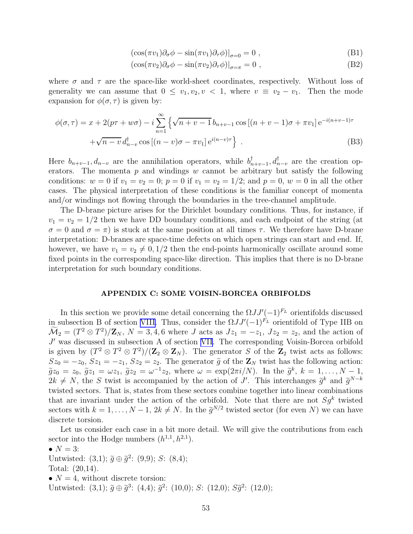$$
(\cos(\pi v_1)\partial_\sigma \phi - \sin(\pi v_1)\partial_\tau \phi)|_{\sigma=0} = 0 , \qquad (B1)
$$

$$
(\cos(\pi v_2)\partial_{\sigma}\phi - \sin(\pi v_2)\partial_{\tau}\phi)|_{\sigma=\pi} = 0 , \qquad (B2)
$$

<span id="page-52-0"></span>where  $\sigma$  and  $\tau$  are the space-like world-sheet coordinates, respectively. Without loss of generality we can assume that  $0 \le v_1, v_2, v < 1$ , where  $v \equiv v_2 - v_1$ . Then the mode expansion for  $\phi(\sigma, \tau)$  is given by:

$$
\phi(\sigma,\tau) = x + 2(p\tau + w\sigma) - i \sum_{n=1}^{\infty} \left\{ \sqrt{n+v-1} \, b_{n+v-1} \cos\left[ (n+v-1)\sigma + \pi v_1 \right] e^{-i(n+v-1)\tau} + \sqrt{n-v} \, d_{n-v}^{\dagger} \cos\left[ (n-v)\sigma - \pi v_1 \right] e^{i(n-v)\tau} \right\}.
$$
\n(B3)

Here  $b_{n+v-1}, d_{n-v}$  are the annihilation operators, while  $b_n^{\dagger}$  $\phi_{n+v-1}^{\dagger}, d_{n-v}^{\dagger}$  are the creation operators. The momenta  $p$  and windings  $w$  cannot be arbitrary but satisfy the following conditions:  $w = 0$  if  $v_1 = v_2 = 0$ ;  $p = 0$  if  $v_1 = v_2 = 1/2$ ; and  $p = 0$ ,  $w = 0$  in all the other cases. The physical interpretation of these conditions is the familiar concept of momenta and/or windings not flowing through the boundaries in the tree-channel amplitude.

The D-brane picture arises for the Dirichlet boundary conditions. Thus, for instance, if  $v_1 = v_2 = 1/2$  then we have DD boundary conditions, and each endpoint of the string (at  $\sigma = 0$  and  $\sigma = \pi$ ) is stuck at the same position at all times  $\tau$ . We therefore have D-brane interpretation: D-branes are space-time defects on which open strings can start and end. If, however, we have  $v_1 = v_2 \neq 0, 1/2$  then the end-points harmonically oscillate around some fixed points in the corresponding space-like direction. This implies that there is no D-brane interpretation for such boundary conditions.

#### APPENDIX C: SOME VOISIN-BORCEA ORBIFOLDS

In this section we provide some detail concerning the  $\Omega JJ'(-1)^{F_L}$  orientifolds discussed in subsection B of section [VIII](#page-29-0). Thus, consider the  $\Omega JJ'(-1)^{F_L}$  orientifold of Type IIB on  $\mathcal{M}_2 = (T^2 \otimes T^2)/\mathbf{Z}_N$ ,  $N = 3, 4, 6$  where J acts as  $Jz_1 = -z_1$ ,  $Jz_2 = z_2$ , and the action of J ′ was discussed in subsection A of section [VII](#page-22-0). The corresponding Voisin-Borcea orbifold is given by  $(T^2 \otimes T^2 \otimes T^2) / (\mathbb{Z}_2 \otimes \mathbb{Z}_N)$ . The generator S of the  $\mathbb{Z}_2$  twist acts as follows:  $Sz_0 = -z_0$ ,  $Sz_1 = -z_1$ ,  $Sz_2 = z_2$ . The generator  $\tilde{g}$  of the  $\mathbb{Z}_N$  twist has the following action:  $\tilde{g}z_0 = z_0, \ \tilde{g}z_1 = \omega z_1, \ \tilde{g}z_2 = \omega^{-1}z_2$ , where  $\omega = \exp(2\pi i/N)$ . In the  $\tilde{g}^k$ ,  $k = 1, \ldots, N-1$ ,  $2k \neq N$ , the S twist is accompanied by the action of J'. This interchanges  $\tilde{g}^k$  and  $\tilde{g}^{N-k}$ twisted sectors. That is, states from these sectors combine together into linear combinations that are invariant under the action of the orbifold. Note that there are not  $Sg^k$  twisted sectors with  $k = 1, ..., N - 1, 2k \neq N$ . In the  $\tilde{g}^{N/2}$  twisted sector (for even N) we can have discrete torsion.

Let us consider each case in a bit more detail. We will give the contributions from each sector into the Hodge numbers  $(h^{1,1}, h^{2,1}).$ 

•  $N = 3$ : Untwisted:  $(3,1)$ ;  $\tilde{g} \oplus \tilde{g}^2$ :  $(9,9)$ ; S:  $(8,4)$ ; Total: (20,14). •  $N = 4$ , without discrete torsion: Untwisted: (3,1);  $\tilde{g} \oplus \tilde{g}^3$ : (4,4);  $\tilde{g}^2$ : (10,0); S: (12,0);  $S\tilde{g}^2$ : (12,0);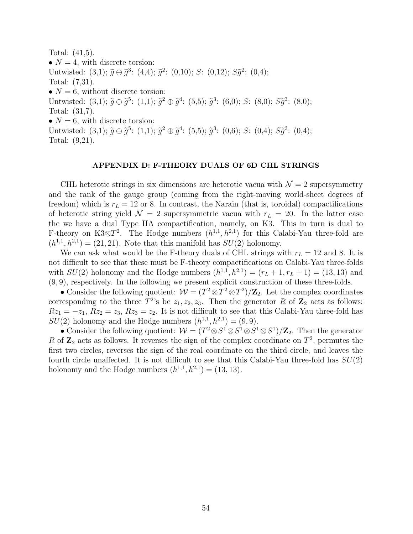<span id="page-53-0"></span>Total: (41,5). •  $N = 4$ , with discrete torsion: Untwisted:  $(3,1); \tilde{g} \oplus \tilde{g}^3$ :  $(4,4); \tilde{g}^2$ :  $(0,10); S$ :  $(0,12); S\tilde{g}^2$ :  $(0,4);$ Total: (7,31). •  $N = 6$ , without discrete torsion: Untwisted:  $(3,1)$ ;  $\tilde{g} \oplus \tilde{g}^5$ :  $(1,1)$ ;  $\tilde{g}^2 \oplus \tilde{g}^4$ :  $(5,5)$ ;  $\tilde{g}^3$ :  $(6,0)$ ;  $S$ :  $(8,0)$ ;  $S\tilde{g}^3$ :  $(8,0)$ ; Total: (31,7). •  $N = 6$ , with discrete torsion: Untwisted:  $(3,1)$ ;  $\tilde{g} \oplus \tilde{g}^5$ :  $(1,1)$ ;  $\tilde{g}^2 \oplus \tilde{g}^4$ :  $(5,5)$ ;  $\tilde{g}^3$ :  $(0,6)$ ; *S*:  $(0,4)$ ;  $S\tilde{g}^3$ :  $(0,4)$ ; Total: (9,21).

### APPENDIX D: F-THEORY DUALS OF 6D CHL STRINGS

CHL heterotic strings in six dimensions are heterotic vacua with  $\mathcal{N}=2$  supersymmetry and the rank of the gauge group (coming from the right-moving world-sheet degrees of freedom) which is  $r<sub>L</sub> = 12$  or 8. In contrast, the Narain (that is, toroidal) compactifications of heterotic string yield  $\mathcal{N} = 2$  supersymmetric vacua with  $r_L = 20$ . In the latter case the we have a dual Type IIA compactification, namely, on K3. This in turn is dual to F-theory on K3⊗T<sup>2</sup>. The Hodge numbers  $(h^{1,1}, h^{2,1})$  for this Calabi-Yau three-fold are  $(h^{1,1}, h^{2,1}) = (21, 21)$ . Note that this manifold has  $SU(2)$  holonomy.

We can ask what would be the F-theory duals of CHL strings with  $r<sub>L</sub> = 12$  and 8. It is not difficult to see that these must be F-theory compactifications on Calabi-Yau three-folds with  $SU(2)$  holonomy and the Hodge numbers  $(h^{1,1}, h^{2,1}) = (r_L + 1, r_L + 1) = (13, 13)$  and (9, 9), respectively. In the following we present explicit construction of these three-folds.

• Consider the following quotient:  $W = (T^2 \otimes T^2 \otimes T^2) / \mathbb{Z}_2$ . Let the complex coordinates corresponding to the three  $T^{2}$ 's be  $z_1, z_2, z_3$ . Then the generator R of  $\mathbb{Z}_2$  acts as follows:  $Rz_1 = -z_1, Rz_2 = z_3, Rz_3 = z_2$ . It is not difficult to see that this Calabi-Yau three-fold has  $SU(2)$  holonomy and the Hodge numbers  $(h^{1,1}, h^{2,1}) = (9, 9)$ .

• Consider the following quotient:  $W = (T^2 \otimes S^1 \otimes S^1 \otimes S^1 \otimes S^1)/\mathbb{Z}_2$ . Then the generator R of  $\mathbb{Z}_2$  acts as follows. It reverses the sign of the complex coordinate on  $T^2$ , permutes the first two circles, reverses the sign of the real coordinate on the third circle, and leaves the fourth circle unaffected. It is not difficult to see that this Calabi-Yau three-fold has  $SU(2)$ holonomy and the Hodge numbers  $(h^{1,1}, h^{2,1}) = (13, 13)$ .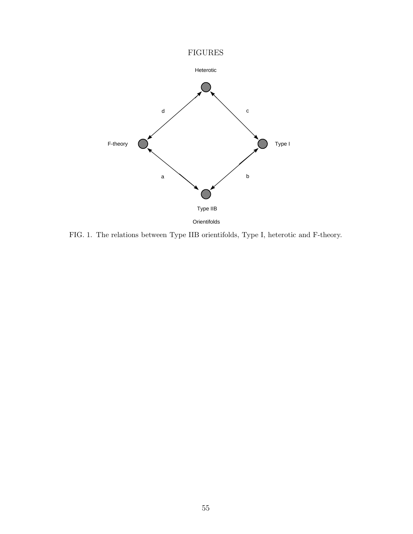

FIG. 1. The relations between Type IIB orientifolds, Type I, heterotic and F-theory.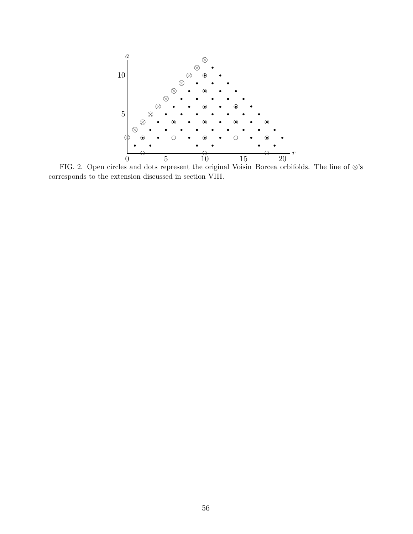

FIG. 2. Open circles and dots represent the original Voisin–Borcea orbifolds. The line of ⊗'s corresponds to the extension discussed in section VIII.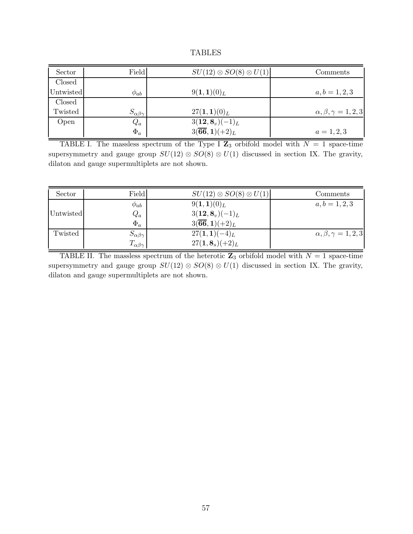TABLES

<span id="page-56-0"></span>

| Sector    | Field                   | $SU(12) \otimes SO(8) \otimes U(1)$ | Comments                          |
|-----------|-------------------------|-------------------------------------|-----------------------------------|
| Closed    |                         |                                     |                                   |
| Untwisted | $\phi_{ab}$             | $9(1,1)(0)_L$                       | $a, b = 1, 2, 3$                  |
| Closed    |                         |                                     |                                   |
| Twisted   | $S_{\alpha\beta\gamma}$ | 27(1,1)(0) <sub>L</sub>             | $\alpha, \beta, \gamma = 1, 2, 3$ |
| Open      | $Q_a$                   | $3(12,8_v)(-1)_L$                   |                                   |
|           | $\Phi_a$                | $3(\overline{66},1)(+2)_L$          | $a = 1, 2, 3$                     |

TABLE I. The massless spectrum of the Type I  $\mathbb{Z}_3$  orbifold model with  $N = 1$  space-time supersymmetry and gauge group  $SU(12) \otimes SO(8) \otimes U(1)$  discussed in section IX. The gravity, dilaton and gauge supermultiplets are not shown.

| Sector    | Field                   | $SU(12) \otimes SO(8) \otimes U(1)$ | Comments                          |
|-----------|-------------------------|-------------------------------------|-----------------------------------|
|           | $\varphi_{ab}$          | 9(1,1)(0) <sub>L</sub>              | $a, b = 1, 2, 3$                  |
| Untwisted | $Q_a$                   | $3(12,8_v)(-1)_L$                   |                                   |
|           | $\Phi_a$                | $3(66,1)(+2)_L$                     |                                   |
| Twisted   | $S_{\alpha\beta\gamma}$ | $27(1,1)(-4)L$                      | $\alpha, \beta, \gamma = 1, 2, 3$ |
|           | $T_{\alpha\beta\gamma}$ | $27(1, 8_s)(+2)_L$                  |                                   |

TABLE II. The massless spectrum of the heterotic  $\mathbb{Z}_3$  orbifold model with  $N = 1$  space-time supersymmetry and gauge group  $SU(12) \otimes SO(8) \otimes U(1)$  discussed in section IX. The gravity, dilaton and gauge supermultiplets are not shown.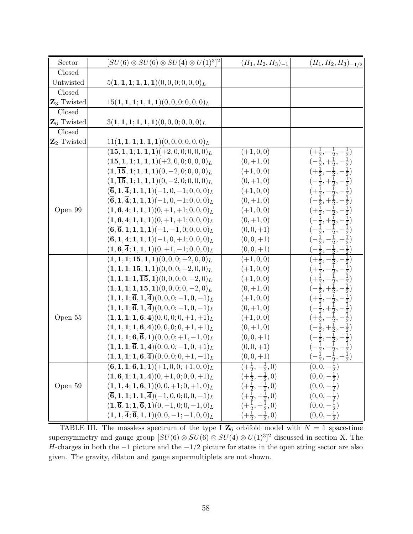<span id="page-57-0"></span>

| Sector                 | $[SU(6)\otimes SU(6)\otimes SU(4)\otimes U(1)^3]^2]$                                              | $(H_1, H_2, H_3)_{-1}$                     | $(H_1, H_2, H_3)_{-1/2}$                                                                                          |
|------------------------|---------------------------------------------------------------------------------------------------|--------------------------------------------|-------------------------------------------------------------------------------------------------------------------|
| Closed                 |                                                                                                   |                                            |                                                                                                                   |
| Untwisted              | $5(1, 1, 1; 1, 1, 1)(0, 0, 0; 0, 0, 0)_L$                                                         |                                            |                                                                                                                   |
| Closed                 |                                                                                                   |                                            |                                                                                                                   |
| $\mathbf{Z}_3$ Twisted | $15(1, 1, 1, 1, 1, 1, 1)(0, 0, 0, 0, 0, 0)L$                                                      |                                            |                                                                                                                   |
| Closed                 |                                                                                                   |                                            |                                                                                                                   |
| $\mathbf{Z}_6$ Twisted | $3(1, 1, 1, 1, 1, 1)$ $(0, 0, 0, 0, 0, 0)$                                                        |                                            |                                                                                                                   |
| Closed                 |                                                                                                   |                                            |                                                                                                                   |
| $\mathbf{Z}_2$ Twisted | $11(1, 1, 1, 1, 1, 1)(0, 0, 0, 0, 0, 0)$                                                          |                                            |                                                                                                                   |
|                        | $(\mathbf{15}, \mathbf{1}, \mathbf{1}; \mathbf{1}, \mathbf{1}, \mathbf{1})$ $(+2, 0, 0; 0, 0, 0)$ | $(+1,0,0)$                                 | $\overline{(+\frac{1}{2},-\frac{1}{2},-\frac{1}{2})}$                                                             |
|                        | $(15, 1, 1; 1, 1, 1)$ $(+2, 0, 0; 0, 0, 0)$                                                       | $(0, +1, 0)$                               | $\left(-\frac{1}{2},+\frac{1}{2},-\frac{1}{2}\right)$                                                             |
|                        | $(1,\overline{15},1;1,1,1)(0,-2,0;0,0,0)L$                                                        | $(+1,0,0)$                                 | $\left(+\frac{1}{2},-\frac{1}{2},-\frac{1}{2}\right)$                                                             |
|                        | $(1,\overline{15},1;1,1,1)(0,-2,0;0,0,0)L$                                                        | $(0, +1, 0)$                               | $\left(-\frac{1}{2},+\frac{1}{2},-\frac{1}{2}\right)$                                                             |
|                        | $(\overline{6}, 1, \overline{4}; 1, 1, 1)(-1, 0, -1; 0, 0, 0)$                                    | $(+1,0,0)$                                 | $\left(+\frac{1}{2},-\frac{1}{2},-\frac{1}{2}\right)$                                                             |
|                        | $(\overline{6},1,\overline{4};1,1,1)(-1,0,-1;0,0,0)L$                                             | $(0, +1, 0)$                               | $\left(-\frac{1}{2},+\frac{1}{2},-\frac{1}{2}\right)$                                                             |
| Open 99                | $(1, 6, 4; 1, 1, 1)(0, +1, +1; 0, 0, 0)L$                                                         | $(+1,0,0)$                                 | $\left(+\frac{1}{2},-\frac{1}{2},-\frac{1}{2}\right)$                                                             |
|                        | $(1, 6, 4; 1, 1, 1)$ $(0, +1, +1; 0, 0, 0)$                                                       | $(0, +1, 0)$                               | $\left(-\frac{1}{2},+\frac{1}{2},-\frac{1}{2}\right)$                                                             |
|                        | $(6, \overline{6}, 1; 1, 1, 1)$ $(+1, -1, 0; 0, 0, 0)$                                            | $(0,0,+1)$                                 | $\left(-\frac{1}{2}, -\frac{1}{2}, +\frac{1}{2}\right)$                                                           |
|                        | $(\overline{6},1,4;1,1,1)(-1,0,+1;0,0,0)L$                                                        | $(0,0,+1)$                                 | $\left(-\frac{1}{2}, -\frac{1}{2}, +\frac{1}{2}\right)$                                                           |
|                        | $(1, 6, 4; 1, 1, 1)$ $(0, +1, -1; 0, 0, 0)$                                                       | $(0, 0, +1)$                               | $\frac{\left(-\frac{1}{2},-\frac{1}{2},+\frac{1}{2}\right)}{\left(+\frac{1}{2},-\frac{1}{2},-\frac{1}{2}\right)}$ |
|                        | $(1, 1, 1; 15, 1, 1)$ $(0, 0, 0; +2, 0, 0)$                                                       | $(+1,0,0)$                                 |                                                                                                                   |
|                        | $(1, 1, 1; 15, 1, 1)(0, 0, 0; +2, 0, 0)L$                                                         | $(+1,0,0)$                                 | $\left(+\frac{1}{2},-\frac{1}{2},-\frac{1}{2}\right)$                                                             |
|                        | $(1, 1, 1; 1, \overline{15}, 1)(0, 0, 0; 0, -2, 0)_L$                                             | $(+1,0,0)$                                 | $\left(+\frac{1}{2},-\frac{1}{2},-\frac{1}{2}\right)$                                                             |
|                        | $(1, 1, 1; 1, \overline{15}, 1)(0, 0, 0; 0, -2, 0)L$                                              | $(0, +1, 0)$                               | $\left(-\frac{1}{2},+\frac{1}{2},-\frac{1}{2}\right)$                                                             |
|                        | $(1, 1, 1; \overline{6}, 1, \overline{4})(0, 0, 0; -1, 0, -1)$                                    | $(+1,0,0)$                                 | $\left(+\frac{1}{2},-\frac{1}{2},-\frac{1}{2}\right)$                                                             |
|                        | $(1, 1, 1; \overline{6}, 1, \overline{4}) (0, 0, 0; -1, 0, -1)$                                   | $(0, +1, 0)$                               | $\left(-\frac{1}{2},+\frac{1}{2},-\frac{1}{2}\right)$                                                             |
| Open 55                | $(1, 1, 1; 1, 6, 4)(0, 0, 0; 0, +1, +1)L$                                                         | $(+1,0,0)$                                 | $\left(+\frac{1}{2},-\frac{1}{2},-\frac{1}{2}\right)$                                                             |
|                        | $(1, 1, 1; 1, 6, 4)(0, 0, 0; 0, +1, +1)L$                                                         | $(0, +1, 0)$                               | $\left(-\frac{1}{2},+\frac{1}{2},-\frac{1}{2}\right)$                                                             |
|                        | $(1, 1, 1; 6, \overline{6}, 1)(0, 0, 0; +1, -1, 0)_L$                                             | $(0, 0, +1)$                               | $\left(-\frac{1}{2}, -\frac{1}{2}, +\frac{1}{2}\right)$                                                           |
|                        | $(1, 1, 1; \overline{6}, 1, 4)(0, 0, 0; -1, 0, +1)L$                                              | $(0, 0, +1)$                               | $\left(-\frac{1}{2},-\frac{1}{2},+\frac{1}{2}\right)$                                                             |
|                        | $(\mathbf{1},\mathbf{1},\mathbf{1};\mathbf{1},\mathbf{6},\overline{\mathbf{4}})(0,0,0;0,+1,-1)_L$ | $(0, 0, +1)$                               | $\frac{(-\frac{1}{2}, -\frac{1}{2}, +\frac{1}{2})}{(0, 0, -\frac{1}{2})}$                                         |
|                        | $(6, 1, 1; 6, 1, 1)$ $(+1, 0, 0; +1, 0, 0)$                                                       | $\overline{(+\frac{1}{2},+\frac{1}{2},0)}$ |                                                                                                                   |
|                        | $(1, 6, 1; 1, 1, 4)(0, +1, 0; 0, 0, +1)L$                                                         | $(+\frac{1}{2}, +\frac{1}{2}, 0)$          | $(0,0,-\frac{1}{2})$                                                                                              |
| Open 59                | $(1, 1, 4; 1, 6, 1)(0, 0, +1; 0, +1, 0)L$                                                         | $(+\frac{1}{2}, +\frac{1}{2}, 0)$          | $(0,0,-\frac{1}{2})$                                                                                              |
|                        | $(\overline{6},1,1;1,1,\overline{4})(-1,0,0;0,0,-1)$                                              | $(+\frac{1}{2}, +\frac{1}{2}, 0)$          | $(0,0,-\frac{1}{2})$                                                                                              |
|                        | $(1,\overline{6},1;1,\overline{6},1)(0,-1,0;0,-1,0)L$                                             | $(+\frac{1}{2}, +\frac{1}{2}, 0)$          | $(0,0,-\frac{1}{2})$                                                                                              |
|                        | $(1, 1, 4, 6, 1, 1)$ $(0, 0, -1, -1, 0, 0)$                                                       | $(+\frac{1}{2}, +\frac{1}{2}, 0)$          | $(0,0,-\frac{1}{2})$                                                                                              |

TABLE III. The massless spectrum of the type I  $\mathbb{Z}_6$  orbifold model with  $N = 1$  space-time supersymmetry and gauge group  $[SU(6) \otimes SU(6) \otimes SU(4) \otimes U(1)^3]^2$  discussed in section X. The H-charges in both the  $-1$  picture and the  $-1/2$  picture for states in the open string sector are also given. The gravity, dilaton and gauge supermultiplets are not shown.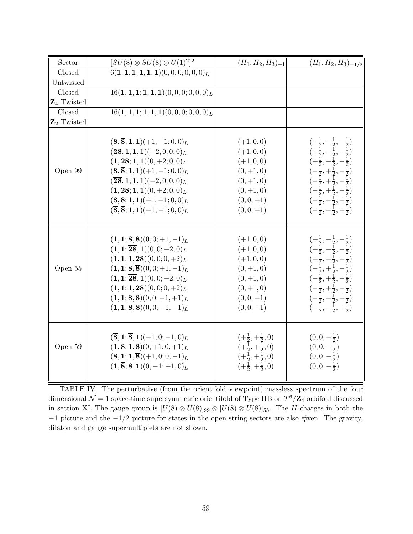<span id="page-58-0"></span>

| Sector                 | $[SU(8)\otimes SU(8)\otimes U(1)^2]^2$                                                                                                                                                                                                                                                                                                                                                                                                                                                                      | $(H_1, H_2, H_3)_{-1}$                                                                                                                                    | $(H_1, H_2, H_3)_{-1/2}$                                                                                                                                                                                                                                                                                                                                                                                                                                               |
|------------------------|-------------------------------------------------------------------------------------------------------------------------------------------------------------------------------------------------------------------------------------------------------------------------------------------------------------------------------------------------------------------------------------------------------------------------------------------------------------------------------------------------------------|-----------------------------------------------------------------------------------------------------------------------------------------------------------|------------------------------------------------------------------------------------------------------------------------------------------------------------------------------------------------------------------------------------------------------------------------------------------------------------------------------------------------------------------------------------------------------------------------------------------------------------------------|
| Closed                 | $6(1, 1, 1; 1, 1, 1, 1)(0, 0, 0; 0, 0, 0)$                                                                                                                                                                                                                                                                                                                                                                                                                                                                  |                                                                                                                                                           |                                                                                                                                                                                                                                                                                                                                                                                                                                                                        |
| Untwisted              |                                                                                                                                                                                                                                                                                                                                                                                                                                                                                                             |                                                                                                                                                           |                                                                                                                                                                                                                                                                                                                                                                                                                                                                        |
| Closed                 | $16(1, 1, 1, 1, 1, 1, 1)(0, 0, 0, 0, 0, 0)$                                                                                                                                                                                                                                                                                                                                                                                                                                                                 |                                                                                                                                                           |                                                                                                                                                                                                                                                                                                                                                                                                                                                                        |
| $\mathbf{Z}_4$ Twisted |                                                                                                                                                                                                                                                                                                                                                                                                                                                                                                             |                                                                                                                                                           |                                                                                                                                                                                                                                                                                                                                                                                                                                                                        |
| Closed                 | $16(1, 1, 1, 1, 1, 1, 1)(0, 0, 0, 0, 0, 0)$                                                                                                                                                                                                                                                                                                                                                                                                                                                                 |                                                                                                                                                           |                                                                                                                                                                                                                                                                                                                                                                                                                                                                        |
| $\mathbf{Z}_2$ Twisted |                                                                                                                                                                                                                                                                                                                                                                                                                                                                                                             |                                                                                                                                                           |                                                                                                                                                                                                                                                                                                                                                                                                                                                                        |
| Open 99                | $(\mathbf{8}, \overline{\mathbf{8}}; \mathbf{1}, \mathbf{1})\,\mathbf{1}, -1; 0, 0)_L$<br>$(\overline{\bf 28},{\bf 1};{\bf 1},{\bf 1})(-2,0;0,0)_L$<br>$(1, 28; 1, 1)(0, +2; 0, 0)L$<br>$(\mathbf{8}, \overline{\mathbf{8}}; \mathbf{1}, \mathbf{1})(+1, -1; 0, 0)$<br>$(\overline{\bf 28},{\bf 1};{\bf 1},{\bf 1})(-2,0;0,0)_L$<br>$(1, 28; 1, 1)(0, +2; 0, 0)L$<br>$(8, 8; 1, 1)$ $(+1, +1; 0, 0)$ <sub>L</sub><br>$(\overline{\mathbf{8}}, \overline{\mathbf{8}}; \mathbf{1}, \mathbf{1})(-1, -1; 0, 0)$ | $(+1,0,0)$<br>$(+1,0,0)$<br>$(+1,0,0)$<br>$(0, +1, 0)$<br>$(0, +1, 0)$<br>$(0, +1, 0)$<br>$(0,0,+1)$<br>$(0,0,+1)$                                        | $\left(+\frac{1}{2},-\frac{1}{2},-\frac{1}{2}\right)$<br>$\left(+\frac{1}{2},-\frac{1}{2},-\frac{1}{2}\right)$<br>$\left(+\frac{1}{2},-\frac{1}{2},-\frac{1}{2}\right)$<br>$\left(-\frac{1}{2},+\frac{1}{2},-\frac{1}{2}\right)$<br>$\left(-\frac{1}{2},+\frac{1}{2},-\frac{1}{2}\right)$<br>$\left(-\frac{1}{2},+\frac{1}{2},-\frac{1}{2}\right)$<br>$\left(-\frac{1}{2},-\frac{1}{2},+\frac{1}{2}\right)$<br>$\left(-\frac{1}{2}, -\frac{1}{2}, +\frac{1}{2}\right)$ |
| Open 55                | $(1, 1; 8, \overline{8})(0, 0; +1, -1)L$<br>$(1, 1; \overline{28}, 1)(0, 0; -2, 0)L$<br>$(1, 1; 1, 28)(0, 0; 0, +2)L$<br>$(1, 1; 8, \overline{8})(0, 0; +1, -1)_L$<br>$(1, 1; \overline{28}, 1)(0, 0; -2, 0)_L$<br>$(1, 1; 1, 28)(0, 0; 0, +2)L$<br>$(1, 1; 8, 8)(0, 0; +1, +1)L$<br>$(\mathbf{1}, \mathbf{1}; \overline{\mathbf{8}}, \overline{\mathbf{8}})(0, 0; -1, -1)$                                                                                                                                 | $(+1,0,0)$<br>$(+1,0,0)$<br>$(+1,0,0)$<br>$(0, +1, 0)$<br>$(0, +1, 0)$<br>$(0, +1, 0)$<br>$(0,0,+1)$<br>$(0,0,+1)$                                        | $\left(+\frac{1}{2},-\frac{1}{2},-\frac{1}{2}\right)$<br>$\left(+\frac{1}{2},-\frac{1}{2},-\frac{1}{2}\right)$<br>$\left(+\frac{1}{2},-\frac{1}{2},-\frac{1}{2}\right)$<br>$\left(-\frac{1}{2},+\frac{1}{2},-\frac{1}{2}\right)$<br>$\left(-\frac{1}{2},+\frac{1}{2},-\frac{1}{2}\right)$<br>$\left(-\frac{1}{2},+\frac{1}{2},-\frac{1}{2}\right)$<br>$\left(-\frac{1}{2}, -\frac{1}{2}, +\frac{1}{2}\right)$<br>$\left(-\frac{1}{2},-\frac{1}{2},+\frac{1}{2}\right)$ |
| Open 59                | $(\overline{\mathbf{8}}, \mathbf{1}; \overline{\mathbf{8}}, \mathbf{1})(-1, 0; -1, 0)$<br>$(1, 8; 1, 8)(0, +1; 0, +1)L$<br>$(8,1;1,\overline{8})$ $(+1,0;0,-1)$ <sub>L</sub><br>$(1,\overline{8};8,1)(0,-1;+1,0)L$                                                                                                                                                                                                                                                                                          | $(+\frac{1}{2}, +\frac{1}{2}, 0)$<br>$\left(+\frac{1}{2},+\frac{1}{2},0\right)$<br>$(+\frac{1}{2}, +\frac{1}{2}, 0)$<br>$(+\frac{1}{2}, +\frac{1}{2}, 0)$ | $(0,0,-\frac{1}{2})$<br>$(0,0,-\frac{1}{2})$<br>$(0,0,-\frac{1}{2})$<br>$(0,0,-\frac{1}{2})$                                                                                                                                                                                                                                                                                                                                                                           |

TABLE IV. The perturbative (from the orientifold viewpoint) massless spectrum of the four dimensional  $\mathcal{N}=1$  space-time supersymmetric orientifold of Type IIB on  $T^6/\mathbb{Z}_4$  orbifold discussed in section XI. The gauge group is  $[U(8) \otimes U(8)]_{99} \otimes [U(8) \otimes U(8)]_{55}$ . The *H*-charges in both the  $-1$  picture and the  $-1/2$  picture for states in the open string sectors are also given. The gravity, dilaton and gauge supermultiplets are not shown.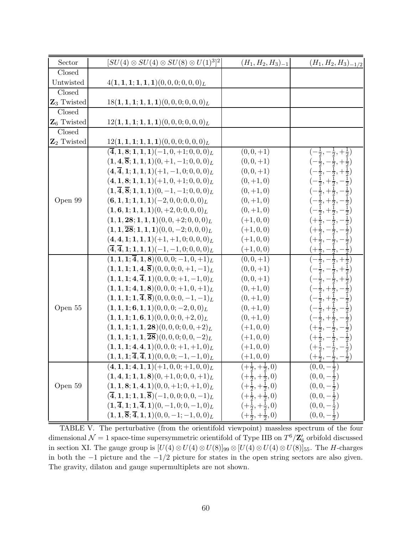<span id="page-59-0"></span>

| Sector                 | $[SU(4)\otimes SU(4)\otimes SU(8)\otimes U(1)^3]^2]$                                                                  | $(H_1, H_2, H_3)_{-1}$                     | $(H_1, H_2, H_3)_{-1/2}$                                                                                          |
|------------------------|-----------------------------------------------------------------------------------------------------------------------|--------------------------------------------|-------------------------------------------------------------------------------------------------------------------|
| Closed                 |                                                                                                                       |                                            |                                                                                                                   |
| Untwisted              | $4(1, 1, 1, 1, 1, 1, 1)(0, 0, 0, 0, 0, 0)$                                                                            |                                            |                                                                                                                   |
| Closed                 |                                                                                                                       |                                            |                                                                                                                   |
| $\mathbf{Z}_3$ Twisted | $18(1, 1, 1, 1, 1, 1)$ $(0, 0, 0, 0, 0, 0)$                                                                           |                                            |                                                                                                                   |
| Closed                 |                                                                                                                       |                                            |                                                                                                                   |
| $\mathbf{Z}_6$ Twisted | $12(1, 1, 1, 1, 1, 1)(0, 0, 0, 0, 0, 0)$                                                                              |                                            |                                                                                                                   |
| Closed                 |                                                                                                                       |                                            |                                                                                                                   |
| $\mathbf{Z}_2$ Twisted | $12(1, 1, 1, 1, 1, 1)$ $(0, 0, 0, 0, 0, 0)$                                                                           |                                            |                                                                                                                   |
|                        | $(\overline{4},1,\overline{8};1,1,1)(-1,0,+1;0,0,0)$                                                                  | $(0, 0, +1)$                               | $\left(-\frac{1}{2},-\frac{1}{2},+\frac{1}{2}\right)$                                                             |
|                        | $(1, 4, 8, 1, 1, 1)(0, +1, -1; 0, 0, 0)L$                                                                             | $(0,0,+1)$                                 | $\left(-\frac{1}{2}, -\frac{1}{2}, +\frac{1}{2}\right)$                                                           |
|                        | $(4,\overline{4},1;1,1,1)(+1,-1,0;0,0,0)L$                                                                            | $(0, 0, +1)$                               | $\left(-\frac{1}{2}, -\frac{1}{2}, +\frac{1}{2}\right)$                                                           |
|                        | $(4, 1, 8; 1, 1, 1)$ $(+1, 0, +1; 0, 0, 0)$                                                                           | $(0, +1, 0)$                               | $\left(-\frac{1}{2},+\frac{1}{2},-\frac{1}{2}\right)$                                                             |
|                        | $(1,\overline{4},\overline{8};1,1,1)(0,-1,-1;0,0,0)$                                                                  | $(0, +1, 0)$                               | $\left(-\frac{1}{2},+\frac{1}{2},-\frac{1}{2}\right)$                                                             |
| Open 99                | $(6, 1, 1, 1, 1, 1)(-2, 0, 0, 0, 0, 0)L$                                                                              | $(0, +1, 0)$                               | $\left(-\frac{1}{2},+\frac{1}{2},-\frac{1}{2}\right)$                                                             |
|                        | $(1, 6, 1; 1, 1, 1)(0, +2, 0; 0, 0, 0)L$                                                                              | $(0, +1, 0)$                               | $\left(-\frac{1}{2},+\frac{1}{2},-\frac{1}{2}\right)$                                                             |
|                        | $(1, 1, 28; 1, 1, 1)$ $(0, 0, +2; 0, 0, 0)$                                                                           | $(+1,0,0)$                                 | $\left(+\frac{1}{2},-\frac{1}{2},-\frac{1}{2}\right)$                                                             |
|                        | $(1, 1, \overline{28}; 1, 1, 1)$ $(0, 0, -2; 0, 0, 0)$                                                                | $(+1,0,0)$                                 | $\left(+\frac{1}{2},-\frac{1}{2},-\frac{1}{2}\right)$                                                             |
|                        | $(4, 4, 1; 1, 1, 1)$ $(+1, +1, 0; 0, 0, 0)$                                                                           | $(+1,0,0)$                                 | $\left(+\frac{1}{2},-\frac{1}{2},-\frac{1}{2}\right)$                                                             |
|                        | $(\overline{{\bf 4}}, \overline{{\bf 4}}, {\bf 1}; {\bf 1}, {\bf 1}, {\bf 1})(-1,-1,0;0,0,0)_L$                       | $(+1,0,0)$                                 | $\frac{\left(+\frac{1}{2},-\frac{1}{2},-\frac{1}{2}\right)}{\left(-\frac{1}{2},-\frac{1}{2},+\frac{1}{2}\right)}$ |
|                        | $(1, 1, 1; \overline{4}, 1, 8)(0, 0, 0; -1, 0, +1)L$                                                                  | $(0, 0, +1)$                               |                                                                                                                   |
|                        | $(1, 1, 1; 1, 4, \overline{8}) (0, 0, 0; 0, +1, -1)$                                                                  | $(0, 0, +1)$                               | $\left(-\frac{1}{2}, -\frac{1}{2}, +\frac{1}{2}\right)$                                                           |
|                        | $(1, 1, 1; 4, 4, 1)(0, 0, 0; +1, -1, 0)L$                                                                             | $(0,0,+1)$                                 | $\left(-\frac{1}{2},-\frac{1}{2},+\frac{1}{2}\right)$                                                             |
|                        | $(1, 1, 1; 4, 1, 8)(0, 0, 0; +1, 0, +1)L$                                                                             | $(0, +1, 0)$                               | $\left(-\frac{1}{2},+\frac{1}{2},-\frac{1}{2}\right)$                                                             |
|                        | $(1, 1, 1; 1, \overline{4}, \overline{8})(0, 0, 0; 0, -1, -1)$                                                        | $(0, +1, 0)$                               | $\left(-\frac{1}{2},+\frac{1}{2},-\frac{1}{2}\right)$                                                             |
| Open 55                | $(1, 1, 1; 6, 1, 1)(0, 0, 0; -2, 0, 0)L$                                                                              | $(0, +1, 0)$                               | $\left(-\frac{1}{2},+\frac{1}{2},-\frac{1}{2}\right)$                                                             |
|                        | $(1, 1, 1; 1, 6, 1)(0, 0, 0; 0, +2, 0)L$                                                                              | $(0, +1, 0)$                               | $\left(-\frac{1}{2},+\frac{1}{2},-\frac{1}{2}\right)$                                                             |
|                        | $(1, 1, 1, 1, 1, 28)(0, 0, 0, 0, 0, +2)L$                                                                             | $(+1,0,0)$                                 | $\left(+\frac{1}{2},-\frac{1}{2},-\frac{1}{2}\right)$                                                             |
|                        | $(1, 1, 1, 1, 1, \overline{28})(0, 0, 0, 0, 0, -2)$                                                                   | $(+1,0,0)$                                 | $\left(+\frac{1}{2},-\frac{1}{2},-\frac{1}{2}\right)$                                                             |
|                        | $(1, 1, 1; 4, 4, 1)(0, 0, 0; +1, +1, 0)L$                                                                             | $(+1,0,0)$                                 | $\left(+\frac{1}{2},-\frac{1}{2},-\frac{1}{2}\right)$                                                             |
|                        | $(1, 1, 1; \overline{4}, \overline{4}, 1)(0, 0, 0; -1, -1, 0)_L$                                                      | $(+1,0,0)$                                 | $\left(+\frac{1}{2},-\frac{1}{2},-\right)$<br>2 <sup>j</sup>                                                      |
|                        | $(4, 1, 1; 4, 1, 1)$ $(+1, 0, 0; +1, 0, 0)$                                                                           | $\overline{(+\frac{1}{2},+\frac{1}{2},0)}$ | $(0,0,-\frac{1}{2})$                                                                                              |
|                        | $(1, 4, 1; 1, 1, 8)(0, +1, 0; 0, 0, +1)L$                                                                             | $(+\frac{1}{2}, +\frac{1}{2}, 0)$          | $(0,0,-\frac{1}{2})$                                                                                              |
| Open 59                | $(1, 1, 8; 1, 4, 1)(0, 0, +1; 0, +1, 0)L$                                                                             | $(+\frac{1}{2}, +\frac{1}{2}, 0)$          | $(0,0,-\frac{1}{2})$                                                                                              |
|                        | $(\overline{4},1,1;1,1,\overline{8})(-1,0,0;0,0,-1)_{L}$                                                              | $(+\frac{1}{2}, +\frac{1}{2}, 0)$          | $(0,0,-\frac{1}{2})$                                                                                              |
|                        | $(1,\overline{4},1;1,\overline{4},1)(0,-1,0;0,-1,0)$                                                                  | $(+\frac{1}{2}, +\frac{1}{2}, 0)$          | $(0,0,-\frac{1}{2})$                                                                                              |
|                        | $(\mathbf{1}, \mathbf{1}, \overline{\mathbf{8}}; \overline{\mathbf{4}}, \mathbf{1}, \mathbf{1}) (0, 0, -1; -1, 0, 0)$ | $(+\frac{1}{2}, +\frac{1}{2}, 0)$          | $(0,0,-\frac{1}{2})$                                                                                              |

TABLE V. The perturbative (from the orientifold viewpoint) massless spectrum of the four dimensional  $\mathcal{N}=1$  space-time supersymmetric orientifold of Type IIB on  $T^6/\mathbf{Z}_6'$  orbifold discussed in section XI. The gauge group is  $[U(4) \otimes U(4) \otimes U(8)]_{99} \otimes [U(4) \otimes U(4) \otimes U(8)]_{55}$ . The *H*-charges in both the  $-1$  picture and the  $-1/2$  picture for states in the open string sectors are also given. The gravity, dilaton and gauge supermultiplets are not shown.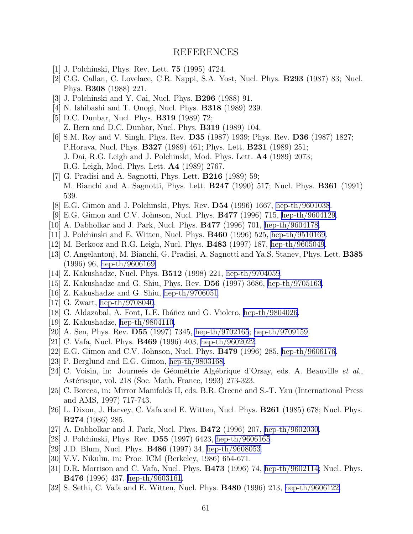# REFERENCES

- <span id="page-60-0"></span>[1] J. Polchinski, Phys. Rev. Lett. 75 (1995) 4724.
- [2] C.G. Callan, C. Lovelace, C.R. Nappi, S.A. Yost, Nucl. Phys. B293 (1987) 83; Nucl. Phys. B308 (1988) 221.
- [3] J. Polchinski and Y. Cai, Nucl. Phys. B296 (1988) 91.
- [4] N. Ishibashi and T. Onogi, Nucl. Phys. B318 (1989) 239.
- [5] D.C. Dunbar, Nucl. Phys. B319 (1989) 72; Z. Bern and D.C. Dunbar, Nucl. Phys. B319 (1989) 104.
- [6] S.M. Roy and V. Singh, Phys. Rev. D35 (1987) 1939; Phys. Rev. D36 (1987) 1827; P.Horava, Nucl. Phys. B327 (1989) 461; Phys. Lett. B231 (1989) 251; J. Dai, R.G. Leigh and J. Polchinski, Mod. Phys. Lett. A4 (1989) 2073; R.G. Leigh, Mod. Phys. Lett. A4 (1989) 2767.
- [7] G. Pradisi and A. Sagnotti, Phys. Lett. B216 (1989) 59; M. Bianchi and A. Sagnotti, Phys. Lett. B247 (1990) 517; Nucl. Phys. B361 (1991) 539.
- [8] E.G. Gimon and J. Polchinski, Phys. Rev. D54 (1996) 1667, [hep-th/9601038](http://arxiv.org/abs/hep-th/9601038).
- [9] E.G. Gimon and C.V. Johnson, Nucl. Phys. B477 (1996) 715, [hep-th/9604129.](http://arxiv.org/abs/hep-th/9604129)
- [10] A. Dabholkar and J. Park, Nucl. Phys. B477 (1996) 701, [hep-th/9604178](http://arxiv.org/abs/hep-th/9604178).
- [11] J. Polchinski and E. Witten, Nucl. Phys. B460 (1996) 525, [hep-th/9510169](http://arxiv.org/abs/hep-th/9510169).
- [12] M. Berkooz and R.G. Leigh, Nucl. Phys. B483 (1997) 187, [hep-th/9605049](http://arxiv.org/abs/hep-th/9605049).
- [13] C. Angelantonj, M. Bianchi, G. Pradisi, A. Sagnotti and Ya.S. Stanev, Phys. Lett. B385 (1996) 96, [hep-th/9606169.](http://arxiv.org/abs/hep-th/9606169)
- [14] Z. Kakushadze, Nucl. Phys. B512 (1998) 221, [hep-th/9704059](http://arxiv.org/abs/hep-th/9704059).
- [15] Z. Kakushadze and G. Shiu, Phys. Rev. D56 (1997) 3686, [hep-th/9705163](http://arxiv.org/abs/hep-th/9705163).
- [16] Z. Kakushadze and G. Shiu, [hep-th/9706051](http://arxiv.org/abs/hep-th/9706051).
- [17] G. Zwart, [hep-th/9708040](http://arxiv.org/abs/hep-th/9708040).
- [18] G. Aldazabal, A. Font, L.E. Ibáñez and G. Violero, [hep-th/9804026](http://arxiv.org/abs/hep-th/9804026).
- [19] Z. Kakushadze, [hep-th/9804110](http://arxiv.org/abs/hep-th/9804110).
- [20] A. Sen, Phys. Rev. D55 (1997) 7345, [hep-th/9702165](http://arxiv.org/abs/hep-th/9702165); [hep-th/9709159.](http://arxiv.org/abs/hep-th/9709159)
- [21] C. Vafa, Nucl. Phys. B469 (1996) 403, [hep-th/9602022](http://arxiv.org/abs/hep-th/9602022).
- [22] E.G. Gimon and C.V. Johnson, Nucl. Phys. B479 (1996) 285, [hep-th/9606176.](http://arxiv.org/abs/hep-th/9606176)
- [23] P. Berglund and E.G. Gimon, [hep-th/9803168](http://arxiv.org/abs/hep-th/9803168).
- [24] C. Voisin, in: Journe's de Géométrie Algébrique d'Orsay, eds. A. Beauville et al., Astérisque, vol. 218 (Soc. Math. France, 1993) 273-323.
- [25] C. Borcea, in: Mirror Manifolds II, eds. B.R. Greene and S.-T. Yau (International Press and AMS, 1997) 717-743.
- [26] L. Dixon, J. Harvey, C. Vafa and E. Witten, Nucl. Phys. B261 (1985) 678; Nucl. Phys. B274 (1986) 285.
- [27] A. Dabholkar and J. Park, Nucl. Phys. B472 (1996) 207, [hep-th/9602030](http://arxiv.org/abs/hep-th/9602030).
- [28] J. Polchinski, Phys. Rev. D55 (1997) 6423, [hep-th/9606165](http://arxiv.org/abs/hep-th/9606165).
- [29] J.D. Blum, Nucl. Phys. B486 (1997) 34, [hep-th/9608053.](http://arxiv.org/abs/hep-th/9608053)
- [30] V.V. Nikulin, in: Proc. ICM (Berkeley, 1986) 654-671.
- [31] D.R. Morrison and C. Vafa, Nucl. Phys. B473 (1996) 74, [hep-th/9602114](http://arxiv.org/abs/hep-th/9602114); Nucl. Phys. B476 (1996) 437, [hep-th/9603161](http://arxiv.org/abs/hep-th/9603161).
- [32] S. Sethi, C. Vafa and E. Witten, Nucl. Phys. B480 (1996) 213, [hep-th/9606122.](http://arxiv.org/abs/hep-th/9606122)